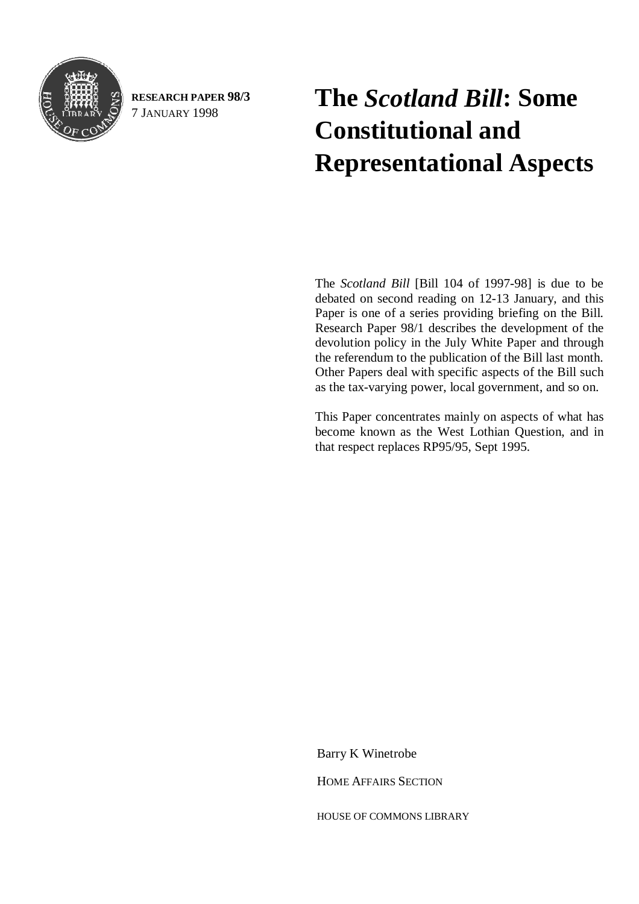

**RESEARCH PAPER 98/3** 7 JANUARY 1998

# **The** *Scotland Bill***: Some Constitutional and Representational Aspects**

The *Scotland Bill* [Bill 104 of 1997-98] is due to be debated on second reading on 12-13 January, and this Paper is one of a series providing briefing on the Bill. Research Paper 98/1 describes the development of the devolution policy in the July White Paper and through the referendum to the publication of the Bill last month. Other Papers deal with specific aspects of the Bill such as the tax-varying power, local government, and so on.

This Paper concentrates mainly on aspects of what has become known as the West Lothian Question, and in that respect replaces RP95/95, Sept 1995.

Barry K Winetrobe HOME AFFAIRS SECTION HOUSE OF COMMONS LIBRARY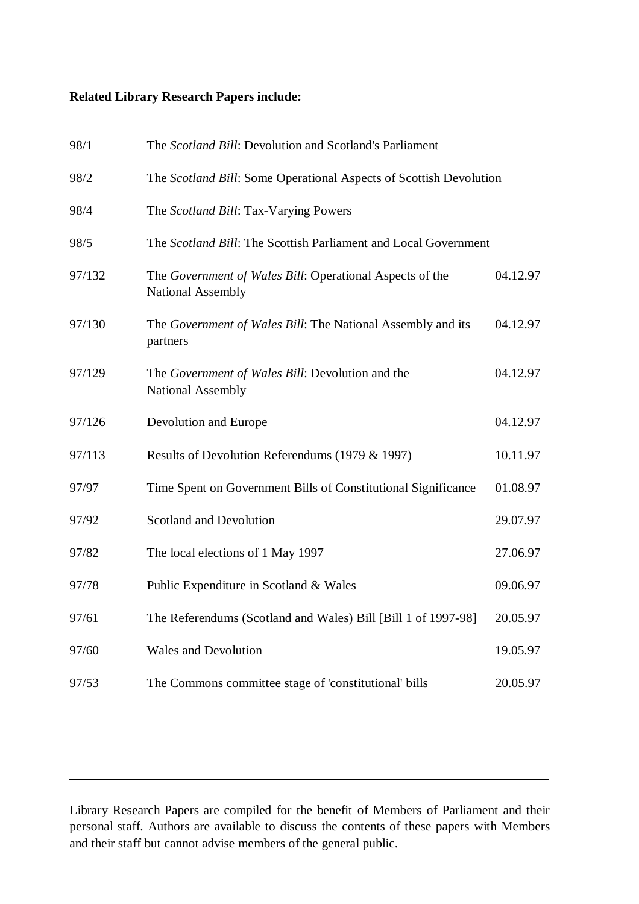#### **Related Library Research Papers include:**

| 98/1   | The Scotland Bill: Devolution and Scotland's Parliament                       |          |  |
|--------|-------------------------------------------------------------------------------|----------|--|
| 98/2   | The Scotland Bill: Some Operational Aspects of Scottish Devolution            |          |  |
| 98/4   | The Scotland Bill: Tax-Varying Powers                                         |          |  |
| 98/5   | The Scotland Bill: The Scottish Parliament and Local Government               |          |  |
| 97/132 | The Government of Wales Bill: Operational Aspects of the<br>National Assembly | 04.12.97 |  |
| 97/130 | The Government of Wales Bill: The National Assembly and its<br>partners       | 04.12.97 |  |
| 97/129 | The Government of Wales Bill: Devolution and the<br>National Assembly         | 04.12.97 |  |
| 97/126 | Devolution and Europe                                                         | 04.12.97 |  |
| 97/113 | Results of Devolution Referendums (1979 & 1997)                               | 10.11.97 |  |
| 97/97  | Time Spent on Government Bills of Constitutional Significance                 | 01.08.97 |  |
| 97/92  | Scotland and Devolution                                                       | 29.07.97 |  |
| 97/82  | The local elections of 1 May 1997                                             | 27.06.97 |  |
| 97/78  | Public Expenditure in Scotland & Wales                                        | 09.06.97 |  |
| 97/61  | The Referendums (Scotland and Wales) Bill [Bill 1 of 1997-98]                 | 20.05.97 |  |
| 97/60  | <b>Wales and Devolution</b>                                                   | 19.05.97 |  |
| 97/53  | The Commons committee stage of 'constitutional' bills                         | 20.05.97 |  |

Library Research Papers are compiled for the benefit of Members of Parliament and their personal staff. Authors are available to discuss the contents of these papers with Members and their staff but cannot advise members of the general public.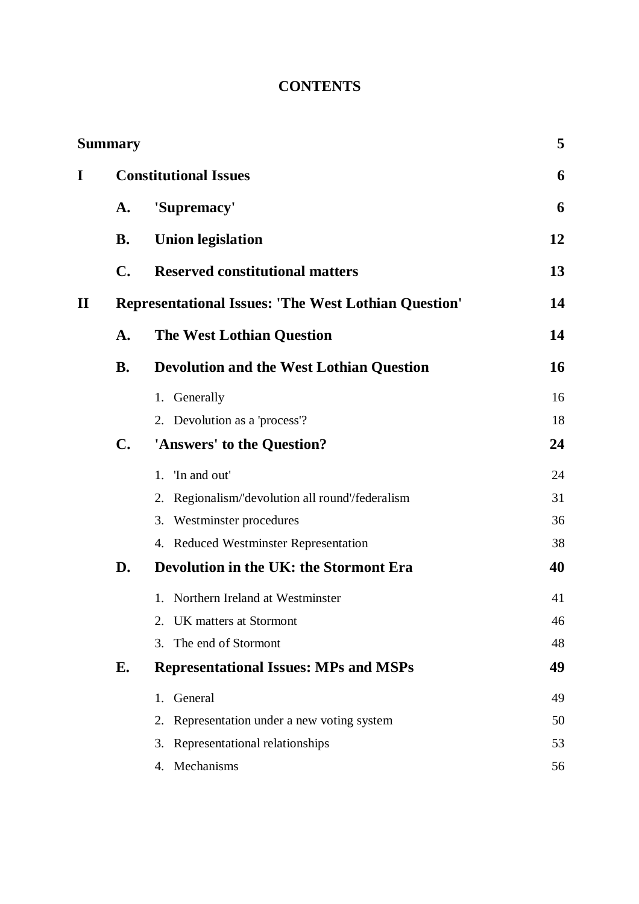# **CONTENTS**

| <b>Summary</b> |                |                                                             | 5  |
|----------------|----------------|-------------------------------------------------------------|----|
| I              |                | <b>Constitutional Issues</b>                                | 6  |
|                | A.             | 'Supremacy'                                                 | 6  |
|                | <b>B.</b>      | <b>Union legislation</b>                                    | 12 |
|                | C.             | <b>Reserved constitutional matters</b>                      | 13 |
| $\mathbf{I}$   |                | <b>Representational Issues: 'The West Lothian Question'</b> | 14 |
|                | A.             | <b>The West Lothian Question</b>                            | 14 |
|                | <b>B.</b>      | <b>Devolution and the West Lothian Question</b>             | 16 |
|                |                | 1. Generally                                                | 16 |
|                |                | 2. Devolution as a 'process'?                               | 18 |
|                | $\mathbf{C}$ . | 'Answers' to the Question?                                  | 24 |
|                |                | 'In and out'<br>1.                                          | 24 |
|                |                | Regionalism/'devolution all round'/federalism<br>2.         | 31 |
|                |                | Westminster procedures<br>3.                                | 36 |
|                |                | 4. Reduced Westminster Representation                       | 38 |
|                | D.             | Devolution in the UK: the Stormont Era                      | 40 |
|                |                | Northern Ireland at Westminster<br>1.                       | 41 |
|                |                | 2. UK matters at Stormont                                   | 46 |
|                |                | The end of Stormont<br>3.                                   | 48 |
|                | E.             | <b>Representational Issues: MPs and MSPs</b>                | 49 |
|                |                | General<br>1.                                               | 49 |
|                |                | Representation under a new voting system<br>2.              | 50 |
|                |                | Representational relationships<br>3.                        | 53 |
|                |                | 4. Mechanisms                                               | 56 |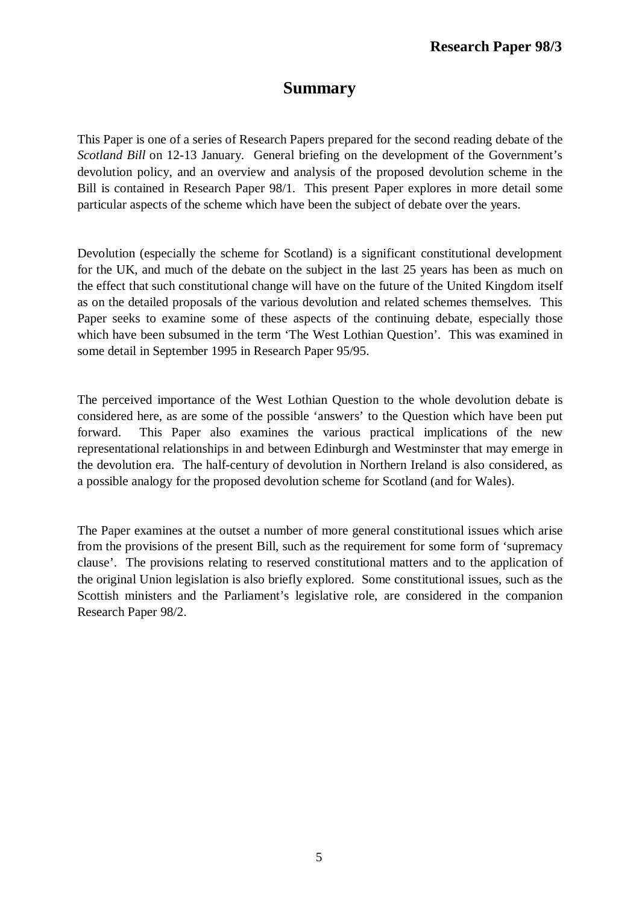# **Summary**

This Paper is one of a series of Research Papers prepared for the second reading debate of the *Scotland Bill* on 12-13 January. General briefing on the development of the Government's devolution policy, and an overview and analysis of the proposed devolution scheme in the Bill is contained in Research Paper 98/1. This present Paper explores in more detail some particular aspects of the scheme which have been the subject of debate over the years.

Devolution (especially the scheme for Scotland) is a significant constitutional development for the UK, and much of the debate on the subject in the last 25 years has been as much on the effect that such constitutional change will have on the future of the United Kingdom itself as on the detailed proposals of the various devolution and related schemes themselves. This Paper seeks to examine some of these aspects of the continuing debate, especially those which have been subsumed in the term 'The West Lothian Question'. This was examined in some detail in September 1995 in Research Paper 95/95.

The perceived importance of the West Lothian Question to the whole devolution debate is considered here, as are some of the possible 'answers' to the Question which have been put forward. This Paper also examines the various practical implications of the new representational relationships in and between Edinburgh and Westminster that may emerge in the devolution era. The half-century of devolution in Northern Ireland is also considered, as a possible analogy for the proposed devolution scheme for Scotland (and for Wales).

The Paper examines at the outset a number of more general constitutional issues which arise from the provisions of the present Bill, such as the requirement for some form of 'supremacy clause'. The provisions relating to reserved constitutional matters and to the application of the original Union legislation is also briefly explored. Some constitutional issues, such as the Scottish ministers and the Parliament's legislative role, are considered in the companion Research Paper 98/2.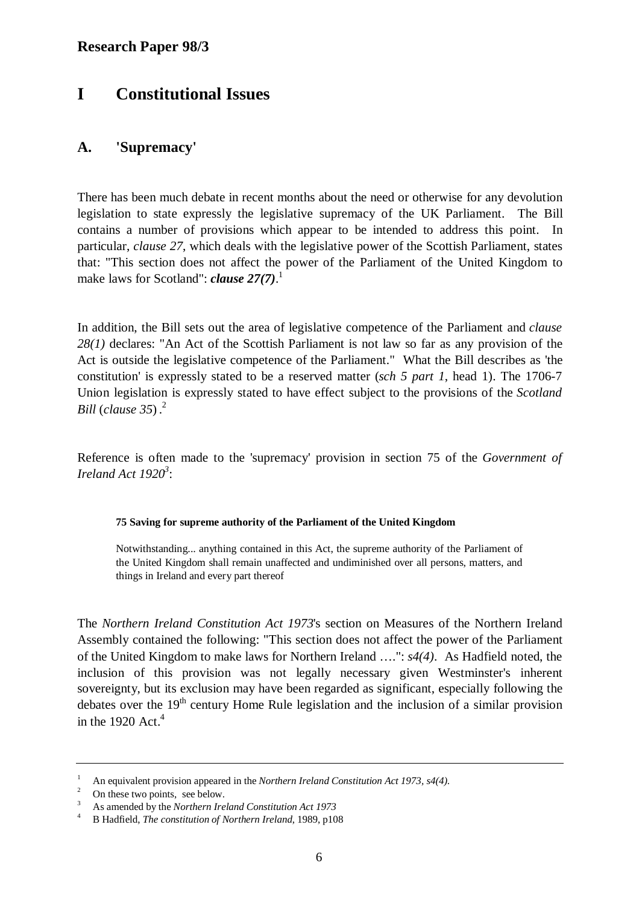# **I Constitutional Issues**

## **A. 'Supremacy'**

There has been much debate in recent months about the need or otherwise for any devolution legislation to state expressly the legislative supremacy of the UK Parliament. The Bill contains a number of provisions which appear to be intended to address this point. In particular, *clause 27*, which deals with the legislative power of the Scottish Parliament, states that: "This section does not affect the power of the Parliament of the United Kingdom to make laws for Scotland": *clause 27(7)*. 1

In addition, the Bill sets out the area of legislative competence of the Parliament and *clause 28(1)* declares: "An Act of the Scottish Parliament is not law so far as any provision of the Act is outside the legislative competence of the Parliament." What the Bill describes as 'the constitution' is expressly stated to be a reserved matter (*sch 5 part 1*, head 1). The 1706-7 Union legislation is expressly stated to have effect subject to the provisions of the *Scotland Bill* (*clause 35*) . 2

Reference is often made to the 'supremacy' provision in section 75 of the *Government of Ireland Act 1920<sup>3</sup>:* 

#### **75 Saving for supreme authority of the Parliament of the United Kingdom**

Notwithstanding... anything contained in this Act, the supreme authority of the Parliament of the United Kingdom shall remain unaffected and undiminished over all persons, matters, and things in Ireland and every part thereof

The *Northern Ireland Constitution Act 1973*'s section on Measures of the Northern Ireland Assembly contained the following: "This section does not affect the power of the Parliament of the United Kingdom to make laws for Northern Ireland ….": *s4(4)*. As Hadfield noted, the inclusion of this provision was not legally necessary given Westminster's inherent sovereignty, but its exclusion may have been regarded as significant, especially following the debates over the  $19<sup>th</sup>$  century Home Rule legislation and the inclusion of a similar provision in the 1920 Act. $4$ 

<sup>1</sup> An equivalent provision appeared in the *Northern Ireland Constitution Act 1973, s4(4)*.

 $\overline{2}$ On these two points, see below.

<sup>3</sup> As amended by the *Northern Ireland Constitution Act 1973*

<sup>4</sup> B Hadfield, *The constitution of Northern Ireland*, 1989, p108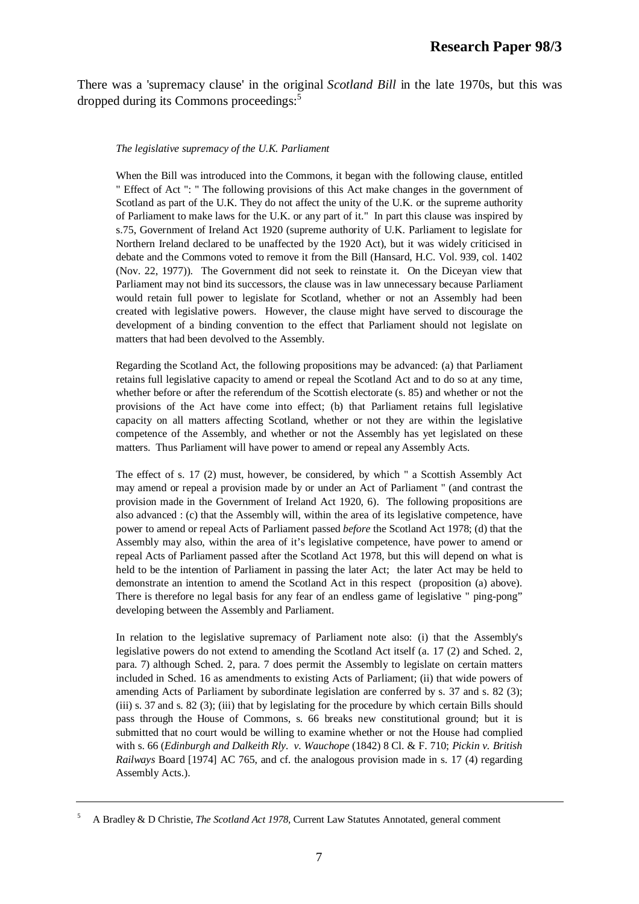There was a 'supremacy clause' in the original *Scotland Bill* in the late 1970s, but this was dropped during its Commons proceedings:<sup>5</sup>

#### *The legislative supremacy of the U.K. Parliament*

When the Bill was introduced into the Commons, it began with the following clause, entitled " Effect of Act ": " The following provisions of this Act make changes in the government of Scotland as part of the U.K. They do not affect the unity of the U.K. or the supreme authority of Parliament to make laws for the U.K. or any part of it." In part this clause was inspired by s.75, Government of Ireland Act 1920 (supreme authority of U.K. Parliament to legislate for Northern Ireland declared to be unaffected by the 1920 Act), but it was widely criticised in debate and the Commons voted to remove it from the Bill (Hansard, H.C. Vol. 939, col. 1402 (Nov. 22, 1977)). The Government did not seek to reinstate it. On the Diceyan view that Parliament may not bind its successors, the clause was in law unnecessary because Parliament would retain full power to legislate for Scotland, whether or not an Assembly had been created with legislative powers. However, the clause might have served to discourage the development of a binding convention to the effect that Parliament should not legislate on matters that had been devolved to the Assembly.

Regarding the Scotland Act, the following propositions may be advanced: (a) that Parliament retains full legislative capacity to amend or repeal the Scotland Act and to do so at any time, whether before or after the referendum of the Scottish electorate (s. 85) and whether or not the provisions of the Act have come into effect; (b) that Parliament retains full legislative capacity on all matters affecting Scotland, whether or not they are within the legislative competence of the Assembly, and whether or not the Assembly has yet legislated on these matters. Thus Parliament will have power to amend or repeal any Assembly Acts.

The effect of s. 17 (2) must, however, be considered, by which " a Scottish Assembly Act may amend or repeal a provision made by or under an Act of Parliament " (and contrast the provision made in the Government of Ireland Act 1920, 6). The following propositions are also advanced : (c) that the Assembly will, within the area of its legislative competence, have power to amend or repeal Acts of Parliament passed *before* the Scotland Act 1978; (d) that the Assembly may also, within the area of it's legislative competence, have power to amend or repeal Acts of Parliament passed after the Scotland Act 1978, but this will depend on what is held to be the intention of Parliament in passing the later Act; the later Act may be held to demonstrate an intention to amend the Scotland Act in this respect (proposition (a) above). There is therefore no legal basis for any fear of an endless game of legislative " ping-pong" developing between the Assembly and Parliament.

In relation to the legislative supremacy of Parliament note also: (i) that the Assembly's legislative powers do not extend to amending the Scotland Act itself (a. 17 (2) and Sched. 2, para. 7) although Sched. 2, para. 7 does permit the Assembly to legislate on certain matters included in Sched. 16 as amendments to existing Acts of Parliament; (ii) that wide powers of amending Acts of Parliament by subordinate legislation are conferred by s. 37 and s. 82 (3); (iii) s. 37 and s. 82 (3); (iii) that by legislating for the procedure by which certain Bills should pass through the House of Commons, s. 66 breaks new constitutional ground; but it is submitted that no court would be willing to examine whether or not the House had complied with s. 66 (*Edinburgh and Dalkeith Rly. v. Wauchope* (1842) 8 Cl. & F. 710; *Pickin v. British Railways* Board [1974] AC 765, and cf. the analogous provision made in s. 17 (4) regarding Assembly Acts.).

<sup>5</sup> A Bradley & D Christie, *The Scotland Act 1978*, Current Law Statutes Annotated, general comment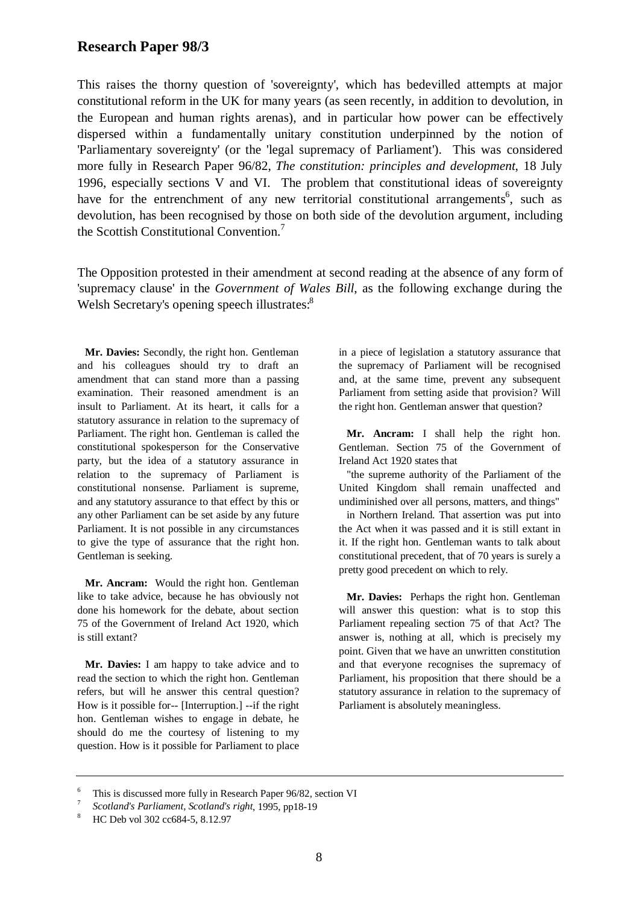This raises the thorny question of 'sovereignty', which has bedevilled attempts at major constitutional reform in the UK for many years (as seen recently, in addition to devolution, in the European and human rights arenas), and in particular how power can be effectively dispersed within a fundamentally unitary constitution underpinned by the notion of 'Parliamentary sovereignty' (or the 'legal supremacy of Parliament'). This was considered more fully in Research Paper 96/82, *The constitution: principles and development*, 18 July 1996, especially sections V and VI. The problem that constitutional ideas of sovereignty have for the entrenchment of any new territorial constitutional arrangements<sup>6</sup>, such as devolution, has been recognised by those on both side of the devolution argument, including the Scottish Constitutional Convention.<sup>7</sup>

The Opposition protested in their amendment at second reading at the absence of any form of 'supremacy clause' in the *Government of Wales Bill*, as the following exchange during the Welsh Secretary's opening speech illustrates:<sup>8</sup>

**Mr. Davies:** Secondly, the right hon. Gentleman and his colleagues should try to draft an amendment that can stand more than a passing examination. Their reasoned amendment is an insult to Parliament. At its heart, it calls for a statutory assurance in relation to the supremacy of Parliament. The right hon. Gentleman is called the constitutional spokesperson for the Conservative party, but the idea of a statutory assurance in relation to the supremacy of Parliament is constitutional nonsense. Parliament is supreme, and any statutory assurance to that effect by this or any other Parliament can be set aside by any future Parliament. It is not possible in any circumstances to give the type of assurance that the right hon. Gentleman is seeking.

**Mr. Ancram:** Would the right hon. Gentleman like to take advice, because he has obviously not done his homework for the debate, about section 75 of the Government of Ireland Act 1920, which is still extant?

**Mr. Davies:** I am happy to take advice and to read the section to which the right hon. Gentleman refers, but will he answer this central question? How is it possible for-- [Interruption.] --if the right hon. Gentleman wishes to engage in debate, he should do me the courtesy of listening to my question. How is it possible for Parliament to place in a piece of legislation a statutory assurance that the supremacy of Parliament will be recognised and, at the same time, prevent any subsequent Parliament from setting aside that provision? Will the right hon. Gentleman answer that question?

**Mr. Ancram:** I shall help the right hon. Gentleman. Section 75 of the Government of Ireland Act 1920 states that

"the supreme authority of the Parliament of the United Kingdom shall remain unaffected and undiminished over all persons, matters, and things"

in Northern Ireland. That assertion was put into the Act when it was passed and it is still extant in it. If the right hon. Gentleman wants to talk about constitutional precedent, that of 70 years is surely a pretty good precedent on which to rely.

**Mr. Davies:** Perhaps the right hon. Gentleman will answer this question: what is to stop this Parliament repealing section 75 of that Act? The answer is, nothing at all, which is precisely my point. Given that we have an unwritten constitution and that everyone recognises the supremacy of Parliament, his proposition that there should be a statutory assurance in relation to the supremacy of Parliament is absolutely meaningless.

<sup>6</sup> This is discussed more fully in Research Paper 96/82, section VI

<sup>7</sup> *Scotland's Parliament, Scotland's right*, 1995, pp18-19

<sup>8</sup> HC Deb vol 302 cc684-5, 8.12.97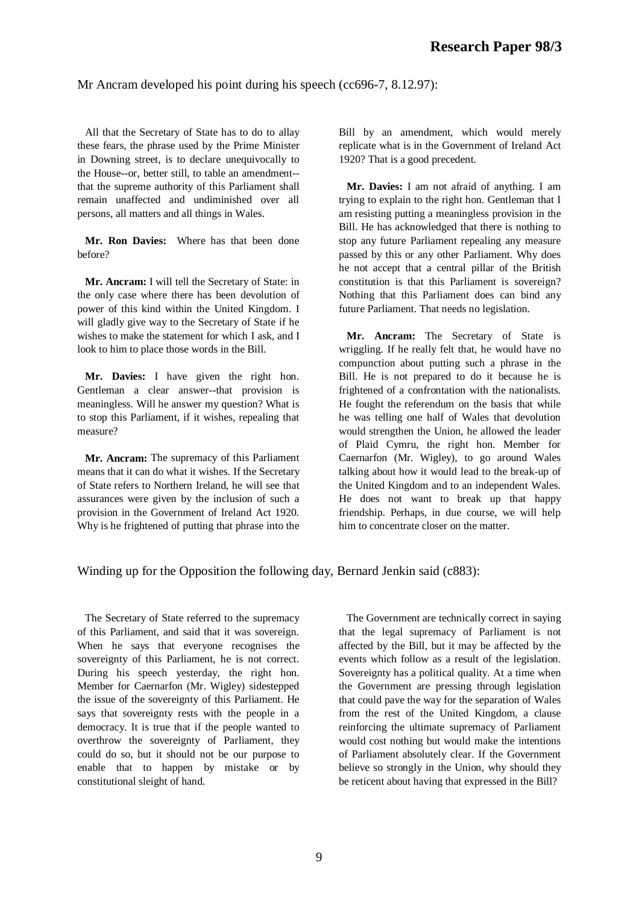#### Mr Ancram developed his point during his speech (cc696-7, 8.12.97):

All that the Secretary of State has to do to allay these fears, the phrase used by the Prime Minister in Downing street, is to declare unequivocally to the House--or, better still, to table an amendment- that the supreme authority of this Parliament shall remain unaffected and undiminished over all persons, all matters and all things in Wales.

**Mr. Ron Davies:** Where has that been done before?

**Mr. Ancram:** I will tell the Secretary of State: in the only case where there has been devolution of power of this kind within the United Kingdom. I will gladly give way to the Secretary of State if he wishes to make the statement for which I ask, and I look to him to place those words in the Bill.

**Mr. Davies:** I have given the right hon. Gentleman a clear answer--that provision is meaningless. Will he answer my question? What is to stop this Parliament, if it wishes, repealing that measure?

**Mr. Ancram:** The supremacy of this Parliament means that it can do what it wishes. If the Secretary of State refers to Northern Ireland, he will see that assurances were given by the inclusion of such a provision in the Government of Ireland Act 1920. Why is he frightened of putting that phrase into the

Bill by an amendment, which would merely replicate what is in the Government of Ireland Act 1920? That is a good precedent.

**Mr. Davies:** I am not afraid of anything. I am trying to explain to the right hon. Gentleman that I am resisting putting a meaningless provision in the Bill. He has acknowledged that there is nothing to stop any future Parliament repealing any measure passed by this or any other Parliament. Why does he not accept that a central pillar of the British constitution is that this Parliament is sovereign? Nothing that this Parliament does can bind any future Parliament. That needs no legislation.

**Mr. Ancram:** The Secretary of State is wriggling. If he really felt that, he would have no compunction about putting such a phrase in the Bill. He is not prepared to do it because he is frightened of a confrontation with the nationalists. He fought the referendum on the basis that while he was telling one half of Wales that devolution would strengthen the Union, he allowed the leader of Plaid Cymru, the right hon. Member for Caernarfon (Mr. Wigley), to go around Wales talking about how it would lead to the break-up of the United Kingdom and to an independent Wales. He does not want to break up that happy friendship. Perhaps, in due course, we will help him to concentrate closer on the matter.

Winding up for the Opposition the following day, Bernard Jenkin said (c883):

The Secretary of State referred to the supremacy of this Parliament, and said that it was sovereign. When he says that everyone recognises the sovereignty of this Parliament, he is not correct. During his speech yesterday, the right hon. Member for Caernarfon (Mr. Wigley) sidestepped the issue of the sovereignty of this Parliament. He says that sovereignty rests with the people in a democracy. It is true that if the people wanted to overthrow the sovereignty of Parliament, they could do so, but it should not be our purpose to enable that to happen by mistake or by constitutional sleight of hand.

The Government are technically correct in saying that the legal supremacy of Parliament is not affected by the Bill, but it may be affected by the events which follow as a result of the legislation. Sovereignty has a political quality. At a time when the Government are pressing through legislation that could pave the way for the separation of Wales from the rest of the United Kingdom, a clause reinforcing the ultimate supremacy of Parliament would cost nothing but would make the intentions of Parliament absolutely clear. If the Government believe so strongly in the Union, why should they be reticent about having that expressed in the Bill?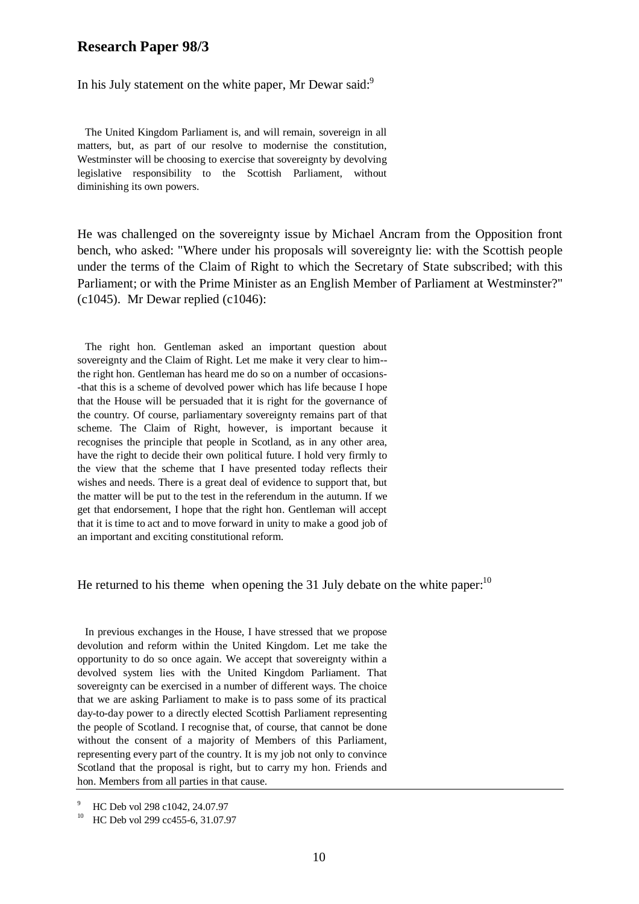In his July statement on the white paper, Mr Dewar said:<sup>9</sup>

The United Kingdom Parliament is, and will remain, sovereign in all matters, but, as part of our resolve to modernise the constitution, Westminster will be choosing to exercise that sovereignty by devolving legislative responsibility to the Scottish Parliament, without diminishing its own powers.

He was challenged on the sovereignty issue by Michael Ancram from the Opposition front bench, who asked: "Where under his proposals will sovereignty lie: with the Scottish people under the terms of the Claim of Right to which the Secretary of State subscribed; with this Parliament; or with the Prime Minister as an English Member of Parliament at Westminster?" (c1045). Mr Dewar replied (c1046):

The right hon. Gentleman asked an important question about sovereignty and the Claim of Right. Let me make it very clear to him- the right hon. Gentleman has heard me do so on a number of occasions- -that this is a scheme of devolved power which has life because I hope that the House will be persuaded that it is right for the governance of the country. Of course, parliamentary sovereignty remains part of that scheme. The Claim of Right, however, is important because it recognises the principle that people in Scotland, as in any other area, have the right to decide their own political future. I hold very firmly to the view that the scheme that I have presented today reflects their wishes and needs. There is a great deal of evidence to support that, but the matter will be put to the test in the referendum in the autumn. If we get that endorsement, I hope that the right hon. Gentleman will accept that it is time to act and to move forward in unity to make a good job of an important and exciting constitutional reform.

He returned to his theme when opening the 31 July debate on the white paper:  $10$ 

In previous exchanges in the House, I have stressed that we propose devolution and reform within the United Kingdom. Let me take the opportunity to do so once again. We accept that sovereignty within a devolved system lies with the United Kingdom Parliament. That sovereignty can be exercised in a number of different ways. The choice that we are asking Parliament to make is to pass some of its practical day-to-day power to a directly elected Scottish Parliament representing the people of Scotland. I recognise that, of course, that cannot be done without the consent of a majority of Members of this Parliament, representing every part of the country. It is my job not only to convince Scotland that the proposal is right, but to carry my hon. Friends and hon. Members from all parties in that cause.

HC Deb vol 298 c1042, 24.07.97

<sup>&</sup>lt;sup>10</sup> HC Deb vol 299 cc455-6, 31.07.97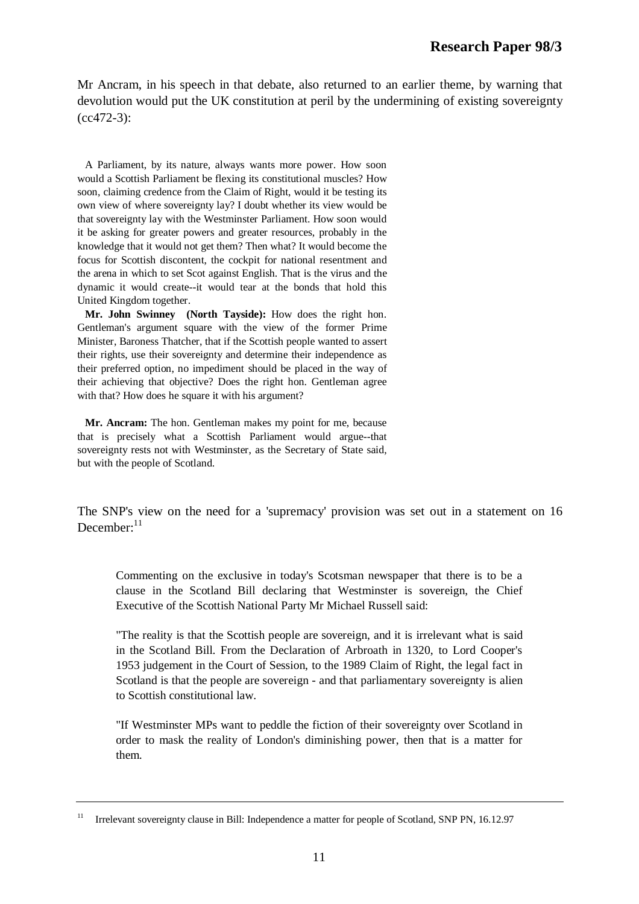Mr Ancram, in his speech in that debate, also returned to an earlier theme, by warning that devolution would put the UK constitution at peril by the undermining of existing sovereignty (cc472-3):

A Parliament, by its nature, always wants more power. How soon would a Scottish Parliament be flexing its constitutional muscles? How soon, claiming credence from the Claim of Right, would it be testing its own view of where sovereignty lay? I doubt whether its view would be that sovereignty lay with the Westminster Parliament. How soon would it be asking for greater powers and greater resources, probably in the knowledge that it would not get them? Then what? It would become the focus for Scottish discontent, the cockpit for national resentment and the arena in which to set Scot against English. That is the virus and the dynamic it would create--it would tear at the bonds that hold this United Kingdom together.

**Mr. John Swinney (North Tayside):** How does the right hon. Gentleman's argument square with the view of the former Prime Minister, Baroness Thatcher, that if the Scottish people wanted to assert their rights, use their sovereignty and determine their independence as their preferred option, no impediment should be placed in the way of their achieving that objective? Does the right hon. Gentleman agree with that? How does he square it with his argument?

**Mr. Ancram:** The hon. Gentleman makes my point for me, because that is precisely what a Scottish Parliament would argue--that sovereignty rests not with Westminster, as the Secretary of State said, but with the people of Scotland.

The SNP's view on the need for a 'supremacy' provision was set out in a statement on 16 December:<sup>11</sup>

Commenting on the exclusive in today's Scotsman newspaper that there is to be a clause in the Scotland Bill declaring that Westminster is sovereign, the Chief Executive of the Scottish National Party Mr Michael Russell said:

"The reality is that the Scottish people are sovereign, and it is irrelevant what is said in the Scotland Bill. From the Declaration of Arbroath in 1320, to Lord Cooper's 1953 judgement in the Court of Session, to the 1989 Claim of Right, the legal fact in Scotland is that the people are sovereign - and that parliamentary sovereignty is alien to Scottish constitutional law.

"If Westminster MPs want to peddle the fiction of their sovereignty over Scotland in order to mask the reality of London's diminishing power, then that is a matter for them.

<sup>11</sup> Irrelevant sovereignty clause in Bill: Independence a matter for people of Scotland, SNP PN, 16.12.97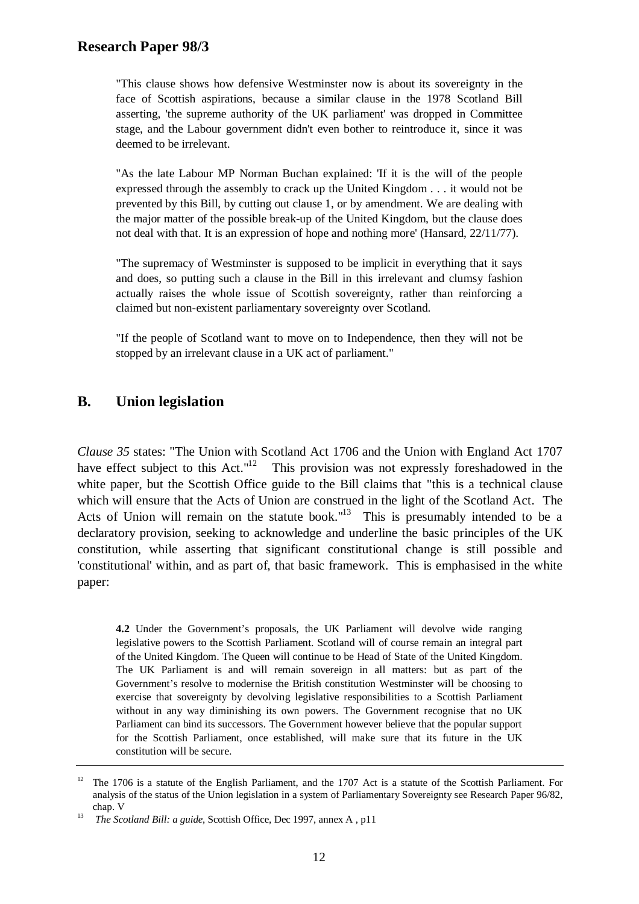"This clause shows how defensive Westminster now is about its sovereignty in the face of Scottish aspirations, because a similar clause in the 1978 Scotland Bill asserting, 'the supreme authority of the UK parliament' was dropped in Committee stage, and the Labour government didn't even bother to reintroduce it, since it was deemed to be irrelevant.

"As the late Labour MP Norman Buchan explained: 'If it is the will of the people expressed through the assembly to crack up the United Kingdom . . . it would not be prevented by this Bill, by cutting out clause 1, or by amendment. We are dealing with the major matter of the possible break-up of the United Kingdom, but the clause does not deal with that. It is an expression of hope and nothing more' (Hansard, 22/11/77).

"The supremacy of Westminster is supposed to be implicit in everything that it says and does, so putting such a clause in the Bill in this irrelevant and clumsy fashion actually raises the whole issue of Scottish sovereignty, rather than reinforcing a claimed but non-existent parliamentary sovereignty over Scotland.

"If the people of Scotland want to move on to Independence, then they will not be stopped by an irrelevant clause in a UK act of parliament."

## **B. Union legislation**

*Clause 35* states: "The Union with Scotland Act 1706 and the Union with England Act 1707 have effect subject to this Act." $12$  This provision was not expressly foreshadowed in the white paper, but the Scottish Office guide to the Bill claims that "this is a technical clause which will ensure that the Acts of Union are construed in the light of the Scotland Act. The Acts of Union will remain on the statute book."<sup>13</sup> This is presumably intended to be a declaratory provision, seeking to acknowledge and underline the basic principles of the UK constitution, while asserting that significant constitutional change is still possible and 'constitutional' within, and as part of, that basic framework. This is emphasised in the white paper:

**4.2** Under the Government's proposals, the UK Parliament will devolve wide ranging legislative powers to the Scottish Parliament. Scotland will of course remain an integral part of the United Kingdom. The Queen will continue to be Head of State of the United Kingdom. The UK Parliament is and will remain sovereign in all matters: but as part of the Government's resolve to modernise the British constitution Westminster will be choosing to exercise that sovereignty by devolving legislative responsibilities to a Scottish Parliament without in any way diminishing its own powers. The Government recognise that no UK Parliament can bind its successors. The Government however believe that the popular support for the Scottish Parliament, once established, will make sure that its future in the UK constitution will be secure.

<sup>&</sup>lt;sup>12</sup> The 1706 is a statute of the English Parliament, and the 1707 Act is a statute of the Scottish Parliament. For analysis of the status of the Union legislation in a system of Parliamentary Sovereignty see Research Paper 96/82, chap. V

<sup>&</sup>lt;sup>13</sup> *The Scotland Bill: a guide*, Scottish Office, Dec 1997, annex A, p11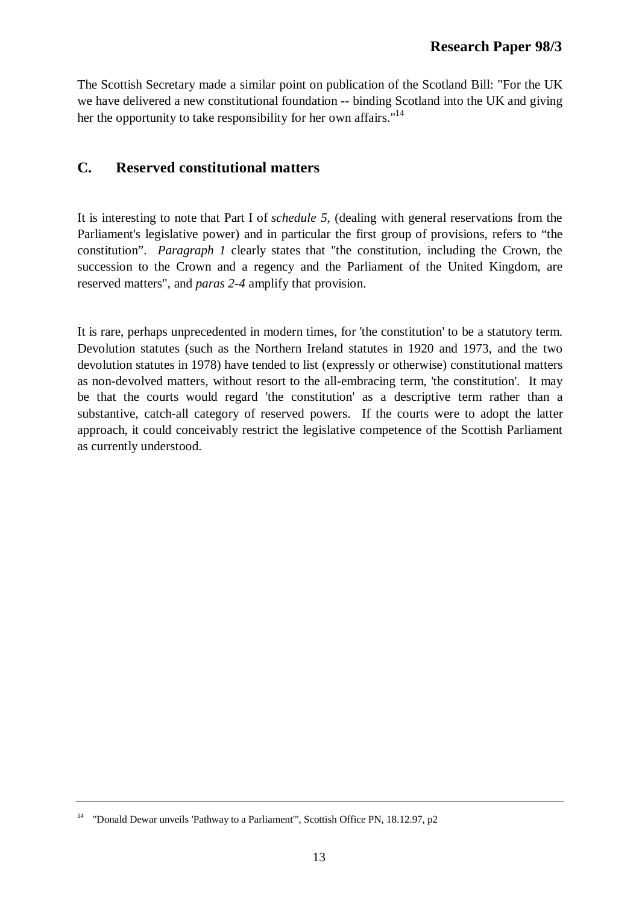The Scottish Secretary made a similar point on publication of the Scotland Bill: "For the UK we have delivered a new constitutional foundation -- binding Scotland into the UK and giving her the opportunity to take responsibility for her own affairs."<sup>14</sup>

# **C. Reserved constitutional matters**

It is interesting to note that Part I of *schedule 5*, (dealing with general reservations from the Parliament's legislative power) and in particular the first group of provisions, refers to "the constitution". *Paragraph 1* clearly states that "the constitution, including the Crown, the succession to the Crown and a regency and the Parliament of the United Kingdom, are reserved matters", and *paras 2-4* amplify that provision.

It is rare, perhaps unprecedented in modern times, for 'the constitution' to be a statutory term. Devolution statutes (such as the Northern Ireland statutes in 1920 and 1973, and the two devolution statutes in 1978) have tended to list (expressly or otherwise) constitutional matters as non-devolved matters, without resort to the all-embracing term, 'the constitution'. It may be that the courts would regard 'the constitution' as a descriptive term rather than a substantive, catch-all category of reserved powers. If the courts were to adopt the latter approach, it could conceivably restrict the legislative competence of the Scottish Parliament as currently understood.

<sup>&</sup>lt;sup>14</sup> "Donald Dewar unveils 'Pathway to a Parliament'", Scottish Office PN, 18.12.97, p2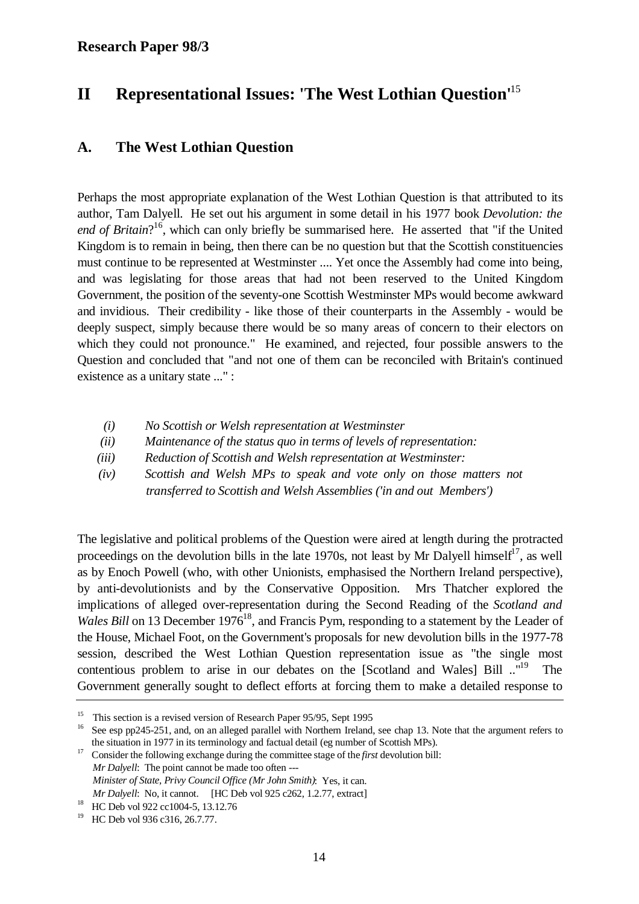# **II Representational Issues: 'The West Lothian Question'**<sup>15</sup>

# **A. The West Lothian Question**

Perhaps the most appropriate explanation of the West Lothian Question is that attributed to its author, Tam Dalyell. He set out his argument in some detail in his 1977 book *Devolution: the* end of Britain?<sup>16</sup>, which can only briefly be summarised here. He asserted that "if the United Kingdom is to remain in being, then there can be no question but that the Scottish constituencies must continue to be represented at Westminster .... Yet once the Assembly had come into being, and was legislating for those areas that had not been reserved to the United Kingdom Government, the position of the seventy-one Scottish Westminster MPs would become awkward and invidious. Their credibility - like those of their counterparts in the Assembly - would be deeply suspect, simply because there would be so many areas of concern to their electors on which they could not pronounce." He examined, and rejected, four possible answers to the Question and concluded that "and not one of them can be reconciled with Britain's continued existence as a unitary state ..." :

- *(i) No Scottish or Welsh representation at Westminster*
- *(ii) Maintenance of the status quo in terms of levels of representation:*
- *(iii) Reduction of Scottish and Welsh representation at Westminster:*
- *(iv) Scottish and Welsh MPs to speak and vote only on those matters not transferred to Scottish and Welsh Assemblies ('in and out Members')*

The legislative and political problems of the Question were aired at length during the protracted proceedings on the devolution bills in the late 1970s, not least by Mr Dalyell himself<sup>17</sup>, as well as by Enoch Powell (who, with other Unionists, emphasised the Northern Ireland perspective), by anti-devolutionists and by the Conservative Opposition. Mrs Thatcher explored the implications of alleged over-representation during the Second Reading of the *Scotland and Wales Bill* on 13 December 1976<sup>18</sup>, and Francis Pym, responding to a statement by the Leader of the House, Michael Foot, on the Government's proposals for new devolution bills in the 1977-78 session, described the West Lothian Question representation issue as "the single most contentious problem to arise in our debates on the [Scotland and Wales] Bill .."<sup>19</sup> The Government generally sought to deflect efforts at forcing them to make a detailed response to

<sup>&</sup>lt;sup>15</sup> This section is a revised version of Research Paper 95/95, Sept 1995

<sup>16</sup> See esp pp245-251, and, on an alleged parallel with Northern Ireland, see chap 13. Note that the argument refers to the situation in 1977 in its terminology and factual detail (eg number of Scottish MPs).

<sup>&</sup>lt;sup>17</sup> Consider the following exchange during the committee stage of the *first* devolution bill: *Mr Dalyell*: The point cannot be made too often --- *Minister of State, Privy Council Office (Mr John Smith)*: Yes, it can. *Mr Dalyell*: No, it cannot. [HC Deb vol 925 c262, 1.2.77, extract]

<sup>&</sup>lt;sup>18</sup> HC Deb vol 922 cc1004-5, 13.12.76

<sup>&</sup>lt;sup>19</sup> HC Deb vol 936 c316, 26.7.77.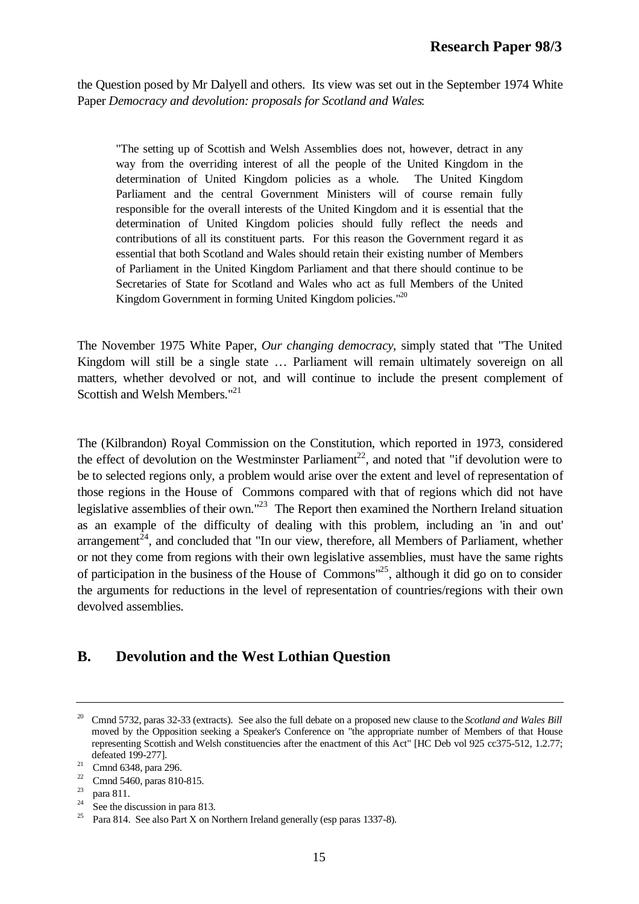the Question posed by Mr Dalyell and others. Its view was set out in the September 1974 White Paper *Democracy and devolution: proposals for Scotland and Wales*:

"The setting up of Scottish and Welsh Assemblies does not, however, detract in any way from the overriding interest of all the people of the United Kingdom in the determination of United Kingdom policies as a whole. The United Kingdom Parliament and the central Government Ministers will of course remain fully responsible for the overall interests of the United Kingdom and it is essential that the determination of United Kingdom policies should fully reflect the needs and contributions of all its constituent parts. For this reason the Government regard it as essential that both Scotland and Wales should retain their existing number of Members of Parliament in the United Kingdom Parliament and that there should continue to be Secretaries of State for Scotland and Wales who act as full Members of the United Kingdom Government in forming United Kingdom policies."20

The November 1975 White Paper, *Our changing democracy*, simply stated that "The United Kingdom will still be a single state … Parliament will remain ultimately sovereign on all matters, whether devolved or not, and will continue to include the present complement of Scottish and Welsh Members."<sup>21</sup>

The (Kilbrandon) Royal Commission on the Constitution, which reported in 1973, considered the effect of devolution on the Westminster Parliament<sup>22</sup>, and noted that "if devolution were to be to selected regions only, a problem would arise over the extent and level of representation of those regions in the House of Commons compared with that of regions which did not have legislative assemblies of their own."<sup>23</sup> The Report then examined the Northern Ireland situation as an example of the difficulty of dealing with this problem, including an 'in and out' arrangement<sup>24</sup>, and concluded that "In our view, therefore, all Members of Parliament, whether or not they come from regions with their own legislative assemblies, must have the same rights of participation in the business of the House of Commons<sup> $125$ </sup>, although it did go on to consider the arguments for reductions in the level of representation of countries/regions with their own devolved assemblies.

# **B. Devolution and the West Lothian Question**

<sup>20</sup> Cmnd 5732, paras 32-33 (extracts). See also the full debate on a proposed new clause to the *Scotland and Wales Bill* moved by the Opposition seeking a Speaker's Conference on "the appropriate number of Members of that House representing Scottish and Welsh constituencies after the enactment of this Act" [HC Deb vol 925 cc375-512, 1.2.77; defeated 199-277].

<sup>&</sup>lt;sup>21</sup> Cmnd 6348, para 296.

 $\frac{22}{23}$  Cmnd 5460, paras 810-815.

 $\frac{23}{24}$  para 811.

See the discussion in para 813.

<sup>&</sup>lt;sup>25</sup> Para 814. See also Part X on Northern Ireland generally (esp paras 1337-8).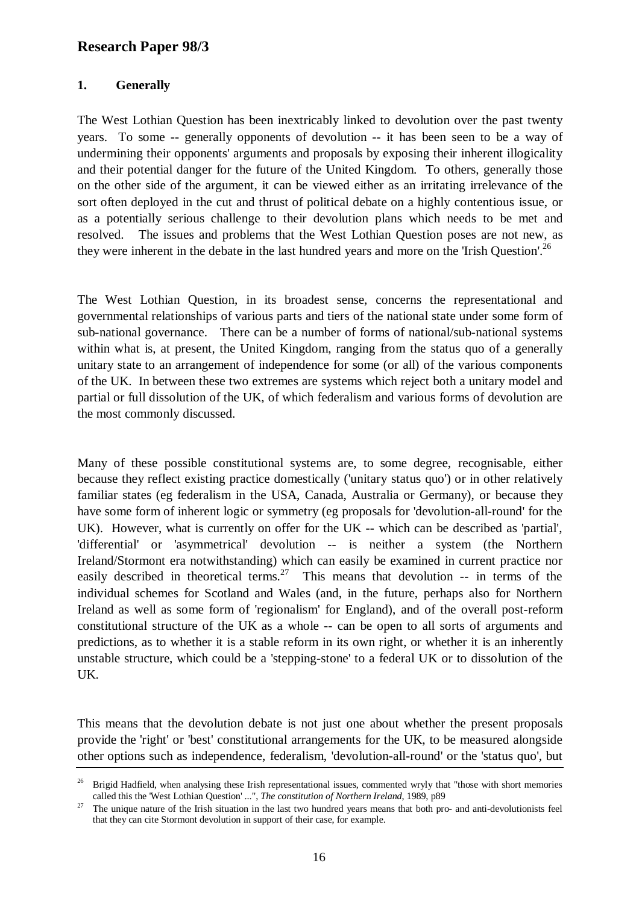#### **1. Generally**

The West Lothian Question has been inextricably linked to devolution over the past twenty years. To some -- generally opponents of devolution -- it has been seen to be a way of undermining their opponents' arguments and proposals by exposing their inherent illogicality and their potential danger for the future of the United Kingdom. To others, generally those on the other side of the argument, it can be viewed either as an irritating irrelevance of the sort often deployed in the cut and thrust of political debate on a highly contentious issue, or as a potentially serious challenge to their devolution plans which needs to be met and resolved. The issues and problems that the West Lothian Question poses are not new, as they were inherent in the debate in the last hundred years and more on the 'Irish Question'.<sup>26</sup>

The West Lothian Question, in its broadest sense, concerns the representational and governmental relationships of various parts and tiers of the national state under some form of sub-national governance. There can be a number of forms of national/sub-national systems within what is, at present, the United Kingdom, ranging from the status quo of a generally unitary state to an arrangement of independence for some (or all) of the various components of the UK. In between these two extremes are systems which reject both a unitary model and partial or full dissolution of the UK, of which federalism and various forms of devolution are the most commonly discussed.

Many of these possible constitutional systems are, to some degree, recognisable, either because they reflect existing practice domestically ('unitary status quo') or in other relatively familiar states (eg federalism in the USA, Canada, Australia or Germany), or because they have some form of inherent logic or symmetry (eg proposals for 'devolution-all-round' for the UK). However, what is currently on offer for the UK -- which can be described as 'partial', 'differential' or 'asymmetrical' devolution -- is neither a system (the Northern Ireland/Stormont era notwithstanding) which can easily be examined in current practice nor easily described in theoretical terms.<sup>27</sup> This means that devolution  $-$  in terms of the individual schemes for Scotland and Wales (and, in the future, perhaps also for Northern Ireland as well as some form of 'regionalism' for England), and of the overall post-reform constitutional structure of the UK as a whole -- can be open to all sorts of arguments and predictions, as to whether it is a stable reform in its own right, or whether it is an inherently unstable structure, which could be a 'stepping-stone' to a federal UK or to dissolution of the UK.

This means that the devolution debate is not just one about whether the present proposals provide the 'right' or 'best' constitutional arrangements for the UK, to be measured alongside other options such as independence, federalism, 'devolution-all-round' or the 'status quo', but

<sup>&</sup>lt;sup>26</sup> Brigid Hadfield, when analysing these Irish representational issues, commented wryly that "those with short memories called this the 'West Lothian Question' ...", *The constitution of Northern Ireland*, 1989, p89

<sup>&</sup>lt;sup>27</sup> The unique nature of the Irish situation in the last two hundred years means that both pro- and anti-devolutionists feel that they can cite Stormont devolution in support of their case, for example.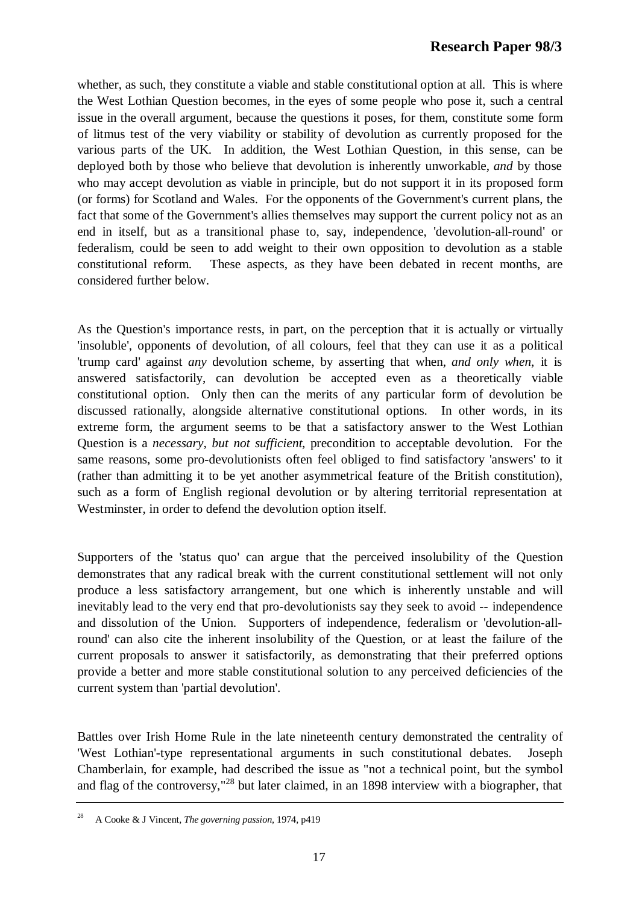whether, as such, they constitute a viable and stable constitutional option at all. This is where the West Lothian Question becomes, in the eyes of some people who pose it, such a central issue in the overall argument, because the questions it poses, for them, constitute some form of litmus test of the very viability or stability of devolution as currently proposed for the various parts of the UK. In addition, the West Lothian Question, in this sense, can be deployed both by those who believe that devolution is inherently unworkable, *and* by those who may accept devolution as viable in principle, but do not support it in its proposed form (or forms) for Scotland and Wales. For the opponents of the Government's current plans, the fact that some of the Government's allies themselves may support the current policy not as an end in itself, but as a transitional phase to, say, independence, 'devolution-all-round' or federalism, could be seen to add weight to their own opposition to devolution as a stable constitutional reform. These aspects, as they have been debated in recent months, are considered further below.

As the Question's importance rests, in part, on the perception that it is actually or virtually 'insoluble', opponents of devolution, of all colours, feel that they can use it as a political 'trump card' against *any* devolution scheme, by asserting that when, *and only when*, it is answered satisfactorily, can devolution be accepted even as a theoretically viable constitutional option. Only then can the merits of any particular form of devolution be discussed rationally, alongside alternative constitutional options. In other words, in its extreme form, the argument seems to be that a satisfactory answer to the West Lothian Question is a *necessary, but not sufficient*, precondition to acceptable devolution. For the same reasons, some pro-devolutionists often feel obliged to find satisfactory 'answers' to it (rather than admitting it to be yet another asymmetrical feature of the British constitution), such as a form of English regional devolution or by altering territorial representation at Westminster, in order to defend the devolution option itself.

Supporters of the 'status quo' can argue that the perceived insolubility of the Question demonstrates that any radical break with the current constitutional settlement will not only produce a less satisfactory arrangement, but one which is inherently unstable and will inevitably lead to the very end that pro-devolutionists say they seek to avoid -- independence and dissolution of the Union. Supporters of independence, federalism or 'devolution-allround' can also cite the inherent insolubility of the Question, or at least the failure of the current proposals to answer it satisfactorily, as demonstrating that their preferred options provide a better and more stable constitutional solution to any perceived deficiencies of the current system than 'partial devolution'.

Battles over Irish Home Rule in the late nineteenth century demonstrated the centrality of 'West Lothian'-type representational arguments in such constitutional debates. Joseph Chamberlain, for example, had described the issue as "not a technical point, but the symbol and flag of the controversy,"28 but later claimed, in an 1898 interview with a biographer, that

<sup>28</sup> A Cooke & J Vincent, *The governing passion*, 1974, p419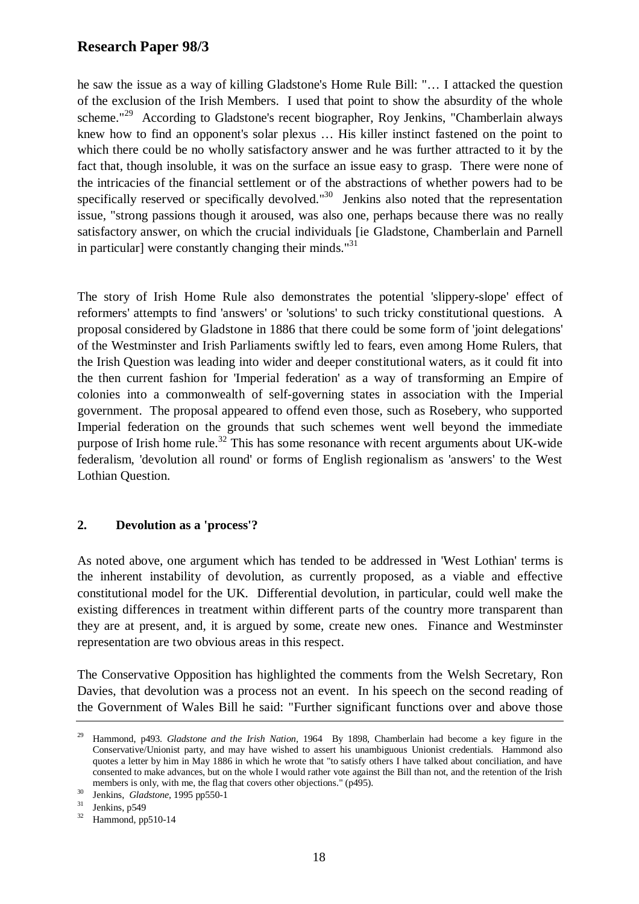he saw the issue as a way of killing Gladstone's Home Rule Bill: "… I attacked the question of the exclusion of the Irish Members. I used that point to show the absurdity of the whole scheme."<sup>29</sup> According to Gladstone's recent biographer, Roy Jenkins, "Chamberlain always knew how to find an opponent's solar plexus … His killer instinct fastened on the point to which there could be no wholly satisfactory answer and he was further attracted to it by the fact that, though insoluble, it was on the surface an issue easy to grasp. There were none of the intricacies of the financial settlement or of the abstractions of whether powers had to be specifically reserved or specifically devolved."<sup>30</sup> Jenkins also noted that the representation issue, "strong passions though it aroused, was also one, perhaps because there was no really satisfactory answer, on which the crucial individuals [ie Gladstone, Chamberlain and Parnell in particular] were constantly changing their minds. $131$ 

The story of Irish Home Rule also demonstrates the potential 'slippery-slope' effect of reformers' attempts to find 'answers' or 'solutions' to such tricky constitutional questions. A proposal considered by Gladstone in 1886 that there could be some form of 'joint delegations' of the Westminster and Irish Parliaments swiftly led to fears, even among Home Rulers, that the Irish Question was leading into wider and deeper constitutional waters, as it could fit into the then current fashion for 'Imperial federation' as a way of transforming an Empire of colonies into a commonwealth of self-governing states in association with the Imperial government. The proposal appeared to offend even those, such as Rosebery, who supported Imperial federation on the grounds that such schemes went well beyond the immediate purpose of Irish home rule.<sup>32</sup> This has some resonance with recent arguments about UK-wide federalism, 'devolution all round' or forms of English regionalism as 'answers' to the West Lothian Question.

#### **2. Devolution as a 'process'?**

As noted above, one argument which has tended to be addressed in 'West Lothian' terms is the inherent instability of devolution, as currently proposed, as a viable and effective constitutional model for the UK. Differential devolution, in particular, could well make the existing differences in treatment within different parts of the country more transparent than they are at present, and, it is argued by some, create new ones. Finance and Westminster representation are two obvious areas in this respect.

The Conservative Opposition has highlighted the comments from the Welsh Secretary, Ron Davies, that devolution was a process not an event. In his speech on the second reading of the Government of Wales Bill he said: "Further significant functions over and above those

<sup>29</sup> Hammond, p493. *Gladstone and the Irish Nation,* 1964 By 1898, Chamberlain had become a key figure in the Conservative/Unionist party, and may have wished to assert his unambiguous Unionist credentials. Hammond also quotes a letter by him in May 1886 in which he wrote that "to satisfy others I have talked about conciliation, and have consented to make advances, but on the whole I would rather vote against the Bill than not, and the retention of the Irish members is only, with me, the flag that covers other objections." (p495).

<sup>&</sup>lt;sup>30</sup> Jenkins, *Gladstone*, 1995 pp550-1<br><sup>31</sup> Jenkins, p540

Jenkins, p549

<sup>32</sup> Hammond, pp510-14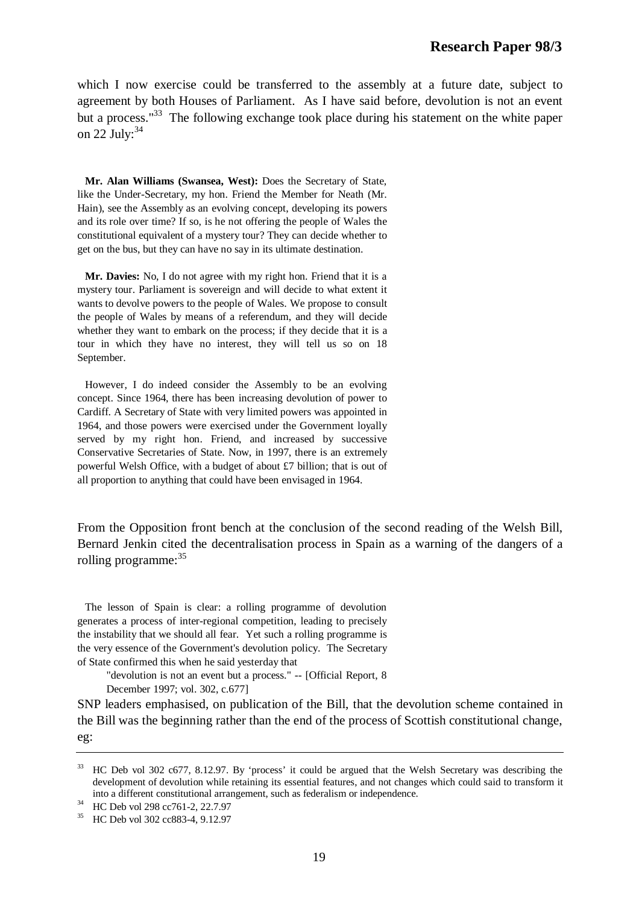which I now exercise could be transferred to the assembly at a future date, subject to agreement by both Houses of Parliament. As I have said before, devolution is not an event but a process."<sup>33</sup> The following exchange took place during his statement on the white paper on  $22$  July:  $34$ 

**Mr. Alan Williams (Swansea, West):** Does the Secretary of State, like the Under-Secretary, my hon. Friend the Member for Neath (Mr. Hain), see the Assembly as an evolving concept, developing its powers and its role over time? If so, is he not offering the people of Wales the constitutional equivalent of a mystery tour? They can decide whether to get on the bus, but they can have no say in its ultimate destination.

**Mr. Davies:** No, I do not agree with my right hon. Friend that it is a mystery tour. Parliament is sovereign and will decide to what extent it wants to devolve powers to the people of Wales. We propose to consult the people of Wales by means of a referendum, and they will decide whether they want to embark on the process; if they decide that it is a tour in which they have no interest, they will tell us so on 18 September.

However, I do indeed consider the Assembly to be an evolving concept. Since 1964, there has been increasing devolution of power to Cardiff. A Secretary of State with very limited powers was appointed in 1964, and those powers were exercised under the Government loyally served by my right hon. Friend, and increased by successive Conservative Secretaries of State. Now, in 1997, there is an extremely powerful Welsh Office, with a budget of about £7 billion; that is out of all proportion to anything that could have been envisaged in 1964.

From the Opposition front bench at the conclusion of the second reading of the Welsh Bill, Bernard Jenkin cited the decentralisation process in Spain as a warning of the dangers of a rolling programme:<sup>35</sup>

The lesson of Spain is clear: a rolling programme of devolution generates a process of inter-regional competition, leading to precisely the instability that we should all fear. Yet such a rolling programme is the very essence of the Government's devolution policy. The Secretary of State confirmed this when he said yesterday that

"devolution is not an event but a process." -- [Official Report, 8 December 1997; vol. 302, c.677]

SNP leaders emphasised, on publication of the Bill, that the devolution scheme contained in the Bill was the beginning rather than the end of the process of Scottish constitutional change, eg:

<sup>33</sup> HC Deb vol 302 c677, 8.12.97. By 'process' it could be argued that the Welsh Secretary was describing the development of devolution while retaining its essential features, and not changes which could said to transform it into a different constitutional arrangement, such as federalism or independence.

<sup>34</sup> HC Deb vol 298 cc761-2, 22.7.97

<sup>35</sup> HC Deb vol 302 cc883-4, 9.12.97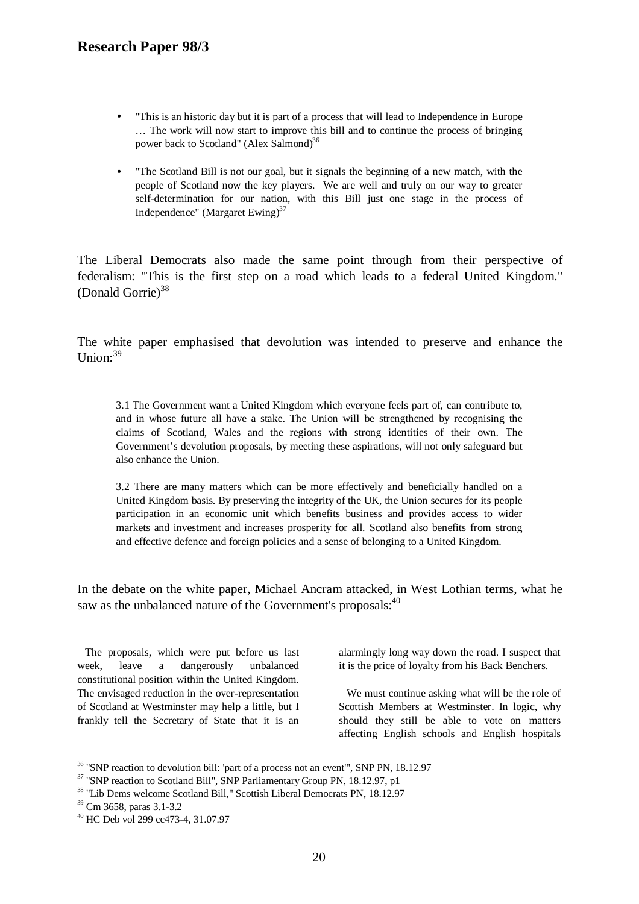- "This is an historic day but it is part of a process that will lead to Independence in Europe … The work will now start to improve this bill and to continue the process of bringing power back to Scotland" (Alex Salmond)<sup>36</sup>
- "The Scotland Bill is not our goal, but it signals the beginning of a new match, with the people of Scotland now the key players. We are well and truly on our way to greater self-determination for our nation, with this Bill just one stage in the process of Independence" (Margaret Ewing) $37$

The Liberal Democrats also made the same point through from their perspective of federalism: "This is the first step on a road which leads to a federal United Kingdom." (Donald Gorrie) $38$ 

The white paper emphasised that devolution was intended to preserve and enhance the Union: $39$ 

3.1 The Government want a United Kingdom which everyone feels part of, can contribute to, and in whose future all have a stake. The Union will be strengthened by recognising the claims of Scotland, Wales and the regions with strong identities of their own. The Government's devolution proposals, by meeting these aspirations, will not only safeguard but also enhance the Union.

3.2 There are many matters which can be more effectively and beneficially handled on a United Kingdom basis. By preserving the integrity of the UK, the Union secures for its people participation in an economic unit which benefits business and provides access to wider markets and investment and increases prosperity for all. Scotland also benefits from strong and effective defence and foreign policies and a sense of belonging to a United Kingdom.

In the debate on the white paper, Michael Ancram attacked, in West Lothian terms, what he saw as the unbalanced nature of the Government's proposals:<sup>40</sup>

The proposals, which were put before us last week, leave a dangerously unbalanced constitutional position within the United Kingdom. The envisaged reduction in the over-representation of Scotland at Westminster may help a little, but I frankly tell the Secretary of State that it is an alarmingly long way down the road. I suspect that it is the price of loyalty from his Back Benchers.

We must continue asking what will be the role of Scottish Members at Westminster. In logic, why should they still be able to vote on matters affecting English schools and English hospitals

<sup>&</sup>lt;sup>36</sup> "SNP reaction to devolution bill: 'part of a process not an event'", SNP PN, 18.12.97

<sup>&</sup>lt;sup>37</sup> "SNP reaction to Scotland Bill", SNP Parliamentary Group PN, 18.12.97, p1

<sup>&</sup>lt;sup>38</sup> "Lib Dems welcome Scotland Bill," Scottish Liberal Democrats PN, 18,12.97

<sup>39</sup> Cm 3658, paras 3.1-3.2

<sup>40</sup> HC Deb vol 299 cc473-4, 31.07.97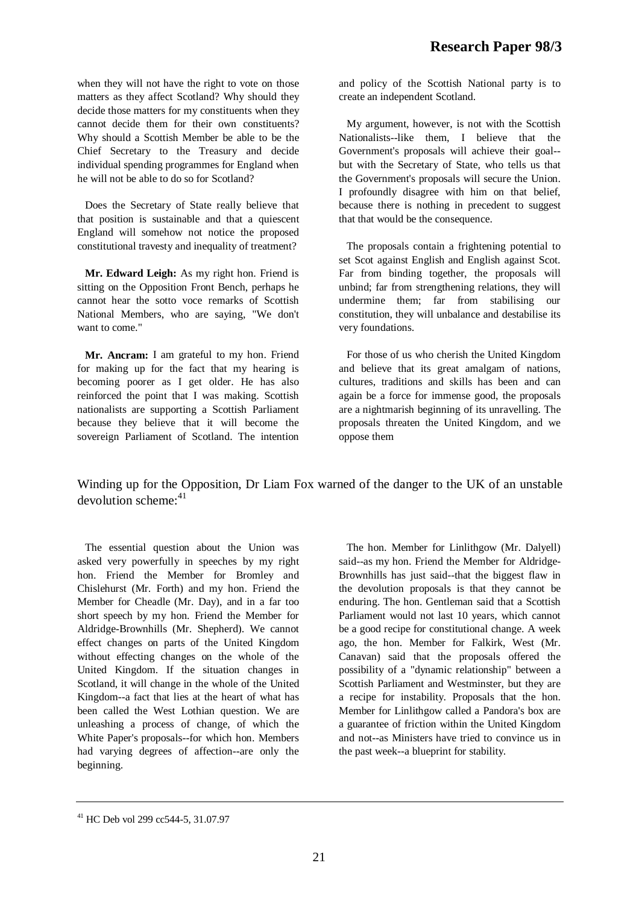when they will not have the right to vote on those matters as they affect Scotland? Why should they decide those matters for my constituents when they cannot decide them for their own constituents? Why should a Scottish Member be able to be the Chief Secretary to the Treasury and decide individual spending programmes for England when he will not be able to do so for Scotland?

Does the Secretary of State really believe that that position is sustainable and that a quiescent England will somehow not notice the proposed constitutional travesty and inequality of treatment?

**Mr. Edward Leigh:** As my right hon. Friend is sitting on the Opposition Front Bench, perhaps he cannot hear the sotto voce remarks of Scottish National Members, who are saying, "We don't want to come."

**Mr. Ancram:** I am grateful to my hon. Friend for making up for the fact that my hearing is becoming poorer as I get older. He has also reinforced the point that I was making. Scottish nationalists are supporting a Scottish Parliament because they believe that it will become the sovereign Parliament of Scotland. The intention

and policy of the Scottish National party is to create an independent Scotland.

My argument, however, is not with the Scottish Nationalists--like them, I believe that the Government's proposals will achieve their goal- but with the Secretary of State, who tells us that the Government's proposals will secure the Union. I profoundly disagree with him on that belief, because there is nothing in precedent to suggest that that would be the consequence.

The proposals contain a frightening potential to set Scot against English and English against Scot. Far from binding together, the proposals will unbind; far from strengthening relations, they will undermine them; far from stabilising our constitution, they will unbalance and destabilise its very foundations.

For those of us who cherish the United Kingdom and believe that its great amalgam of nations, cultures, traditions and skills has been and can again be a force for immense good, the proposals are a nightmarish beginning of its unravelling. The proposals threaten the United Kingdom, and we oppose them

Winding up for the Opposition, Dr Liam Fox warned of the danger to the UK of an unstable devolution scheme: 41

The essential question about the Union was asked very powerfully in speeches by my right hon. Friend the Member for Bromley and Chislehurst (Mr. Forth) and my hon. Friend the Member for Cheadle (Mr. Day), and in a far too short speech by my hon. Friend the Member for Aldridge-Brownhills (Mr. Shepherd). We cannot effect changes on parts of the United Kingdom without effecting changes on the whole of the United Kingdom. If the situation changes in Scotland, it will change in the whole of the United Kingdom--a fact that lies at the heart of what has been called the West Lothian question. We are unleashing a process of change, of which the White Paper's proposals--for which hon. Members had varying degrees of affection--are only the beginning.

The hon. Member for Linlithgow (Mr. Dalyell) said--as my hon. Friend the Member for Aldridge-Brownhills has just said--that the biggest flaw in the devolution proposals is that they cannot be enduring. The hon. Gentleman said that a Scottish Parliament would not last 10 years, which cannot be a good recipe for constitutional change. A week ago, the hon. Member for Falkirk, West (Mr. Canavan) said that the proposals offered the possibility of a "dynamic relationship" between a Scottish Parliament and Westminster, but they are a recipe for instability. Proposals that the hon. Member for Linlithgow called a Pandora's box are a guarantee of friction within the United Kingdom and not--as Ministers have tried to convince us in the past week--a blueprint for stability.

<sup>41</sup> HC Deb vol 299 cc544-5, 31.07.97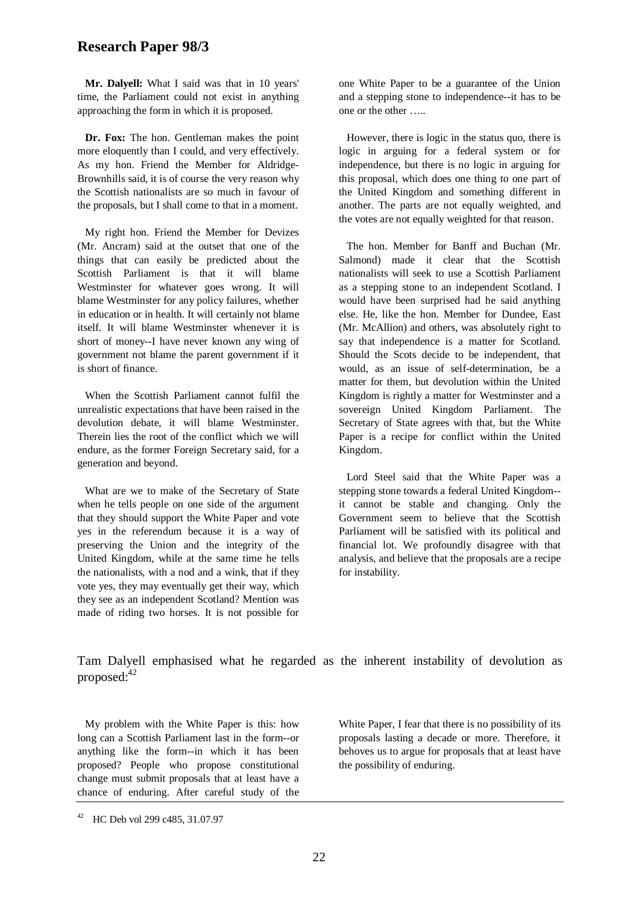**Mr. Dalyell:** What I said was that in 10 years' time, the Parliament could not exist in anything approaching the form in which it is proposed.

**Dr. Fox:** The hon. Gentleman makes the point more eloquently than I could, and very effectively. As my hon. Friend the Member for Aldridge-Brownhills said, it is of course the very reason why the Scottish nationalists are so much in favour of the proposals, but I shall come to that in a moment.

My right hon. Friend the Member for Devizes (Mr. Ancram) said at the outset that one of the things that can easily be predicted about the Scottish Parliament is that it will blame Westminster for whatever goes wrong. It will blame Westminster for any policy failures, whether in education or in health. It will certainly not blame itself. It will blame Westminster whenever it is short of money--I have never known any wing of government not blame the parent government if it is short of finance.

When the Scottish Parliament cannot fulfil the unrealistic expectations that have been raised in the devolution debate, it will blame Westminster. Therein lies the root of the conflict which we will endure, as the former Foreign Secretary said, for a generation and beyond.

What are we to make of the Secretary of State when he tells people on one side of the argument that they should support the White Paper and vote yes in the referendum because it is a way of preserving the Union and the integrity of the United Kingdom, while at the same time he tells the nationalists, with a nod and a wink, that if they vote yes, they may eventually get their way, which they see as an independent Scotland? Mention was made of riding two horses. It is not possible for

one White Paper to be a guarantee of the Union and a stepping stone to independence--it has to be one or the other …..

However, there is logic in the status quo, there is logic in arguing for a federal system or for independence, but there is no logic in arguing for this proposal, which does one thing to one part of the United Kingdom and something different in another. The parts are not equally weighted, and the votes are not equally weighted for that reason.

The hon. Member for Banff and Buchan (Mr. Salmond) made it clear that the Scottish nationalists will seek to use a Scottish Parliament as a stepping stone to an independent Scotland. I would have been surprised had he said anything else. He, like the hon. Member for Dundee, East (Mr. McAllion) and others, was absolutely right to say that independence is a matter for Scotland. Should the Scots decide to be independent, that would, as an issue of self-determination, be a matter for them, but devolution within the United Kingdom is rightly a matter for Westminster and a sovereign United Kingdom Parliament. The Secretary of State agrees with that, but the White Paper is a recipe for conflict within the United Kingdom.

Lord Steel said that the White Paper was a stepping stone towards a federal United Kingdom- it cannot be stable and changing. Only the Government seem to believe that the Scottish Parliament will be satisfied with its political and financial lot. We profoundly disagree with that analysis, and believe that the proposals are a recipe for instability.

Tam Dalyell emphasised what he regarded as the inherent instability of devolution as proposed:42

My problem with the White Paper is this: how long can a Scottish Parliament last in the form--or anything like the form--in which it has been proposed? People who propose constitutional change must submit proposals that at least have a chance of enduring. After careful study of the

White Paper, I fear that there is no possibility of its proposals lasting a decade or more. Therefore, it behoves us to argue for proposals that at least have the possibility of enduring.

<sup>42</sup> HC Deb vol 299 c485, 31.07.97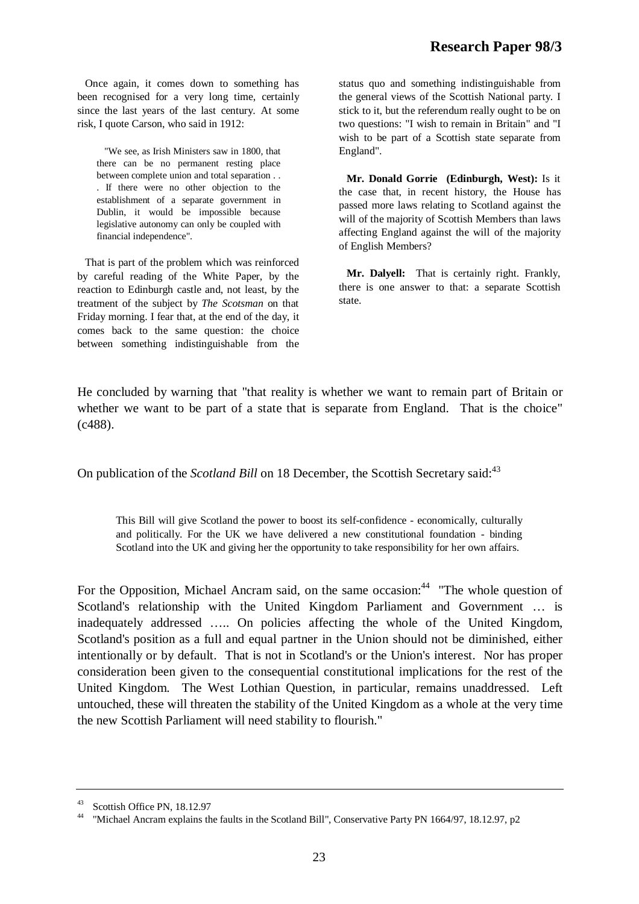Once again, it comes down to something has been recognised for a very long time, certainly since the last years of the last century. At some risk, I quote Carson, who said in 1912:

"We see, as Irish Ministers saw in 1800, that there can be no permanent resting place between complete union and total separation . . . If there were no other objection to the establishment of a separate government in Dublin, it would be impossible because legislative autonomy can only be coupled with financial independence".

That is part of the problem which was reinforced by careful reading of the White Paper, by the reaction to Edinburgh castle and, not least, by the treatment of the subject by *The Scotsman* on that Friday morning. I fear that, at the end of the day, it comes back to the same question: the choice between something indistinguishable from the

status quo and something indistinguishable from the general views of the Scottish National party. I stick to it, but the referendum really ought to be on two questions: "I wish to remain in Britain" and "I wish to be part of a Scottish state separate from England".

**Mr. Donald Gorrie (Edinburgh, West):** Is it the case that, in recent history, the House has passed more laws relating to Scotland against the will of the majority of Scottish Members than laws affecting England against the will of the majority of English Members?

**Mr. Dalyell:** That is certainly right. Frankly, there is one answer to that: a separate Scottish state.

He concluded by warning that "that reality is whether we want to remain part of Britain or whether we want to be part of a state that is separate from England. That is the choice" (c488).

On publication of the *Scotland Bill* on 18 December, the *Scottish Secretary said*:<sup>43</sup>

This Bill will give Scotland the power to boost its self-confidence - economically, culturally and politically. For the UK we have delivered a new constitutional foundation - binding Scotland into the UK and giving her the opportunity to take responsibility for her own affairs.

For the Opposition, Michael Ancram said, on the same occasion:<sup>44</sup> "The whole question of Scotland's relationship with the United Kingdom Parliament and Government … is inadequately addressed ….. On policies affecting the whole of the United Kingdom, Scotland's position as a full and equal partner in the Union should not be diminished, either intentionally or by default. That is not in Scotland's or the Union's interest. Nor has proper consideration been given to the consequential constitutional implications for the rest of the United Kingdom. The West Lothian Question, in particular, remains unaddressed. Left untouched, these will threaten the stability of the United Kingdom as a whole at the very time the new Scottish Parliament will need stability to flourish."

<sup>43</sup> Scottish Office PN, 18.12.97

<sup>&</sup>lt;sup>44</sup> "Michael Ancram explains the faults in the Scotland Bill", Conservative Party PN 1664/97, 18.12.97, p2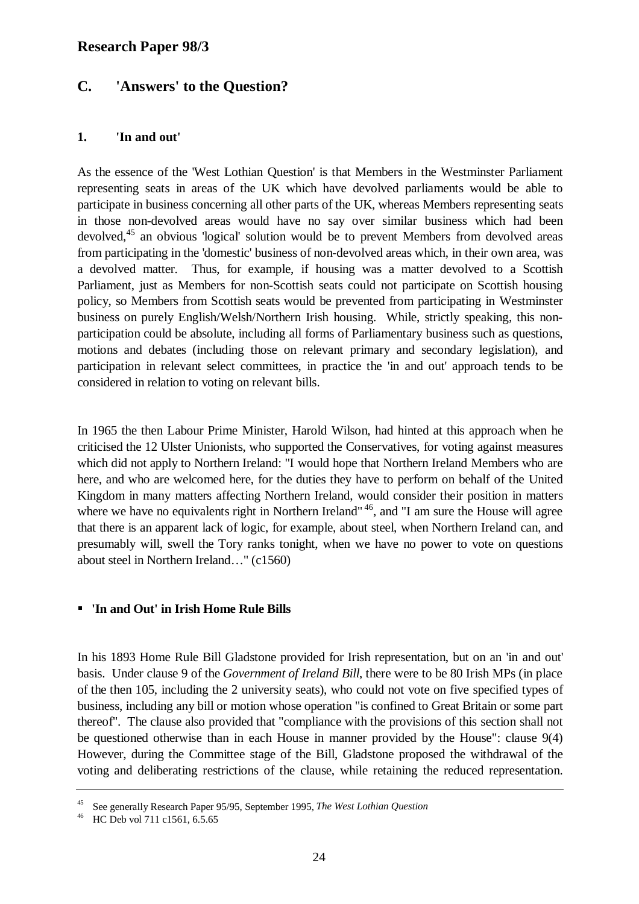### **C. 'Answers' to the Question?**

#### **1. 'In and out'**

As the essence of the 'West Lothian Question' is that Members in the Westminster Parliament representing seats in areas of the UK which have devolved parliaments would be able to participate in business concerning all other parts of the UK, whereas Members representing seats in those non-devolved areas would have no say over similar business which had been devolved,<sup>45</sup> an obvious 'logical' solution would be to prevent Members from devolved areas from participating in the 'domestic' business of non-devolved areas which, in their own area, was a devolved matter. Thus, for example, if housing was a matter devolved to a Scottish Parliament, just as Members for non-Scottish seats could not participate on Scottish housing policy, so Members from Scottish seats would be prevented from participating in Westminster business on purely English/Welsh/Northern Irish housing. While, strictly speaking, this nonparticipation could be absolute, including all forms of Parliamentary business such as questions, motions and debates (including those on relevant primary and secondary legislation), and participation in relevant select committees, in practice the 'in and out' approach tends to be considered in relation to voting on relevant bills.

In 1965 the then Labour Prime Minister, Harold Wilson, had hinted at this approach when he criticised the 12 Ulster Unionists, who supported the Conservatives, for voting against measures which did not apply to Northern Ireland: "I would hope that Northern Ireland Members who are here, and who are welcomed here, for the duties they have to perform on behalf of the United Kingdom in many matters affecting Northern Ireland, would consider their position in matters where we have no equivalents right in Northern Ireland"<sup>46</sup>, and "I am sure the House will agree that there is an apparent lack of logic, for example, about steel, when Northern Ireland can, and presumably will, swell the Tory ranks tonight, when we have no power to vote on questions about steel in Northern Ireland…" (c1560)

#### **'In and Out' in Irish Home Rule Bills**

In his 1893 Home Rule Bill Gladstone provided for Irish representation, but on an 'in and out' basis. Under clause 9 of the *Government of Ireland Bill*, there were to be 80 Irish MPs (in place of the then 105, including the 2 university seats), who could not vote on five specified types of business, including any bill or motion whose operation "is confined to Great Britain or some part thereof". The clause also provided that "compliance with the provisions of this section shall not be questioned otherwise than in each House in manner provided by the House": clause 9(4) However, during the Committee stage of the Bill, Gladstone proposed the withdrawal of the voting and deliberating restrictions of the clause, while retaining the reduced representation.

<sup>45</sup> See generally Research Paper 95/95, September 1995, *The West Lothian Question*

<sup>46</sup> HC Deb vol 711 c1561, 6.5.65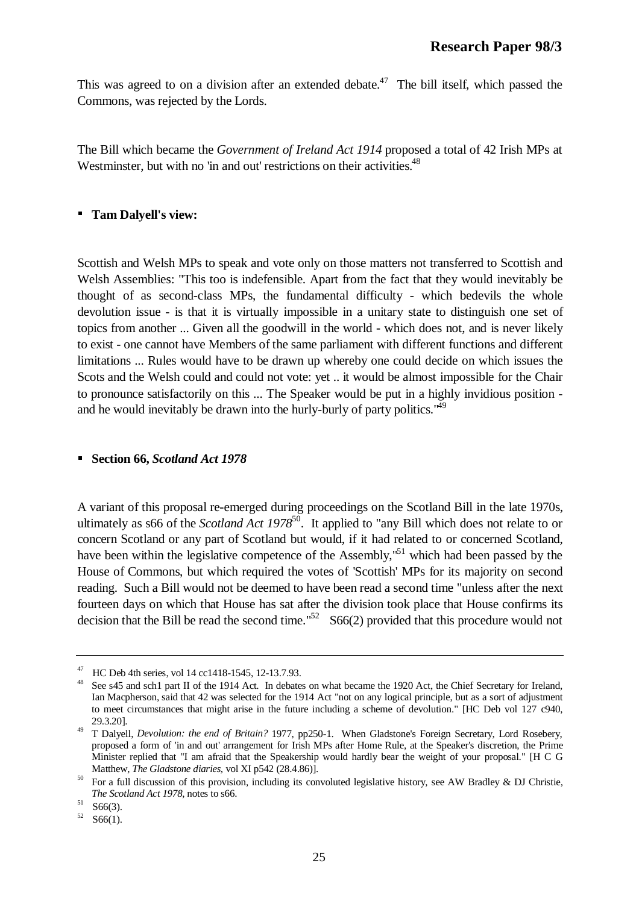This was agreed to on a division after an extended debate.<sup>47</sup> The bill itself, which passed the Commons, was rejected by the Lords.

The Bill which became the *Government of Ireland Act 1914* proposed a total of 42 Irish MPs at Westminster, but with no 'in and out' restrictions on their activities.<sup>48</sup>

#### **Tam Dalyell's view:**

Scottish and Welsh MPs to speak and vote only on those matters not transferred to Scottish and Welsh Assemblies: "This too is indefensible. Apart from the fact that they would inevitably be thought of as second-class MPs, the fundamental difficulty - which bedevils the whole devolution issue - is that it is virtually impossible in a unitary state to distinguish one set of topics from another ... Given all the goodwill in the world - which does not, and is never likely to exist - one cannot have Members of the same parliament with different functions and different limitations ... Rules would have to be drawn up whereby one could decide on which issues the Scots and the Welsh could and could not vote: yet .. it would be almost impossible for the Chair to pronounce satisfactorily on this ... The Speaker would be put in a highly invidious position and he would inevitably be drawn into the hurly-burly of party politics."<sup>49</sup>

#### **Section 66,** *Scotland Act 1978*

A variant of this proposal re-emerged during proceedings on the Scotland Bill in the late 1970s, ultimately as s66 of the *Scotland Act 1978*50. It applied to "any Bill which does not relate to or concern Scotland or any part of Scotland but would, if it had related to or concerned Scotland, have been within the legislative competence of the Assembly,"<sup>51</sup> which had been passed by the House of Commons, but which required the votes of 'Scottish' MPs for its majority on second reading. Such a Bill would not be deemed to have been read a second time "unless after the next fourteen days on which that House has sat after the division took place that House confirms its decision that the Bill be read the second time." $52$  S66(2) provided that this procedure would not

<sup>47</sup> HC Deb 4th series, vol 14 cc1418-1545, 12-13.7.93.

<sup>&</sup>lt;sup>48</sup> See s45 and sch1 part II of the 1914 Act. In debates on what became the 1920 Act, the Chief Secretary for Ireland, Ian Macpherson, said that 42 was selected for the 1914 Act "not on any logical principle, but as a sort of adjustment to meet circumstances that might arise in the future including a scheme of devolution." [HC Deb vol 127 c940, 29.3.20].

<sup>49</sup> T Dalyell, *Devolution: the end of Britain?* 1977, pp250-1. When Gladstone's Foreign Secretary, Lord Rosebery, proposed a form of 'in and out' arrangement for Irish MPs after Home Rule, at the Speaker's discretion, the Prime Minister replied that "I am afraid that the Speakership would hardly bear the weight of your proposal." [H C G Matthew, *The Gladstone diaries*, vol XI p542 (28.4.86)].

<sup>&</sup>lt;sup>50</sup> For a full discussion of this provision, including its convoluted legislative history, see AW Bradley & DJ Christie, *The Scotland Act 1978*, notes to s66.

 $51$  S66(3).

 $52$  S66(1).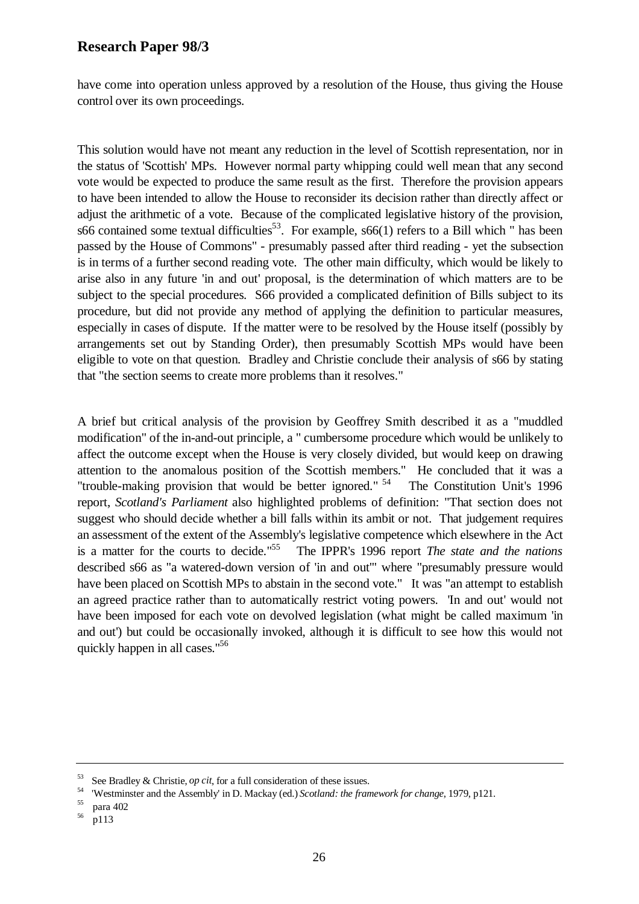have come into operation unless approved by a resolution of the House, thus giving the House control over its own proceedings.

This solution would have not meant any reduction in the level of Scottish representation, nor in the status of 'Scottish' MPs. However normal party whipping could well mean that any second vote would be expected to produce the same result as the first. Therefore the provision appears to have been intended to allow the House to reconsider its decision rather than directly affect or adjust the arithmetic of a vote. Because of the complicated legislative history of the provision, s66 contained some textual difficulties<sup>53</sup>. For example, s66(1) refers to a Bill which " has been passed by the House of Commons" - presumably passed after third reading - yet the subsection is in terms of a further second reading vote. The other main difficulty, which would be likely to arise also in any future 'in and out' proposal, is the determination of which matters are to be subject to the special procedures. S66 provided a complicated definition of Bills subject to its procedure, but did not provide any method of applying the definition to particular measures, especially in cases of dispute. If the matter were to be resolved by the House itself (possibly by arrangements set out by Standing Order), then presumably Scottish MPs would have been eligible to vote on that question. Bradley and Christie conclude their analysis of s66 by stating that "the section seems to create more problems than it resolves."

A brief but critical analysis of the provision by Geoffrey Smith described it as a "muddled modification" of the in-and-out principle, a " cumbersome procedure which would be unlikely to affect the outcome except when the House is very closely divided, but would keep on drawing attention to the anomalous position of the Scottish members." He concluded that it was a "trouble-making provision that would be better ignored."  $54$  The Constitution Unit's 1996 report, *Scotland's Parliament* also highlighted problems of definition: "That section does not suggest who should decide whether a bill falls within its ambit or not. That judgement requires an assessment of the extent of the Assembly's legislative competence which elsewhere in the Act is a matter for the courts to decide."55 The IPPR's 1996 report *The state and the nations* described s66 as "a watered-down version of 'in and out'" where "presumably pressure would have been placed on Scottish MPs to abstain in the second vote." It was "an attempt to establish an agreed practice rather than to automatically restrict voting powers. 'In and out' would not have been imposed for each vote on devolved legislation (what might be called maximum 'in and out') but could be occasionally invoked, although it is difficult to see how this would not quickly happen in all cases."56

<sup>53</sup> See Bradley & Christie, *op cit*, for a full consideration of these issues.

<sup>54</sup> 'Westminster and the Assembly' in D. Mackay (ed.) *Scotland: the framework for change*, 1979, p121.

 $\begin{array}{c} 55 \\ 56 \end{array}$  para 402

p113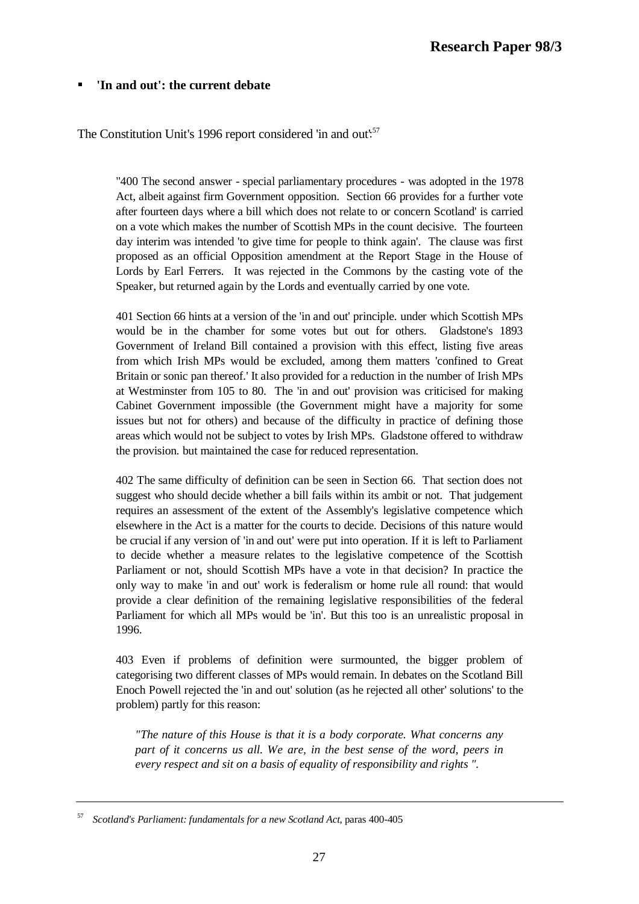#### **'In and out': the current debate**

The Constitution Unit's 1996 report considered 'in and out!<sup>57</sup>

"400 The second answer - special parliamentary procedures - was adopted in the 1978 Act, albeit against firm Government opposition. Section 66 provides for a further vote after fourteen days where a bill which does not relate to or concern Scotland' is carried on a vote which makes the number of Scottish MPs in the count decisive. The fourteen day interim was intended 'to give time for people to think again'. The clause was first proposed as an official Opposition amendment at the Report Stage in the House of Lords by Earl Ferrers. It was rejected in the Commons by the casting vote of the Speaker, but returned again by the Lords and eventually carried by one vote.

401 Section 66 hints at a version of the 'in and out' principle. under which Scottish MPs would be in the chamber for some votes but out for others. Gladstone's 1893 Government of Ireland Bill contained a provision with this effect, listing five areas from which Irish MPs would be excluded, among them matters 'confined to Great Britain or sonic pan thereof.' It also provided for a reduction in the number of Irish MPs at Westminster from 105 to 80. The 'in and out' provision was criticised for making Cabinet Government impossible (the Government might have a majority for some issues but not for others) and because of the difficulty in practice of defining those areas which would not be subject to votes by Irish MPs. Gladstone offered to withdraw the provision. but maintained the case for reduced representation.

402 The same difficulty of definition can be seen in Section 66. That section does not suggest who should decide whether a bill fails within its ambit or not. That judgement requires an assessment of the extent of the Assembly's legislative competence which elsewhere in the Act is a matter for the courts to decide. Decisions of this nature would be crucial if any version of 'in and out' were put into operation. If it is left to Parliament to decide whether a measure relates to the legislative competence of the Scottish Parliament or not, should Scottish MPs have a vote in that decision? In practice the only way to make 'in and out' work is federalism or home rule all round: that would provide a clear definition of the remaining legislative responsibilities of the federal Parliament for which all MPs would be 'in'. But this too is an unrealistic proposal in 1996.

403 Even if problems of definition were surmounted, the bigger problem of categorising two different classes of MPs would remain. In debates on the Scotland Bill Enoch Powell rejected the 'in and out' solution (as he rejected all other' solutions' to the problem) partly for this reason:

*"The nature of this House is that it is a body corporate. What concerns any part of it concerns us all. We are, in the best sense of the word, peers in every respect and sit on a basis of equality of responsibility and rights ".*

<sup>57</sup> *Scotland's Parliament: fundamentals for a new Scotland Act*, paras 400-405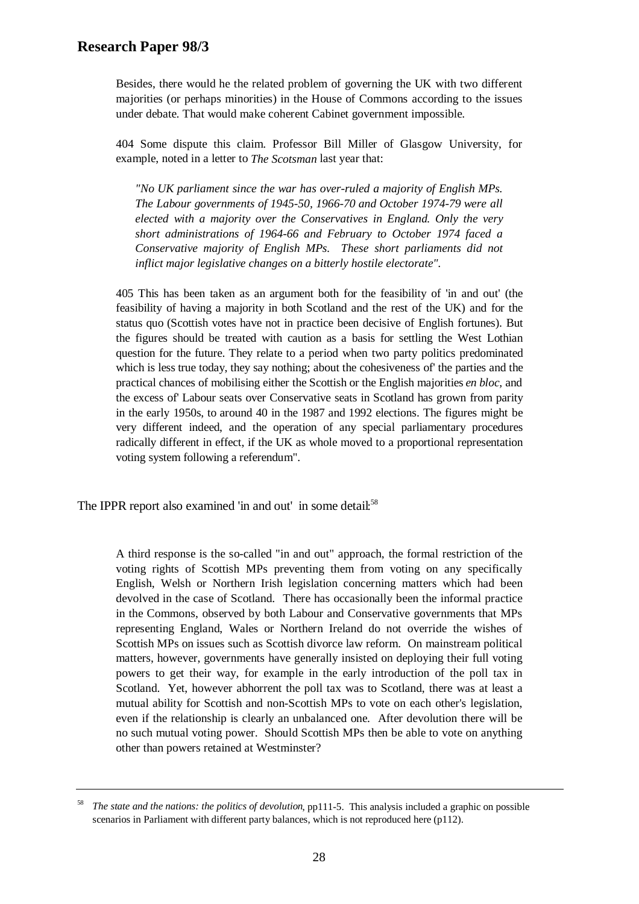Besides, there would he the related problem of governing the UK with two different majorities (or perhaps minorities) in the House of Commons according to the issues under debate. That would make coherent Cabinet government impossible.

404 Some dispute this claim. Professor Bill Miller of Glasgow University, for example, noted in a letter to *The Scotsman* last year that:

*"No UK parliament since the war has over-ruled a majority of English MPs. The Labour governments of 1945-50, 1966-70 and October 1974-79 were all elected with a majority over the Conservatives in England. Only the very short administrations of 1964-66 and February to October 1974 faced a Conservative majority of English MPs. These short parliaments did not inflict major legislative changes on a bitterly hostile electorate".*

405 This has been taken as an argument both for the feasibility of 'in and out' (the feasibility of having a majority in both Scotland and the rest of the UK) and for the status quo (Scottish votes have not in practice been decisive of English fortunes). But the figures should be treated with caution as a basis for settling the West Lothian question for the future. They relate to a period when two party politics predominated which is less true today, they say nothing; about the cohesiveness of' the parties and the practical chances of mobilising either the Scottish or the English majorities *en bloc,* and the excess of' Labour seats over Conservative seats in Scotland has grown from parity in the early 1950s, to around 40 in the 1987 and 1992 elections. The figures might be very different indeed, and the operation of any special parliamentary procedures radically different in effect, if the UK as whole moved to a proportional representation voting system following a referendum".

The IPPR report also examined 'in and out' in some detail:<sup>58</sup>

A third response is the so-called "in and out" approach, the formal restriction of the voting rights of Scottish MPs preventing them from voting on any specifically English, Welsh or Northern Irish legislation concerning matters which had been devolved in the case of Scotland. There has occasionally been the informal practice in the Commons, observed by both Labour and Conservative governments that MPs representing England, Wales or Northern Ireland do not override the wishes of Scottish MPs on issues such as Scottish divorce law reform. On mainstream political matters, however, governments have generally insisted on deploying their full voting powers to get their way, for example in the early introduction of the poll tax in Scotland. Yet, however abhorrent the poll tax was to Scotland, there was at least a mutual ability for Scottish and non-Scottish MPs to vote on each other's legislation, even if the relationship is clearly an unbalanced one. After devolution there will be no such mutual voting power. Should Scottish MPs then be able to vote on anything other than powers retained at Westminster?

<sup>58</sup> *The state and the nations: the politics of devolution*, pp111-5. This analysis included a graphic on possible scenarios in Parliament with different party balances, which is not reproduced here (p112).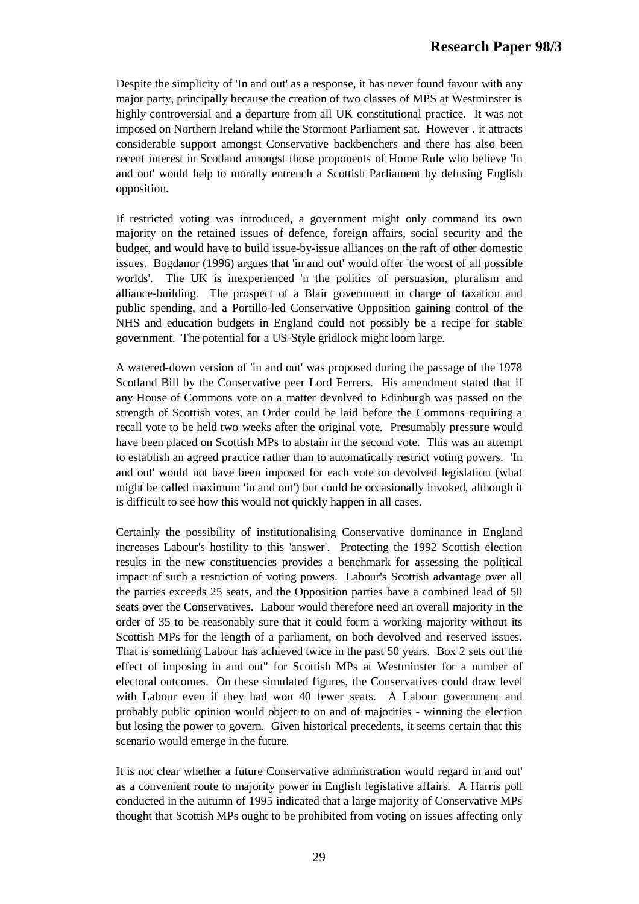Despite the simplicity of 'In and out' as a response, it has never found favour with any major party, principally because the creation of two classes of MPS at Westminster is highly controversial and a departure from all UK constitutional practice. It was not imposed on Northern Ireland while the Stormont Parliament sat. However . it attracts considerable support amongst Conservative backbenchers and there has also been recent interest in Scotland amongst those proponents of Home Rule who believe 'In and out' would help to morally entrench a Scottish Parliament by defusing English opposition.

If restricted voting was introduced, a government might only command its own majority on the retained issues of defence, foreign affairs, social security and the budget, and would have to build issue-by-issue alliances on the raft of other domestic issues. Bogdanor (1996) argues that 'in and out' would offer 'the worst of all possible worlds'. The UK is inexperienced 'n the politics of persuasion, pluralism and alliance-building. The prospect of a Blair government in charge of taxation and public spending, and a Portillo-led Conservative Opposition gaining control of the NHS and education budgets in England could not possibly be a recipe for stable government. The potential for a US-Style gridlock might loom large.

A watered-down version of 'in and out' was proposed during the passage of the 1978 Scotland Bill by the Conservative peer Lord Ferrers. His amendment stated that if any House of Commons vote on a matter devolved to Edinburgh was passed on the strength of Scottish votes, an Order could be laid before the Commons requiring a recall vote to be held two weeks after the original vote. Presumably pressure would have been placed on Scottish MPs to abstain in the second vote. This was an attempt to establish an agreed practice rather than to automatically restrict voting powers. 'In and out' would not have been imposed for each vote on devolved legislation (what might be called maximum 'in and out') but could be occasionally invoked, although it is difficult to see how this would not quickly happen in all cases.

Certainly the possibility of institutionalising Conservative dominance in England increases Labour's hostility to this 'answer'. Protecting the 1992 Scottish election results in the new constituencies provides a benchmark for assessing the political impact of such a restriction of voting powers. Labour's Scottish advantage over all the parties exceeds 25 seats, and the Opposition parties have a combined lead of 50 seats over the Conservatives. Labour would therefore need an overall majority in the order of 35 to be reasonably sure that it could form a working majority without its Scottish MPs for the length of a parliament, on both devolved and reserved issues. That is something Labour has achieved twice in the past 50 years. Box 2 sets out the effect of imposing in and out" for Scottish MPs at Westminster for a number of electoral outcomes. On these simulated figures, the Conservatives could draw level with Labour even if they had won 40 fewer seats. A Labour government and probably public opinion would object to on and of majorities - winning the election but losing the power to govern. Given historical precedents, it seems certain that this scenario would emerge in the future.

It is not clear whether a future Conservative administration would regard in and out' as a convenient route to majority power in English legislative affairs. A Harris poll conducted in the autumn of 1995 indicated that a large majority of Conservative MPs thought that Scottish MPs ought to be prohibited from voting on issues affecting only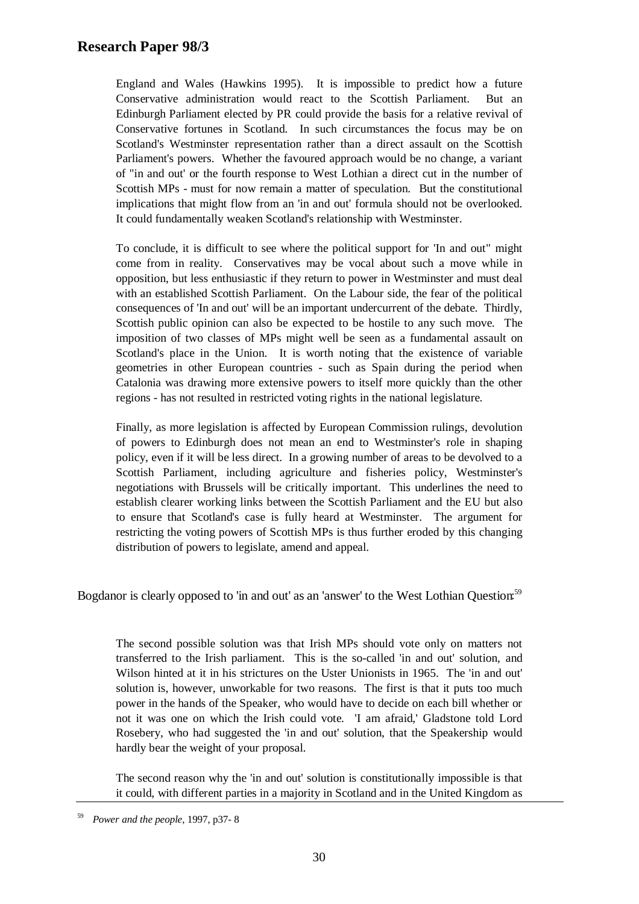England and Wales (Hawkins 1995). It is impossible to predict how a future Conservative administration would react to the Scottish Parliament. But an Edinburgh Parliament elected by PR could provide the basis for a relative revival of Conservative fortunes in Scotland. In such circumstances the focus may be on Scotland's Westminster representation rather than a direct assault on the Scottish Parliament's powers. Whether the favoured approach would be no change, a variant of "in and out' or the fourth response to West Lothian a direct cut in the number of Scottish MPs - must for now remain a matter of speculation. But the constitutional implications that might flow from an 'in and out' formula should not be overlooked. It could fundamentally weaken Scotland's relationship with Westminster.

To conclude, it is difficult to see where the political support for 'In and out" might come from in reality. Conservatives may be vocal about such a move while in opposition, but less enthusiastic if they return to power in Westminster and must deal with an established Scottish Parliament. On the Labour side, the fear of the political consequences of 'In and out' will be an important undercurrent of the debate. Thirdly, Scottish public opinion can also be expected to be hostile to any such move. The imposition of two classes of MPs might well be seen as a fundamental assault on Scotland's place in the Union. It is worth noting that the existence of variable geometries in other European countries - such as Spain during the period when Catalonia was drawing more extensive powers to itself more quickly than the other regions - has not resulted in restricted voting rights in the national legislature.

Finally, as more legislation is affected by European Commission rulings, devolution of powers to Edinburgh does not mean an end to Westminster's role in shaping policy, even if it will be less direct. In a growing number of areas to be devolved to a Scottish Parliament, including agriculture and fisheries policy, Westminster's negotiations with Brussels will be critically important. This underlines the need to establish clearer working links between the Scottish Parliament and the EU but also to ensure that Scotland's case is fully heard at Westminster. The argument for restricting the voting powers of Scottish MPs is thus further eroded by this changing distribution of powers to legislate, amend and appeal.

Bogdanor is clearly opposed to 'in and out' as an 'answer' to the West Lothian Question<sup>59</sup>

The second possible solution was that Irish MPs should vote only on matters not transferred to the Irish parliament. This is the so-called 'in and out' solution, and Wilson hinted at it in his strictures on the Uster Unionists in 1965. The 'in and out' solution is, however, unworkable for two reasons. The first is that it puts too much power in the hands of the Speaker, who would have to decide on each bill whether or not it was one on which the Irish could vote. 'I am afraid,' Gladstone told Lord Rosebery, who had suggested the 'in and out' solution, that the Speakership would hardly bear the weight of your proposal.

The second reason why the 'in and out' solution is constitutionally impossible is that it could, with different parties in a majority in Scotland and in the United Kingdom as

<sup>59</sup> *Power and the people*, 1997, p37- 8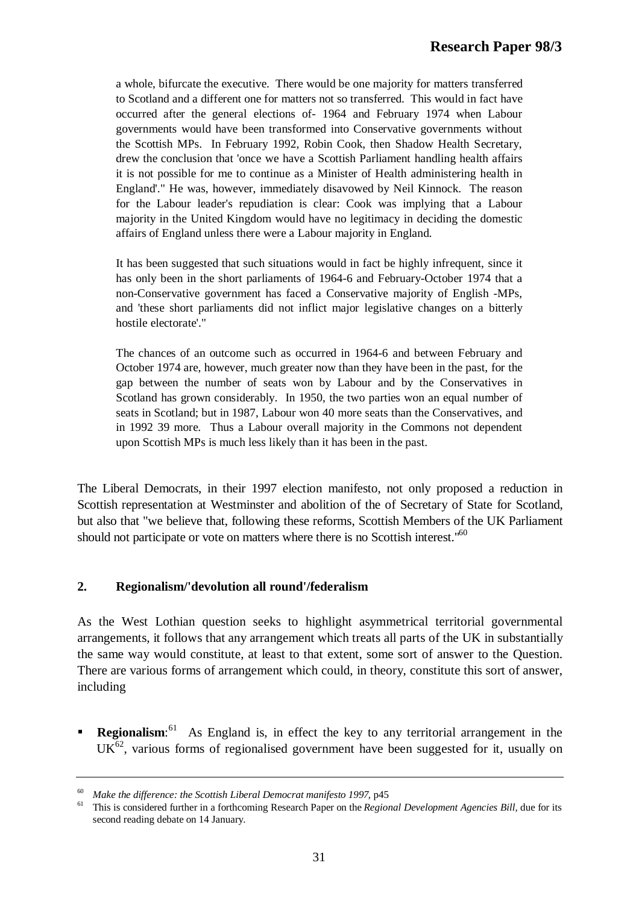a whole, bifurcate the executive. There would be one majority for matters transferred to Scotland and a different one for matters not so transferred. This would in fact have occurred after the general elections of- 1964 and February 1974 when Labour governments would have been transformed into Conservative governments without the Scottish MPs. In February 1992, Robin Cook, then Shadow Health Secretary, drew the conclusion that 'once we have a Scottish Parliament handling health affairs it is not possible for me to continue as a Minister of Health administering health in England'." He was, however, immediately disavowed by Neil Kinnock. The reason for the Labour leader's repudiation is clear: Cook was implying that a Labour majority in the United Kingdom would have no legitimacy in deciding the domestic affairs of England unless there were a Labour majority in England.

It has been suggested that such situations would in fact be highly infrequent, since it has only been in the short parliaments of 1964-6 and February-October 1974 that a non-Conservative government has faced a Conservative majority of English -MPs, and 'these short parliaments did not inflict major legislative changes on a bitterly hostile electorate'."

The chances of an outcome such as occurred in 1964-6 and between February and October 1974 are, however, much greater now than they have been in the past, for the gap between the number of seats won by Labour and by the Conservatives in Scotland has grown considerably. In 1950, the two parties won an equal number of seats in Scotland; but in 1987, Labour won 40 more seats than the Conservatives, and in 1992 39 more. Thus a Labour overall majority in the Commons not dependent upon Scottish MPs is much less likely than it has been in the past.

The Liberal Democrats, in their 1997 election manifesto, not only proposed a reduction in Scottish representation at Westminster and abolition of the of Secretary of State for Scotland, but also that "we believe that, following these reforms, Scottish Members of the UK Parliament should not participate or vote on matters where there is no Scottish interest."<sup>60</sup>

#### **2. Regionalism/'devolution all round'/federalism**

As the West Lothian question seeks to highlight asymmetrical territorial governmental arrangements, it follows that any arrangement which treats all parts of the UK in substantially the same way would constitute, at least to that extent, some sort of answer to the Question. There are various forms of arrangement which could, in theory, constitute this sort of answer, including

**Regionalism**:<sup>61</sup> As England is, in effect the key to any territorial arrangement in the  $UK^{62}$ , various forms of regionalised government have been suggested for it, usually on

<sup>60</sup> *Make the difference: the Scottish Liberal Democrat manifesto 1997*, p45

<sup>61</sup> This is considered further in a forthcoming Research Paper on the *Regional Development Agencies Bill,* due for its second reading debate on 14 January.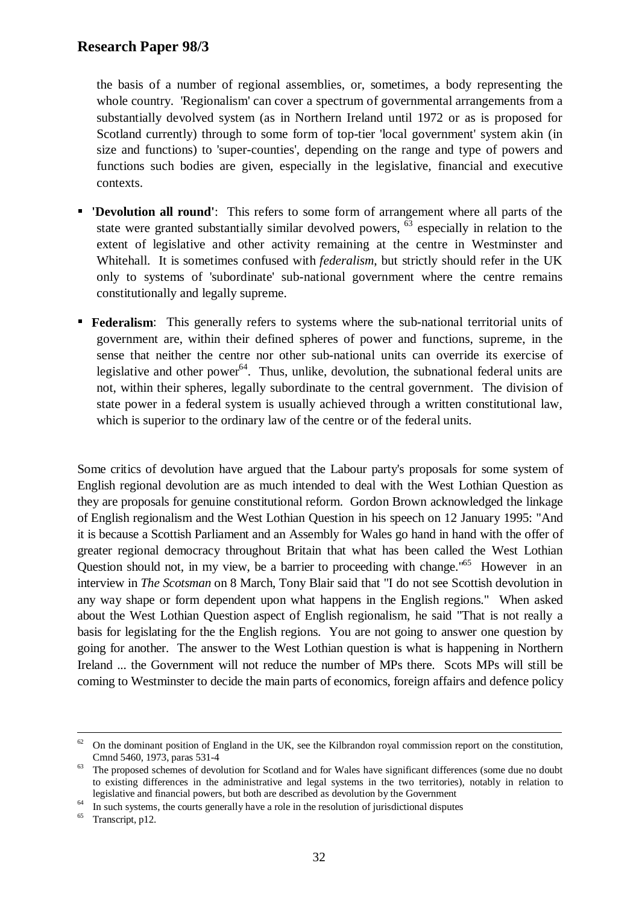the basis of a number of regional assemblies, or, sometimes, a body representing the whole country. 'Regionalism' can cover a spectrum of governmental arrangements from a substantially devolved system (as in Northern Ireland until 1972 or as is proposed for Scotland currently) through to some form of top-tier 'local government' system akin (in size and functions) to 'super-counties', depending on the range and type of powers and functions such bodies are given, especially in the legislative, financial and executive contexts.

- **'Devolution all round'**: This refers to some form of arrangement where all parts of the state were granted substantially similar devolved powers,  $\frac{63}{ }$  especially in relation to the extent of legislative and other activity remaining at the centre in Westminster and Whitehall. It is sometimes confused with *federalism*, but strictly should refer in the UK only to systems of 'subordinate' sub-national government where the centre remains constitutionally and legally supreme.
- **Federalism**: This generally refers to systems where the sub-national territorial units of government are, within their defined spheres of power and functions, supreme, in the sense that neither the centre nor other sub-national units can override its exercise of legislative and other power<sup>64</sup>. Thus, unlike, devolution, the subnational federal units are not, within their spheres, legally subordinate to the central government. The division of state power in a federal system is usually achieved through a written constitutional law, which is superior to the ordinary law of the centre or of the federal units.

Some critics of devolution have argued that the Labour party's proposals for some system of English regional devolution are as much intended to deal with the West Lothian Question as they are proposals for genuine constitutional reform. Gordon Brown acknowledged the linkage of English regionalism and the West Lothian Question in his speech on 12 January 1995: "And it is because a Scottish Parliament and an Assembly for Wales go hand in hand with the offer of greater regional democracy throughout Britain that what has been called the West Lothian Question should not, in my view, be a barrier to proceeding with change."<sup>65</sup> However in an interview in *The Scotsman* on 8 March, Tony Blair said that "I do not see Scottish devolution in any way shape or form dependent upon what happens in the English regions." When asked about the West Lothian Question aspect of English regionalism, he said "That is not really a basis for legislating for the the English regions. You are not going to answer one question by going for another. The answer to the West Lothian question is what is happening in Northern Ireland ... the Government will not reduce the number of MPs there. Scots MPs will still be coming to Westminster to decide the main parts of economics, foreign affairs and defence policy

 $\overline{a}$ 

<sup>62</sup> On the dominant position of England in the UK, see the Kilbrandon royal commission report on the constitution, Cmnd 5460, 1973, paras 531-4

 $63$  The proposed schemes of devolution for Scotland and for Wales have significant differences (some due no doubt to existing differences in the administrative and legal systems in the two territories), notably in relation to legislative and financial powers, but both are described as devolution by the Government

 $\frac{64}{10}$  In such systems, the courts generally have a role in the resolution of jurisdictional disputes

Transcript, p12.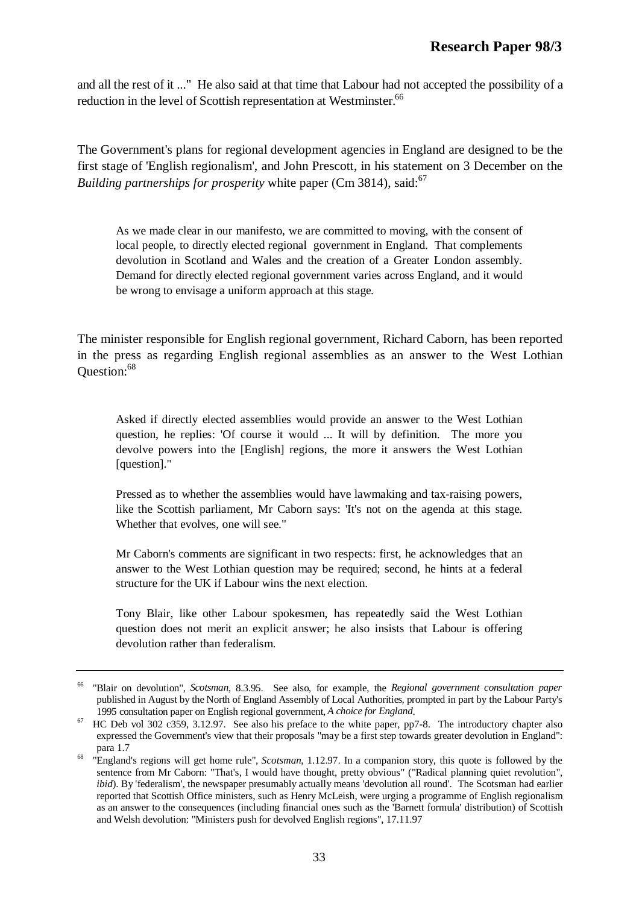and all the rest of it ..." He also said at that time that Labour had not accepted the possibility of a reduction in the level of Scottish representation at Westminster.<sup>66</sup>

The Government's plans for regional development agencies in England are designed to be the first stage of 'English regionalism', and John Prescott, in his statement on 3 December on the *Building partnerships for prosperity* white paper (Cm 3814), said:<sup>67</sup>

As we made clear in our manifesto, we are committed to moving, with the consent of local people, to directly elected regional government in England. That complements devolution in Scotland and Wales and the creation of a Greater London assembly. Demand for directly elected regional government varies across England, and it would be wrong to envisage a uniform approach at this stage.

The minister responsible for English regional government, Richard Caborn, has been reported in the press as regarding English regional assemblies as an answer to the West Lothian Ouestion:<sup>68</sup>

Asked if directly elected assemblies would provide an answer to the West Lothian question, he replies: 'Of course it would ... It will by definition. The more you devolve powers into the [English] regions, the more it answers the West Lothian [question]."

Pressed as to whether the assemblies would have lawmaking and tax-raising powers, like the Scottish parliament, Mr Caborn says: 'It's not on the agenda at this stage. Whether that evolves, one will see."

Mr Caborn's comments are significant in two respects: first, he acknowledges that an answer to the West Lothian question may be required; second, he hints at a federal structure for the UK if Labour wins the next election.

Tony Blair, like other Labour spokesmen, has repeatedly said the West Lothian question does not merit an explicit answer; he also insists that Labour is offering devolution rather than federalism.

<sup>66</sup> "Blair on devolution", *Scotsman*, 8.3.95. See also, for example, the *Regional government consultation paper* published in August by the North of England Assembly of Local Authorities*,* prompted in part by the Labour Party's 1995 consultation paper on English regional government, *A choice for England*.

 $67$  HC Deb vol 302 c359, 3.12.97. See also his preface to the white paper, pp7-8. The introductory chapter also expressed the Government's view that their proposals "may be a first step towards greater devolution in England": para 1.7

<sup>68 &</sup>quot;England's regions will get home rule", *Scotsman*, 1.12.97. In a companion story, this quote is followed by the sentence from Mr Caborn: "That's, I would have thought, pretty obvious" ("Radical planning quiet revolution", *ibid*). By 'federalism', the newspaper presumably actually means 'devolution all round'. The Scotsman had earlier reported that Scottish Office ministers, such as Henry McLeish, were urging a programme of English regionalism as an answer to the consequences (including financial ones such as the 'Barnett formula' distribution) of Scottish and Welsh devolution: "Ministers push for devolved English regions", 17.11.97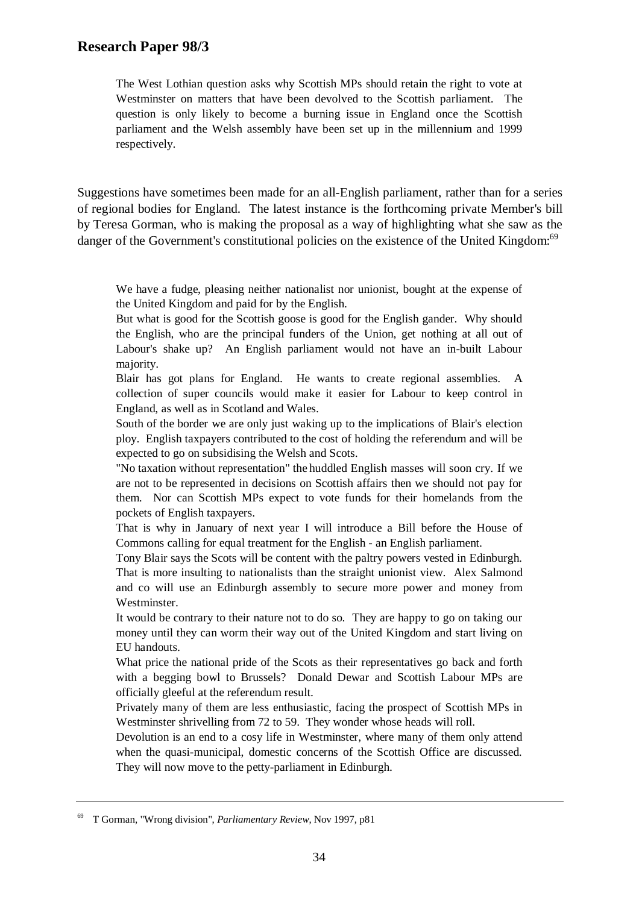The West Lothian question asks why Scottish MPs should retain the right to vote at Westminster on matters that have been devolved to the Scottish parliament. The question is only likely to become a burning issue in England once the Scottish parliament and the Welsh assembly have been set up in the millennium and 1999 respectively.

Suggestions have sometimes been made for an all-English parliament, rather than for a series of regional bodies for England. The latest instance is the forthcoming private Member's bill by Teresa Gorman, who is making the proposal as a way of highlighting what she saw as the danger of the Government's constitutional policies on the existence of the United Kingdom:<sup>69</sup>

We have a fudge, pleasing neither nationalist nor unionist, bought at the expense of the United Kingdom and paid for by the English.

But what is good for the Scottish goose is good for the English gander. Why should the English, who are the principal funders of the Union, get nothing at all out of Labour's shake up? An English parliament would not have an in-built Labour majority.

Blair has got plans for England. He wants to create regional assemblies. A collection of super councils would make it easier for Labour to keep control in England, as well as in Scotland and Wales.

South of the border we are only just waking up to the implications of Blair's election ploy. English taxpayers contributed to the cost of holding the referendum and will be expected to go on subsidising the Welsh and Scots.

"No taxation without representation" the huddled English masses will soon cry. If we are not to be represented in decisions on Scottish affairs then we should not pay for them. Nor can Scottish MPs expect to vote funds for their homelands from the pockets of English taxpayers.

That is why in January of next year I will introduce a Bill before the House of Commons calling for equal treatment for the English - an English parliament.

Tony Blair says the Scots will be content with the paltry powers vested in Edinburgh. That is more insulting to nationalists than the straight unionist view. Alex Salmond and co will use an Edinburgh assembly to secure more power and money from Westminster.

It would be contrary to their nature not to do so. They are happy to go on taking our money until they can worm their way out of the United Kingdom and start living on EU handouts.

What price the national pride of the Scots as their representatives go back and forth with a begging bowl to Brussels? Donald Dewar and Scottish Labour MPs are officially gleeful at the referendum result.

Privately many of them are less enthusiastic, facing the prospect of Scottish MPs in Westminster shrivelling from 72 to 59. They wonder whose heads will roll.

Devolution is an end to a cosy life in Westminster, where many of them only attend when the quasi-municipal, domestic concerns of the Scottish Office are discussed. They will now move to the petty-parliament in Edinburgh.

<sup>69</sup> T Gorman, "Wrong division", *Parliamentary Review*, Nov 1997, p81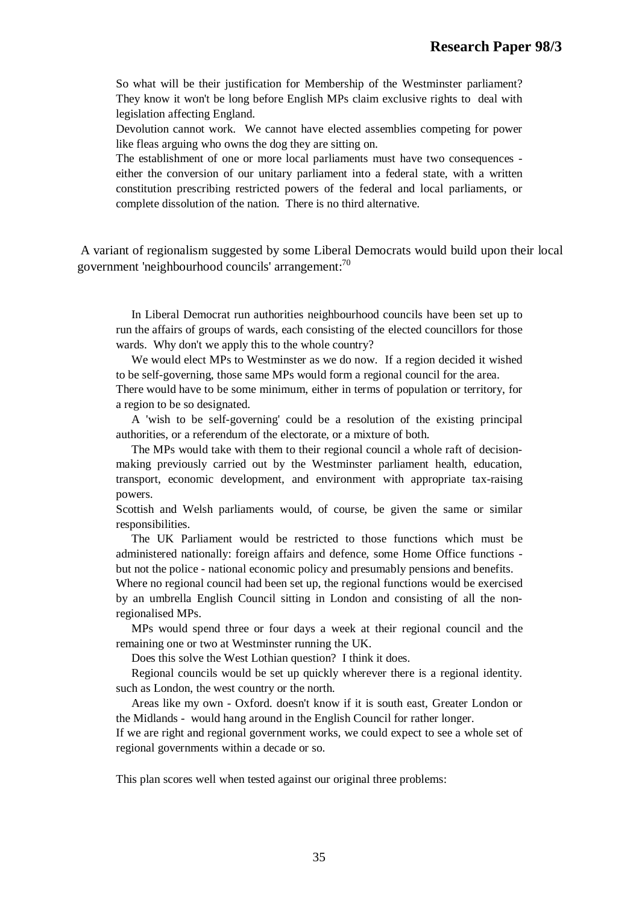So what will be their justification for Membership of the Westminster parliament? They know it won't be long before English MPs claim exclusive rights to deal with legislation affecting England.

Devolution cannot work. We cannot have elected assemblies competing for power like fleas arguing who owns the dog they are sitting on.

The establishment of one or more local parliaments must have two consequences either the conversion of our unitary parliament into a federal state, with a written constitution prescribing restricted powers of the federal and local parliaments, or complete dissolution of the nation. There is no third alternative.

 A variant of regionalism suggested by some Liberal Democrats would build upon their local government 'neighbourhood councils' arrangement:<sup>70</sup>

In Liberal Democrat run authorities neighbourhood councils have been set up to run the affairs of groups of wards, each consisting of the elected councillors for those wards. Why don't we apply this to the whole country?

We would elect MPs to Westminster as we do now. If a region decided it wished to be self-governing, those same MPs would form a regional council for the area.

There would have to be some minimum, either in terms of population or territory, for a region to be so designated.

A 'wish to be self-governing' could be a resolution of the existing principal authorities, or a referendum of the electorate, or a mixture of both.

The MPs would take with them to their regional council a whole raft of decisionmaking previously carried out by the Westminster parliament health, education, transport, economic development, and environment with appropriate tax-raising powers.

Scottish and Welsh parliaments would, of course, be given the same or similar responsibilities.

The UK Parliament would be restricted to those functions which must be administered nationally: foreign affairs and defence, some Home Office functions but not the police - national economic policy and presumably pensions and benefits.

Where no regional council had been set up, the regional functions would be exercised by an umbrella English Council sitting in London and consisting of all the nonregionalised MPs.

MPs would spend three or four days a week at their regional council and the remaining one or two at Westminster running the UK.

Does this solve the West Lothian question? I think it does.

Regional councils would be set up quickly wherever there is a regional identity. such as London, the west country or the north.

Areas like my own - Oxford. doesn't know if it is south east, Greater London or the Midlands - would hang around in the English Council for rather longer.

If we are right and regional government works, we could expect to see a whole set of regional governments within a decade or so.

This plan scores well when tested against our original three problems: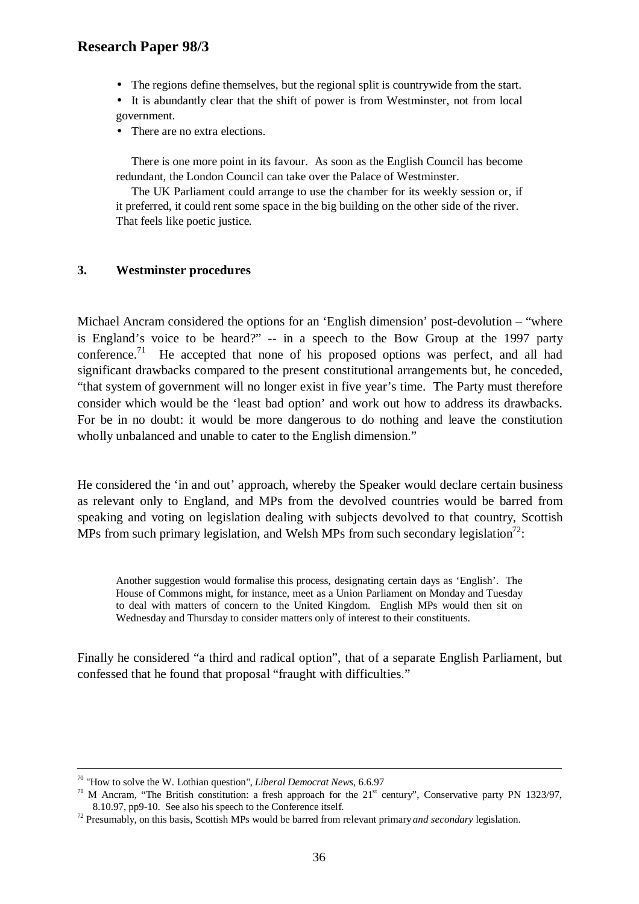- The regions define themselves, but the regional split is countrywide from the start.
- It is abundantly clear that the shift of power is from Westminster, not from local government.
- There are no extra elections.

There is one more point in its favour. As soon as the English Council has become redundant, the London Council can take over the Palace of Westminster.

The UK Parliament could arrange to use the chamber for its weekly session or, if it preferred, it could rent some space in the big building on the other side of the river. That feels like poetic justice.

#### **3. Westminster procedures**

Michael Ancram considered the options for an 'English dimension' post-devolution – "where is England's voice to be heard?" -- in a speech to the Bow Group at the 1997 party conference.<sup>71</sup> He accepted that none of his proposed options was perfect, and all had significant drawbacks compared to the present constitutional arrangements but, he conceded, "that system of government will no longer exist in five year's time. The Party must therefore consider which would be the 'least bad option' and work out how to address its drawbacks. For be in no doubt: it would be more dangerous to do nothing and leave the constitution wholly unbalanced and unable to cater to the English dimension."

He considered the 'in and out' approach, whereby the Speaker would declare certain business as relevant only to England, and MPs from the devolved countries would be barred from speaking and voting on legislation dealing with subjects devolved to that country, Scottish MPs from such primary legislation, and Welsh MPs from such secondary legislation<sup>72</sup>:

Another suggestion would formalise this process, designating certain days as 'English'. The House of Commons might, for instance, meet as a Union Parliament on Monday and Tuesday to deal with matters of concern to the United Kingdom. English MPs would then sit on Wednesday and Thursday to consider matters only of interest to their constituents.

Finally he considered "a third and radical option", that of a separate English Parliament, but confessed that he found that proposal "fraught with difficulties."

 $\overline{a}$ 

<sup>70 &</sup>quot;How to solve the W. Lothian question", *Liberal Democrat News*, 6.6.97

<sup>&</sup>lt;sup>71</sup> M Ancram, "The British constitution: a fresh approach for the  $21<sup>st</sup>$  century", Conservative party PN 1323/97, 8.10.97, pp9-10. See also his speech to the Conference itself.

<sup>72</sup> Presumably, on this basis, Scottish MPs would be barred from relevant primary *and secondary* legislation.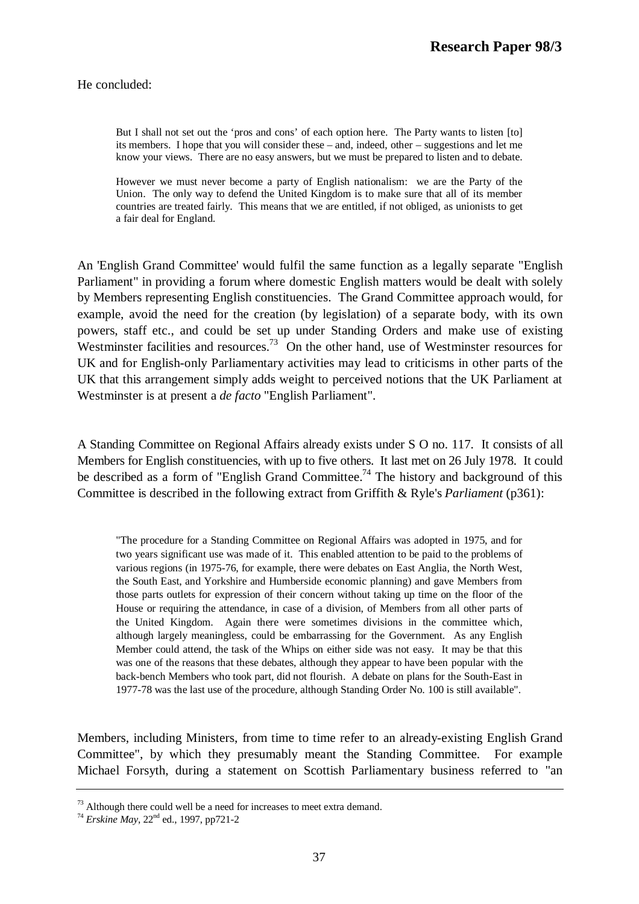He concluded:

But I shall not set out the 'pros and cons' of each option here. The Party wants to listen [to] its members. I hope that you will consider these – and, indeed, other – suggestions and let me know your views. There are no easy answers, but we must be prepared to listen and to debate.

However we must never become a party of English nationalism: we are the Party of the Union. The only way to defend the United Kingdom is to make sure that all of its member countries are treated fairly. This means that we are entitled, if not obliged, as unionists to get a fair deal for England.

An 'English Grand Committee' would fulfil the same function as a legally separate "English Parliament" in providing a forum where domestic English matters would be dealt with solely by Members representing English constituencies. The Grand Committee approach would, for example, avoid the need for the creation (by legislation) of a separate body, with its own powers, staff etc., and could be set up under Standing Orders and make use of existing Westminster facilities and resources.<sup>73</sup> On the other hand, use of Westminster resources for UK and for English-only Parliamentary activities may lead to criticisms in other parts of the UK that this arrangement simply adds weight to perceived notions that the UK Parliament at Westminster is at present a *de facto* "English Parliament".

A Standing Committee on Regional Affairs already exists under S O no. 117. It consists of all Members for English constituencies, with up to five others. It last met on 26 July 1978. It could be described as a form of "English Grand Committee.<sup>74</sup> The history and background of this Committee is described in the following extract from Griffith & Ryle's *Parliament* (p361):

"The procedure for a Standing Committee on Regional Affairs was adopted in 1975, and for two years significant use was made of it. This enabled attention to be paid to the problems of various regions (in 1975-76, for example, there were debates on East Anglia, the North West, the South East, and Yorkshire and Humberside economic planning) and gave Members from those parts outlets for expression of their concern without taking up time on the floor of the House or requiring the attendance, in case of a division, of Members from all other parts of the United Kingdom. Again there were sometimes divisions in the committee which, although largely meaningless, could be embarrassing for the Government. As any English Member could attend, the task of the Whips on either side was not easy. It may be that this was one of the reasons that these debates, although they appear to have been popular with the back-bench Members who took part, did not flourish. A debate on plans for the South-East in 1977-78 was the last use of the procedure, although Standing Order No. 100 is still available".

Members, including Ministers, from time to time refer to an already-existing English Grand Committee", by which they presumably meant the Standing Committee. For example Michael Forsyth, during a statement on Scottish Parliamentary business referred to "an

 $73$  Although there could well be a need for increases to meet extra demand.

<sup>74</sup> *Erskine May*, 22nd ed., 1997, pp721-2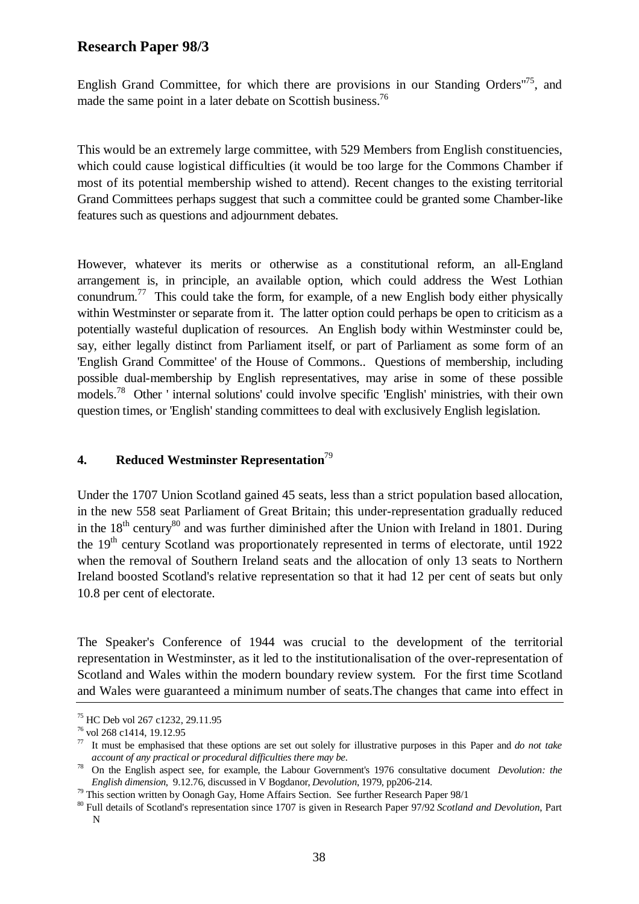English Grand Committee, for which there are provisions in our Standing Orders"75, and made the same point in a later debate on Scottish business.<sup>76</sup>

This would be an extremely large committee, with 529 Members from English constituencies, which could cause logistical difficulties (it would be too large for the Commons Chamber if most of its potential membership wished to attend). Recent changes to the existing territorial Grand Committees perhaps suggest that such a committee could be granted some Chamber-like features such as questions and adjournment debates.

However, whatever its merits or otherwise as a constitutional reform, an all-England arrangement is, in principle, an available option, which could address the West Lothian conundrum.<sup>77</sup> This could take the form, for example, of a new English body either physically within Westminster or separate from it. The latter option could perhaps be open to criticism as a potentially wasteful duplication of resources. An English body within Westminster could be, say, either legally distinct from Parliament itself, or part of Parliament as some form of an 'English Grand Committee' of the House of Commons.. Questions of membership, including possible dual-membership by English representatives, may arise in some of these possible models.<sup>78</sup> Other ' internal solutions' could involve specific 'English' ministries, with their own question times, or 'English' standing committees to deal with exclusively English legislation.

#### **4. Reduced Westminster Representation**<sup>79</sup>

Under the 1707 Union Scotland gained 45 seats, less than a strict population based allocation, in the new 558 seat Parliament of Great Britain; this under-representation gradually reduced in the  $18<sup>th</sup>$  century<sup>80</sup> and was further diminished after the Union with Ireland in 1801. During the  $19<sup>th</sup>$  century Scotland was proportionately represented in terms of electorate, until 1922 when the removal of Southern Ireland seats and the allocation of only 13 seats to Northern Ireland boosted Scotland's relative representation so that it had 12 per cent of seats but only 10.8 per cent of electorate.

The Speaker's Conference of 1944 was crucial to the development of the territorial representation in Westminster, as it led to the institutionalisation of the over-representation of Scotland and Wales within the modern boundary review system. For the first time Scotland and Wales were guaranteed a minimum number of seats.The changes that came into effect in

<sup>75</sup> HC Deb vol 267 c1232, 29.11.95

<sup>76</sup> vol 268 c1414, 19.12.95

<sup>77</sup> It must be emphasised that these options are set out solely for illustrative purposes in this Paper and *do not take account of any practical or procedural difficulties there may be.*

<sup>78</sup> On the English aspect see, for example, the Labour Government's 1976 consultative document *Devolution: the English dimension*, 9.12.76, discussed in V Bogdanor, *Devolution*, 1979, pp206-214.

<sup>79</sup> This section written by Oonagh Gay, Home Affairs Section. See further Research Paper 98/1

<sup>80</sup> Full details of Scotland's representation since 1707 is given in Research Paper 97/92 *Scotland and Devolution*, Part N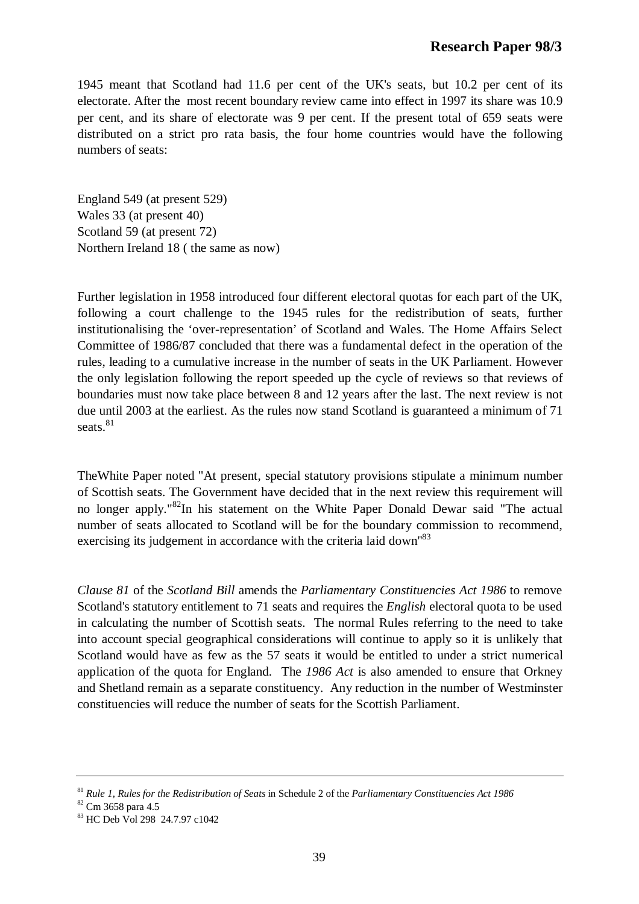1945 meant that Scotland had 11.6 per cent of the UK's seats, but 10.2 per cent of its electorate. After the most recent boundary review came into effect in 1997 its share was 10.9 per cent, and its share of electorate was 9 per cent. If the present total of 659 seats were distributed on a strict pro rata basis, the four home countries would have the following numbers of seats:

England 549 (at present 529) Wales 33 (at present 40) Scotland 59 (at present 72) Northern Ireland 18 ( the same as now)

Further legislation in 1958 introduced four different electoral quotas for each part of the UK, following a court challenge to the 1945 rules for the redistribution of seats, further institutionalising the 'over-representation' of Scotland and Wales. The Home Affairs Select Committee of 1986/87 concluded that there was a fundamental defect in the operation of the rules, leading to a cumulative increase in the number of seats in the UK Parliament. However the only legislation following the report speeded up the cycle of reviews so that reviews of boundaries must now take place between 8 and 12 years after the last. The next review is not due until 2003 at the earliest. As the rules now stand Scotland is guaranteed a minimum of 71 seats.<sup>81</sup>

TheWhite Paper noted "At present, special statutory provisions stipulate a minimum number of Scottish seats. The Government have decided that in the next review this requirement will no longer apply.<sup>"82</sup>In his statement on the White Paper Donald Dewar said "The actual number of seats allocated to Scotland will be for the boundary commission to recommend, exercising its judgement in accordance with the criteria laid down<sup>83</sup>

*Clause 81* of the *Scotland Bill* amends the *Parliamentary Constituencies Act 1986* to remove Scotland's statutory entitlement to 71 seats and requires the *English* electoral quota to be used in calculating the number of Scottish seats. The normal Rules referring to the need to take into account special geographical considerations will continue to apply so it is unlikely that Scotland would have as few as the 57 seats it would be entitled to under a strict numerical application of the quota for England. The *1986 Act* is also amended to ensure that Orkney and Shetland remain as a separate constituency. Any reduction in the number of Westminster constituencies will reduce the number of seats for the Scottish Parliament.

<sup>81</sup> *Rule 1, Rules for the Redistribution of Seats* in Schedule 2 of the *Parliamentary Constituencies Act 1986*

<sup>82</sup> Cm 3658 para 4.5

<sup>83</sup> HC Deb Vol 298 24.7.97 c1042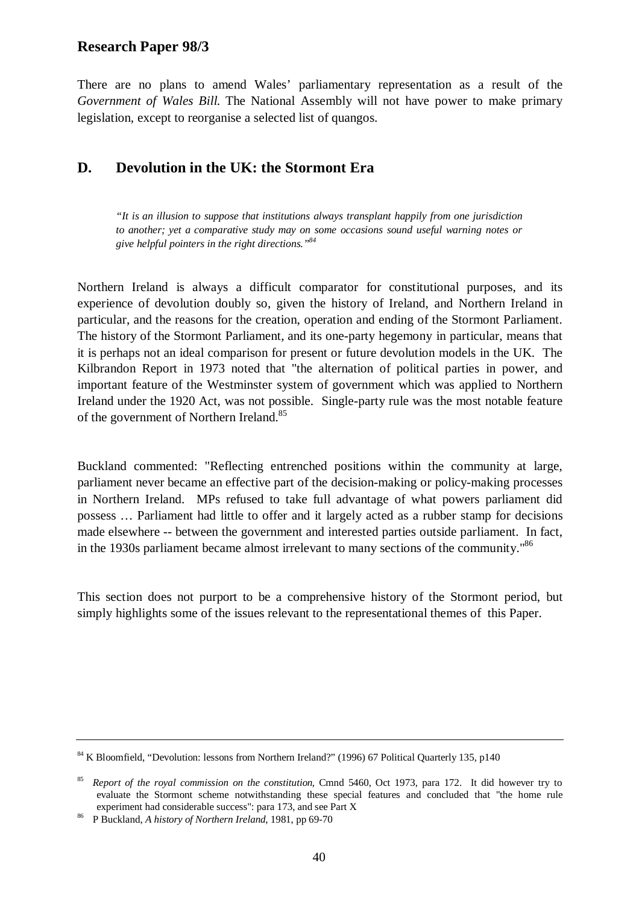There are no plans to amend Wales' parliamentary representation as a result of the *Government of Wales Bill.* The National Assembly will not have power to make primary legislation, except to reorganise a selected list of quangos.

# **D. Devolution in the UK: the Stormont Era**

*"It is an illusion to suppose that institutions always transplant happily from one jurisdiction to another; yet a comparative study may on some occasions sound useful warning notes or give helpful pointers in the right directions."84*

Northern Ireland is always a difficult comparator for constitutional purposes, and its experience of devolution doubly so, given the history of Ireland, and Northern Ireland in particular, and the reasons for the creation, operation and ending of the Stormont Parliament. The history of the Stormont Parliament, and its one-party hegemony in particular, means that it is perhaps not an ideal comparison for present or future devolution models in the UK. The Kilbrandon Report in 1973 noted that "the alternation of political parties in power, and important feature of the Westminster system of government which was applied to Northern Ireland under the 1920 Act, was not possible. Single-party rule was the most notable feature of the government of Northern Ireland.<sup>85</sup>

Buckland commented: "Reflecting entrenched positions within the community at large, parliament never became an effective part of the decision-making or policy-making processes in Northern Ireland. MPs refused to take full advantage of what powers parliament did possess … Parliament had little to offer and it largely acted as a rubber stamp for decisions made elsewhere -- between the government and interested parties outside parliament. In fact, in the 1930s parliament became almost irrelevant to many sections of the community.<sup>86</sup>

This section does not purport to be a comprehensive history of the Stormont period, but simply highlights some of the issues relevant to the representational themes of this Paper.

<sup>&</sup>lt;sup>84</sup> K Bloomfield, "Devolution: lessons from Northern Ireland?" (1996) 67 Political Quarterly 135, p140

<sup>85</sup> *Report of the royal commission on the constitution*, Cmnd 5460, Oct 1973, para 172. It did however try to evaluate the Stormont scheme notwithstanding these special features and concluded that "the home rule experiment had considerable success": para 173, and see Part X

<sup>86</sup> P Buckland, *A history of Northern Ireland*, 1981, pp 69-70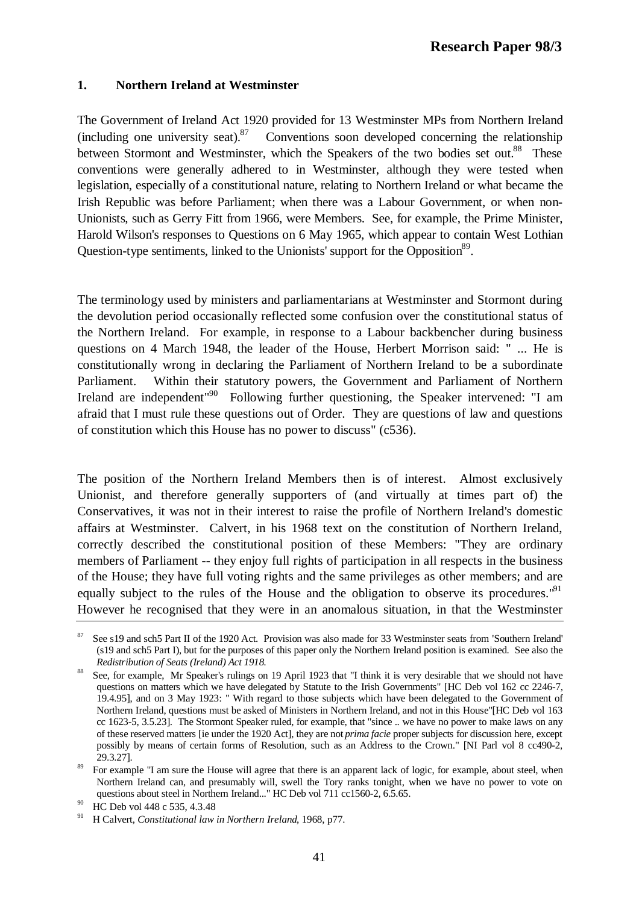#### **1. Northern Ireland at Westminster**

The Government of Ireland Act 1920 provided for 13 Westminster MPs from Northern Ireland (including one university seat). Conventions soon developed concerning the relationship between Stormont and Westminster, which the Speakers of the two bodies set out.<sup>88</sup> These conventions were generally adhered to in Westminster, although they were tested when legislation, especially of a constitutional nature, relating to Northern Ireland or what became the Irish Republic was before Parliament; when there was a Labour Government, or when non-Unionists, such as Gerry Fitt from 1966, were Members. See, for example, the Prime Minister, Harold Wilson's responses to Questions on 6 May 1965, which appear to contain West Lothian Question-type sentiments, linked to the Unionists' support for the Opposition<sup>89</sup>.

The terminology used by ministers and parliamentarians at Westminster and Stormont during the devolution period occasionally reflected some confusion over the constitutional status of the Northern Ireland. For example, in response to a Labour backbencher during business questions on 4 March 1948, the leader of the House, Herbert Morrison said: " ... He is constitutionally wrong in declaring the Parliament of Northern Ireland to be a subordinate Parliament. Within their statutory powers, the Government and Parliament of Northern Ireland are independent<sup>"90</sup> Following further questioning, the Speaker intervened: "I am afraid that I must rule these questions out of Order. They are questions of law and questions of constitution which this House has no power to discuss" (c536).

The position of the Northern Ireland Members then is of interest. Almost exclusively Unionist, and therefore generally supporters of (and virtually at times part of) the Conservatives, it was not in their interest to raise the profile of Northern Ireland's domestic affairs at Westminster. Calvert, in his 1968 text on the constitution of Northern Ireland, correctly described the constitutional position of these Members: "They are ordinary members of Parliament -- they enjoy full rights of participation in all respects in the business of the House; they have full voting rights and the same privileges as other members; and are equally subject to the rules of the House and the obligation to observe its procedures."<sup>91</sup> However he recognised that they were in an anomalous situation, in that the Westminster

See s19 and sch5 Part II of the 1920 Act. Provision was also made for 33 Westminster seats from 'Southern Ireland' (s19 and sch5 Part I), but for the purposes of this paper only the Northern Ireland position is examined. See also the *Redistribution of Seats (Ireland) Act 1918.*

<sup>&</sup>lt;sup>88</sup> See, for example, Mr Speaker's rulings on 19 April 1923 that "I think it is very desirable that we should not have questions on matters which we have delegated by Statute to the Irish Governments" [HC Deb vol 162 cc 2246-7, 19.4.95], and on 3 May 1923: " With regard to those subjects which have been delegated to the Government of Northern Ireland, questions must be asked of Ministers in Northern Ireland, and not in this House"[HC Deb vol 163 cc 1623-5, 3.5.23]. The Stormont Speaker ruled, for example, that "since .. we have no power to make laws on any of these reserved matters [ie under the 1920 Act], they are not *prima facie* proper subjects for discussion here, except possibly by means of certain forms of Resolution, such as an Address to the Crown." [NI Parl vol 8 cc490-2,  $29.3.27$ ].

<sup>&</sup>lt;sup>89</sup> For example "I am sure the House will agree that there is an apparent lack of logic, for example, about steel, when Northern Ireland can, and presumably will, swell the Tory ranks tonight, when we have no power to vote on questions about steel in Northern Ireland..." HC Deb vol 711 cc1560-2, 6.5.65.

<sup>&</sup>lt;sup>90</sup> HC Deb vol 448 c 535, 4.3.48

<sup>91</sup> H Calvert, *Constitutional law in Northern Ireland*, 1968, p77.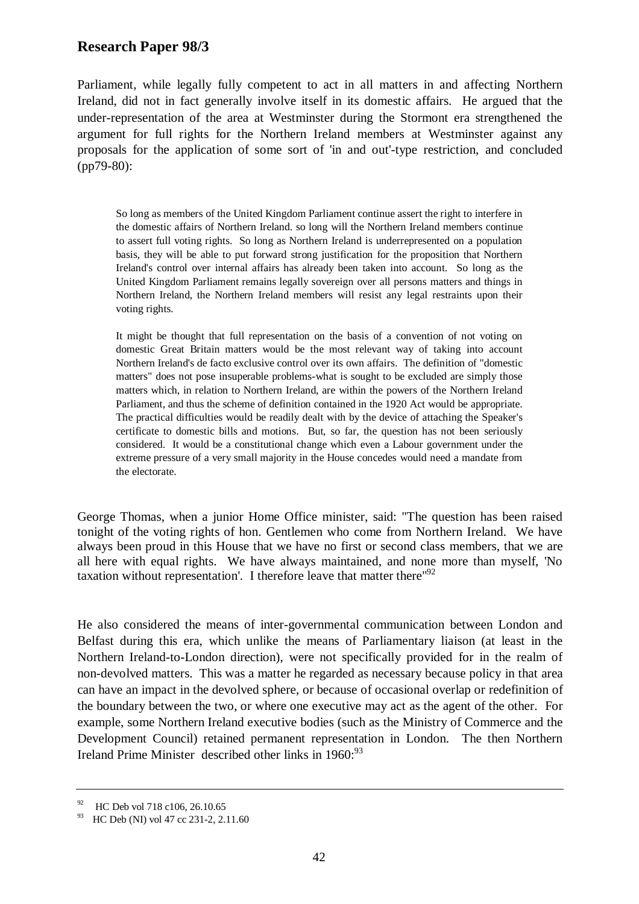Parliament, while legally fully competent to act in all matters in and affecting Northern Ireland, did not in fact generally involve itself in its domestic affairs. He argued that the under-representation of the area at Westminster during the Stormont era strengthened the argument for full rights for the Northern Ireland members at Westminster against any proposals for the application of some sort of 'in and out'-type restriction, and concluded (pp79-80):

So long as members of the United Kingdom Parliament continue assert the right to interfere in the domestic affairs of Northern Ireland. so long will the Northern Ireland members continue to assert full voting rights. So long as Northern Ireland is underrepresented on a population basis, they will be able to put forward strong justification for the proposition that Northern Ireland's control over internal affairs has already been taken into account. So long as the United Kingdom Parliament remains legally sovereign over all persons matters and things in Northern Ireland, the Northern Ireland members will resist any legal restraints upon their voting rights.

It might be thought that full representation on the basis of a convention of not voting on domestic Great Britain matters would be the most relevant way of taking into account Northern Ireland's de facto exclusive control over its own affairs. The definition of "domestic matters" does not pose insuperable problems-what is sought to be excluded are simply those matters which, in relation to Northern Ireland, are within the powers of the Northern Ireland Parliament, and thus the scheme of definition contained in the 1920 Act would be appropriate. The practical difficulties would be readily dealt with by the device of attaching the Speaker's certificate to domestic bills and motions. But, so far, the question has not been seriously considered. It would be a constitutional change which even a Labour government under the extreme pressure of a very small majority in the House concedes would need a mandate from the electorate.

George Thomas, when a junior Home Office minister, said: "The question has been raised tonight of the voting rights of hon. Gentlemen who come from Northern Ireland. We have always been proud in this House that we have no first or second class members, that we are all here with equal rights. We have always maintained, and none more than myself, 'No taxation without representation'. I therefore leave that matter there  $192$ 

He also considered the means of inter-governmental communication between London and Belfast during this era, which unlike the means of Parliamentary liaison (at least in the Northern Ireland-to-London direction), were not specifically provided for in the realm of non-devolved matters. This was a matter he regarded as necessary because policy in that area can have an impact in the devolved sphere, or because of occasional overlap or redefinition of the boundary between the two, or where one executive may act as the agent of the other. For example, some Northern Ireland executive bodies (such as the Ministry of Commerce and the Development Council) retained permanent representation in London. The then Northern Ireland Prime Minister described other links in  $1960$ :<sup>93</sup>

<sup>&</sup>lt;sup>92</sup> HC Deb vol 718 c106, 26.10.65

<sup>&</sup>lt;sup>93</sup> HC Deb (NI) vol 47 cc 231-2, 2.11.60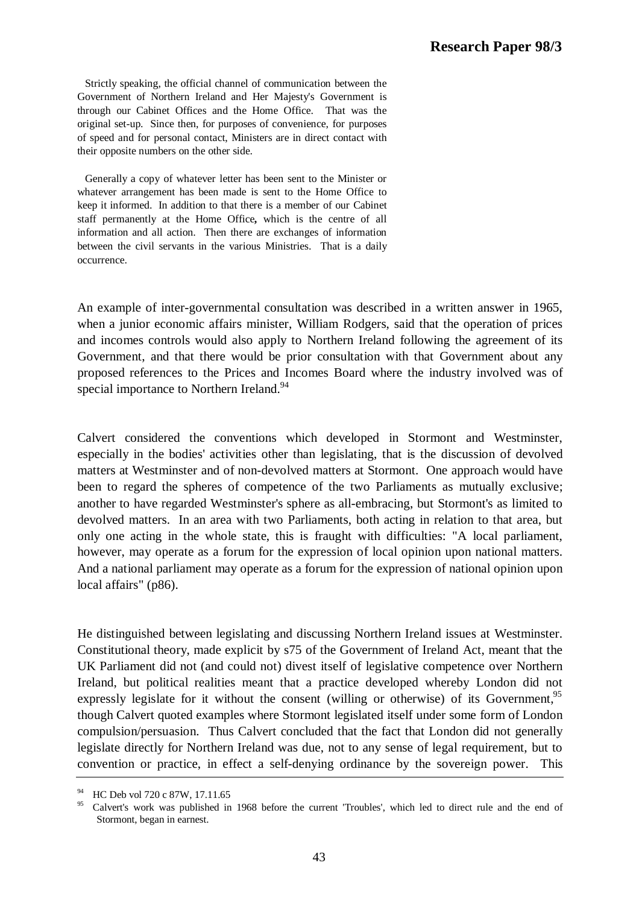Strictly speaking, the official channel of communication between the Government of Northern Ireland and Her Majesty's Government is through our Cabinet Offices and the Home Office. That was the original set-up. Since then, for purposes of convenience, for purposes of speed and for personal contact, Ministers are in direct contact with their opposite numbers on the other side.

Generally a copy of whatever letter has been sent to the Minister or whatever arrangement has been made is sent to the Home Office to keep it informed. In addition to that there is a member of our Cabinet staff permanently at the Home Office**,** which is the centre of all information and all action. Then there are exchanges of information between the civil servants in the various Ministries. That is a daily occurrence.

An example of inter-governmental consultation was described in a written answer in 1965, when a junior economic affairs minister, William Rodgers, said that the operation of prices and incomes controls would also apply to Northern Ireland following the agreement of its Government, and that there would be prior consultation with that Government about any proposed references to the Prices and Incomes Board where the industry involved was of special importance to Northern Ireland.<sup>94</sup>

Calvert considered the conventions which developed in Stormont and Westminster, especially in the bodies' activities other than legislating, that is the discussion of devolved matters at Westminster and of non-devolved matters at Stormont. One approach would have been to regard the spheres of competence of the two Parliaments as mutually exclusive; another to have regarded Westminster's sphere as all-embracing, but Stormont's as limited to devolved matters. In an area with two Parliaments, both acting in relation to that area, but only one acting in the whole state, this is fraught with difficulties: "A local parliament, however, may operate as a forum for the expression of local opinion upon national matters. And a national parliament may operate as a forum for the expression of national opinion upon local affairs" (p86).

He distinguished between legislating and discussing Northern Ireland issues at Westminster. Constitutional theory, made explicit by s75 of the Government of Ireland Act, meant that the UK Parliament did not (and could not) divest itself of legislative competence over Northern Ireland, but political realities meant that a practice developed whereby London did not expressly legislate for it without the consent (willing or otherwise) of its Government,  $95$ though Calvert quoted examples where Stormont legislated itself under some form of London compulsion/persuasion. Thus Calvert concluded that the fact that London did not generally legislate directly for Northern Ireland was due, not to any sense of legal requirement, but to convention or practice, in effect a self-denying ordinance by the sovereign power. This

<sup>94</sup> HC Deb vol 720 c 87W, 17.11.65

<sup>&</sup>lt;sup>95</sup> Calvert's work was published in 1968 before the current 'Troubles', which led to direct rule and the end of Stormont, began in earnest.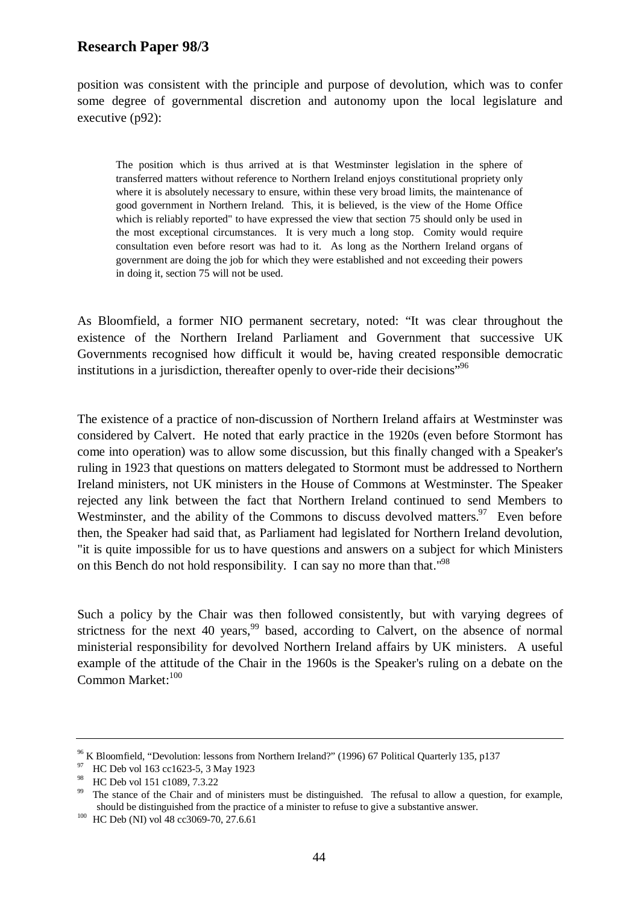position was consistent with the principle and purpose of devolution, which was to confer some degree of governmental discretion and autonomy upon the local legislature and executive (p92):

The position which is thus arrived at is that Westminster legislation in the sphere of transferred matters without reference to Northern Ireland enjoys constitutional propriety only where it is absolutely necessary to ensure, within these very broad limits, the maintenance of good government in Northern Ireland. This, it is believed, is the view of the Home Office which is reliably reported" to have expressed the view that section 75 should only be used in the most exceptional circumstances. It is very much a long stop. Comity would require consultation even before resort was had to it. As long as the Northern Ireland organs of government are doing the job for which they were established and not exceeding their powers in doing it, section 75 will not be used.

As Bloomfield, a former NIO permanent secretary, noted: "It was clear throughout the existence of the Northern Ireland Parliament and Government that successive UK Governments recognised how difficult it would be, having created responsible democratic institutions in a jurisdiction, thereafter openly to over-ride their decisions<sup>"96</sup>

The existence of a practice of non-discussion of Northern Ireland affairs at Westminster was considered by Calvert. He noted that early practice in the 1920s (even before Stormont has come into operation) was to allow some discussion, but this finally changed with a Speaker's ruling in 1923 that questions on matters delegated to Stormont must be addressed to Northern Ireland ministers, not UK ministers in the House of Commons at Westminster. The Speaker rejected any link between the fact that Northern Ireland continued to send Members to Westminster, and the ability of the Commons to discuss devolved matters.<sup>97</sup> Even before then, the Speaker had said that, as Parliament had legislated for Northern Ireland devolution, "it is quite impossible for us to have questions and answers on a subject for which Ministers on this Bench do not hold responsibility. I can say no more than that."98

Such a policy by the Chair was then followed consistently, but with varying degrees of strictness for the next 40 years,  $99$  based, according to Calvert, on the absence of normal ministerial responsibility for devolved Northern Ireland affairs by UK ministers. A useful example of the attitude of the Chair in the 1960s is the Speaker's ruling on a debate on the Common Market:<sup>100</sup>

<sup>&</sup>lt;sup>96</sup> K Bloomfield, "Devolution: lessons from Northern Ireland?" (1996) 67 Political Quarterly 135, p137

<sup>&</sup>lt;sup>97</sup> HC Deb vol 163 cc1623-5, 3 May 1923

<sup>98</sup> HC Deb vol 151 c1089, 7.3.22

<sup>&</sup>lt;sup>99</sup> The stance of the Chair and of ministers must be distinguished. The refusal to allow a question, for example, should be distinguished from the practice of a minister to refuse to give a substantive answer.

<sup>&</sup>lt;sup>100</sup> HC Deb (NI) vol 48 cc3069-70, 27.6.61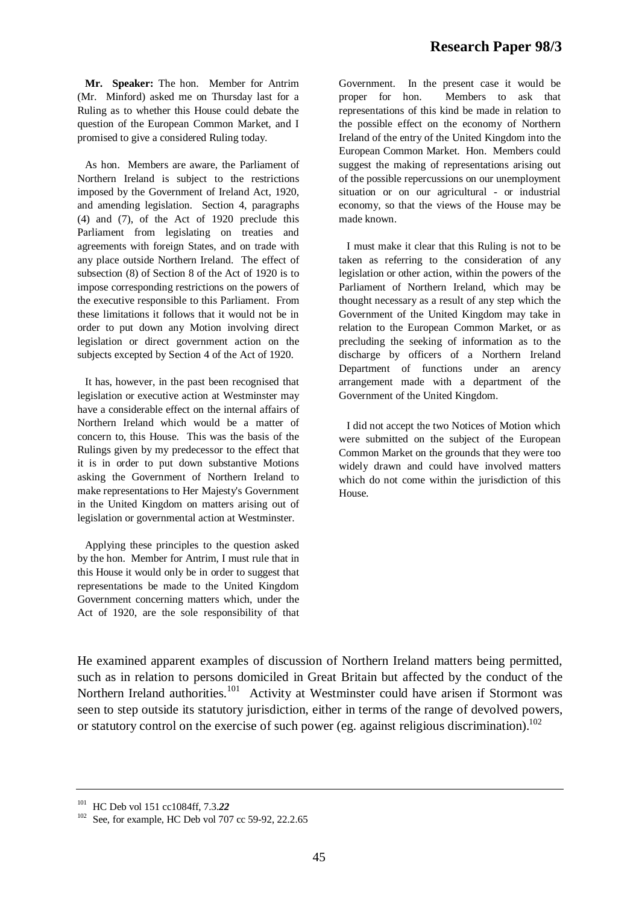**Mr. Speaker:** The hon. Member for Antrim (Mr. Minford) asked me on Thursday last for a Ruling as to whether this House could debate the question of the European Common Market, and I promised to give a considered Ruling today.

As hon. Members are aware, the Parliament of Northern Ireland is subject to the restrictions imposed by the Government of Ireland Act, 1920, and amending legislation. Section 4, paragraphs (4) and (7), of the Act of 1920 preclude this Parliament from legislating on treaties and agreements with foreign States, and on trade with any place outside Northern Ireland. The effect of subsection (8) of Section 8 of the Act of 1920 is to impose corresponding restrictions on the powers of the executive responsible to this Parliament. From these limitations it follows that it would not be in order to put down any Motion involving direct legislation or direct government action on the subjects excepted by Section 4 of the Act of 1920.

It has, however, in the past been recognised that legislation or executive action at Westminster may have a considerable effect on the internal affairs of Northern Ireland which would be a matter of concern to, this House. This was the basis of the Rulings given by my predecessor to the effect that it is in order to put down substantive Motions asking the Government of Northern Ireland to make representations to Her Majesty's Government in the United Kingdom on matters arising out of legislation or governmental action at Westminster.

Applying these principles to the question asked by the hon. Member for Antrim, I must rule that in this House it would only be in order to suggest that representations be made to the United Kingdom Government concerning matters which, under the Act of 1920, are the sole responsibility of that

Government. In the present case it would be proper for hon. Members to ask that representations of this kind be made in relation to the possible effect on the economy of Northern Ireland of the entry of the United Kingdom into the European Common Market. Hon. Members could suggest the making of representations arising out of the possible repercussions on our unemployment situation or on our agricultural - or industrial economy, so that the views of the House may be made known.

I must make it clear that this Ruling is not to be taken as referring to the consideration of any legislation or other action, within the powers of the Parliament of Northern Ireland, which may be thought necessary as a result of any step which the Government of the United Kingdom may take in relation to the European Common Market, or as precluding the seeking of information as to the discharge by officers of a Northern Ireland Department of functions under an arency arrangement made with a department of the Government of the United Kingdom.

I did not accept the two Notices of Motion which were submitted on the subject of the European Common Market on the grounds that they were too widely drawn and could have involved matters which do not come within the jurisdiction of this House.

He examined apparent examples of discussion of Northern Ireland matters being permitted, such as in relation to persons domiciled in Great Britain but affected by the conduct of the Northern Ireland authorities.<sup>101</sup> Activity at Westminster could have arisen if Stormont was seen to step outside its statutory jurisdiction, either in terms of the range of devolved powers, or statutory control on the exercise of such power (eg. against religious discrimination).<sup>102</sup>

<sup>101</sup> HC Deb vol 151 cc1084ff, 7.3.*22*

 $102$  See, for example, HC Deb vol 707 cc 59-92, 22.2.65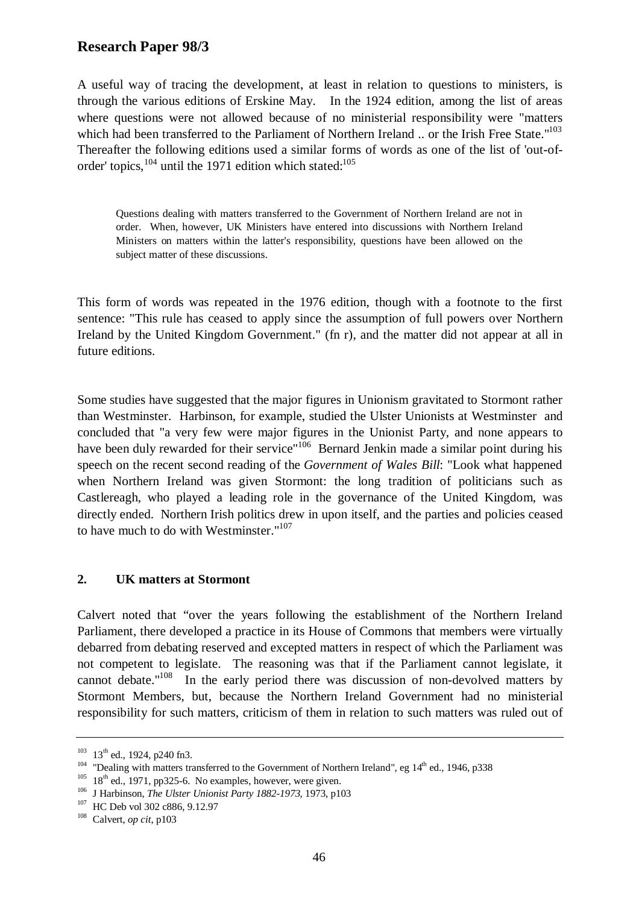A useful way of tracing the development, at least in relation to questions to ministers, is through the various editions of Erskine May. In the 1924 edition, among the list of areas where questions were not allowed because of no ministerial responsibility were "matters" which had been transferred to the Parliament of Northern Ireland .. or the Irish Free State."<sup>103</sup> Thereafter the following editions used a similar forms of words as one of the list of 'out-oforder' topics,<sup>104</sup> until the 1971 edition which stated:<sup>105</sup>

Questions dealing with matters transferred to the Government of Northern Ireland are not in order. When, however, UK Ministers have entered into discussions with Northern Ireland Ministers on matters within the latter's responsibility, questions have been allowed on the subject matter of these discussions.

This form of words was repeated in the 1976 edition, though with a footnote to the first sentence: "This rule has ceased to apply since the assumption of full powers over Northern Ireland by the United Kingdom Government." (fn r), and the matter did not appear at all in future editions.

Some studies have suggested that the major figures in Unionism gravitated to Stormont rather than Westminster. Harbinson, for example, studied the Ulster Unionists at Westminster and concluded that "a very few were major figures in the Unionist Party, and none appears to have been duly rewarded for their service"<sup>106</sup> Bernard Jenkin made a similar point during his speech on the recent second reading of the *Government of Wales Bill*: "Look what happened when Northern Ireland was given Stormont: the long tradition of politicians such as Castlereagh, who played a leading role in the governance of the United Kingdom, was directly ended. Northern Irish politics drew in upon itself, and the parties and policies ceased to have much to do with Westminster."107

#### **2. UK matters at Stormont**

Calvert noted that "over the years following the establishment of the Northern Ireland Parliament, there developed a practice in its House of Commons that members were virtually debarred from debating reserved and excepted matters in respect of which the Parliament was not competent to legislate. The reasoning was that if the Parliament cannot legislate, it cannot debate."108 In the early period there was discussion of non-devolved matters by Stormont Members, but, because the Northern Ireland Government had no ministerial responsibility for such matters, criticism of them in relation to such matters was ruled out of

 $103$  13<sup>th</sup> ed., 1924, p240 fn3.

<sup>&</sup>lt;sup>104</sup> "Dealing with matters transferred to the Government of Northern Ireland", eg  $14<sup>th</sup>$  ed., 1946, p338

 $18<sup>th</sup>$  ed., 1971, pp325-6. No examples, however, were given.

<sup>106</sup> J Harbinson, *The Ulster Unionist Party 1882-1973*, 1973, p103

<sup>107</sup> HC Deb vol 302 c886, 9.12.97

<sup>108</sup> Calvert, *op cit*, p103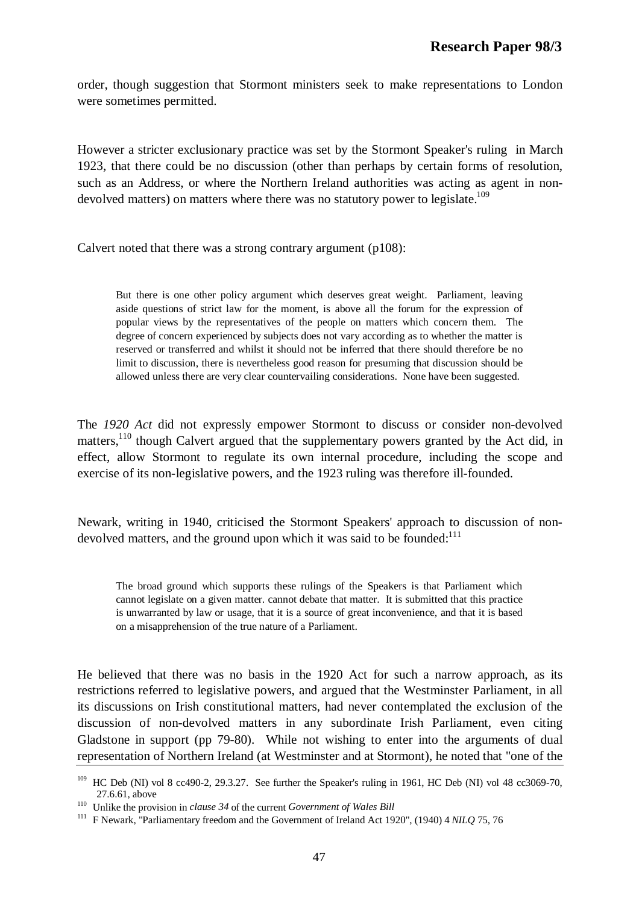order, though suggestion that Stormont ministers seek to make representations to London were sometimes permitted.

However a stricter exclusionary practice was set by the Stormont Speaker's ruling in March 1923, that there could be no discussion (other than perhaps by certain forms of resolution, such as an Address, or where the Northern Ireland authorities was acting as agent in nondevolved matters) on matters where there was no statutory power to legislate.<sup>109</sup>

Calvert noted that there was a strong contrary argument (p108):

But there is one other policy argument which deserves great weight. Parliament, leaving aside questions of strict law for the moment, is above all the forum for the expression of popular views by the representatives of the people on matters which concern them. The degree of concern experienced by subjects does not vary according as to whether the matter is reserved or transferred and whilst it should not be inferred that there should therefore be no limit to discussion, there is nevertheless good reason for presuming that discussion should be allowed unless there are very clear countervailing considerations. None have been suggested.

The *1920 Act* did not expressly empower Stormont to discuss or consider non-devolved matters,  $110$  though Calvert argued that the supplementary powers granted by the Act did, in effect, allow Stormont to regulate its own internal procedure, including the scope and exercise of its non-legislative powers, and the 1923 ruling was therefore ill-founded.

Newark, writing in 1940, criticised the Stormont Speakers' approach to discussion of nondevolved matters, and the ground upon which it was said to be founded: $111$ 

The broad ground which supports these rulings of the Speakers is that Parliament which cannot legislate on a given matter. cannot debate that matter. It is submitted that this practice is unwarranted by law or usage, that it is a source of great inconvenience, and that it is based on a misapprehension of the true nature of a Parliament.

He believed that there was no basis in the 1920 Act for such a narrow approach, as its restrictions referred to legislative powers, and argued that the Westminster Parliament, in all its discussions on Irish constitutional matters, had never contemplated the exclusion of the discussion of non-devolved matters in any subordinate Irish Parliament, even citing Gladstone in support (pp 79-80). While not wishing to enter into the arguments of dual representation of Northern Ireland (at Westminster and at Stormont), he noted that "one of the

<sup>&</sup>lt;sup>109</sup> HC Deb (NI) vol 8 cc490-2, 29.3.27. See further the Speaker's ruling in 1961, HC Deb (NI) vol 48 cc3069-70, 27.6.61, above

<sup>110</sup> Unlike the provision in *clause 34* of the current *Government of Wales Bill*

<sup>111</sup> F Newark, "Parliamentary freedom and the Government of Ireland Act 1920", (1940) 4 *NILQ* 75, 76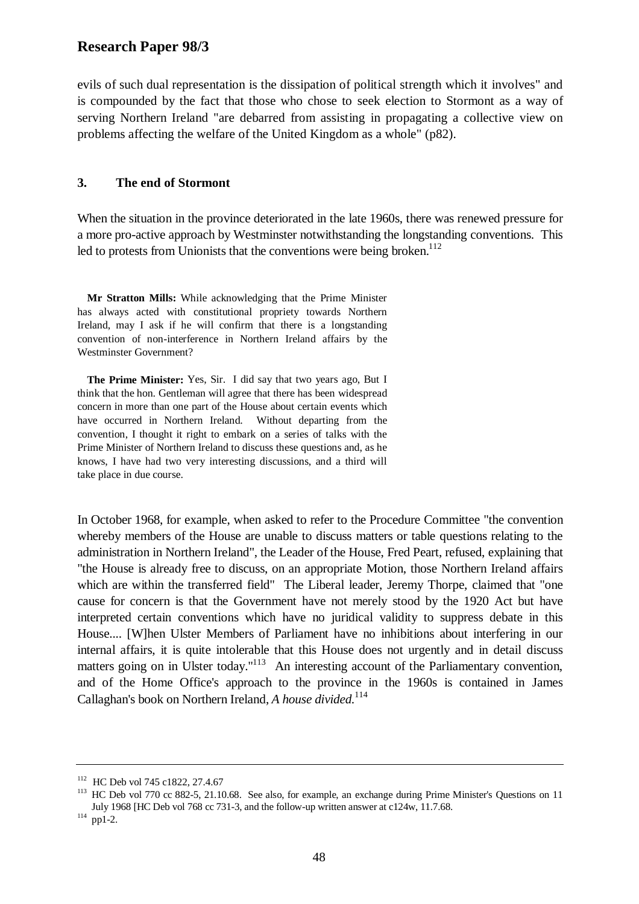evils of such dual representation is the dissipation of political strength which it involves" and is compounded by the fact that those who chose to seek election to Stormont as a way of serving Northern Ireland "are debarred from assisting in propagating a collective view on problems affecting the welfare of the United Kingdom as a whole" (p82).

#### **3. The end of Stormont**

When the situation in the province deteriorated in the late 1960s, there was renewed pressure for a more pro-active approach by Westminster notwithstanding the longstanding conventions. This led to protests from Unionists that the conventions were being broken.<sup>112</sup>

**Mr Stratton Mills:** While acknowledging that the Prime Minister has always acted with constitutional propriety towards Northern Ireland, may I ask if he will confirm that there is a longstanding convention of non-interference in Northern Ireland affairs by the Westminster Government?

**The Prime Minister:** Yes, Sir. I did say that two years ago, But I think that the hon. Gentleman will agree that there has been widespread concern in more than one part of the House about certain events which have occurred in Northern Ireland. Without departing from the convention, I thought it right to embark on a series of talks with the Prime Minister of Northern Ireland to discuss these questions and, as he knows, I have had two very interesting discussions, and a third will take place in due course.

In October 1968, for example, when asked to refer to the Procedure Committee "the convention whereby members of the House are unable to discuss matters or table questions relating to the administration in Northern Ireland", the Leader of the House, Fred Peart, refused, explaining that "the House is already free to discuss, on an appropriate Motion, those Northern Ireland affairs which are within the transferred field" The Liberal leader, Jeremy Thorpe, claimed that "one cause for concern is that the Government have not merely stood by the 1920 Act but have interpreted certain conventions which have no juridical validity to suppress debate in this House.... [W]hen Ulster Members of Parliament have no inhibitions about interfering in our internal affairs, it is quite intolerable that this House does not urgently and in detail discuss matters going on in Ulster today."<sup>113</sup> An interesting account of the Parliamentary convention, and of the Home Office's approach to the province in the 1960s is contained in James Callaghan's book on Northern Ireland, *A house divided*. 114

<sup>&</sup>lt;sup>112</sup> HC Deb vol 745 c1822, 27.4.67

<sup>&</sup>lt;sup>113</sup> HC Deb vol 770 cc 882-5, 21.10.68. See also, for example, an exchange during Prime Minister's Questions on 11 July 1968 [HC Deb vol 768 cc 731-3, and the follow-up written answer at c124w, 11.7.68.

 $114$  pp1-2.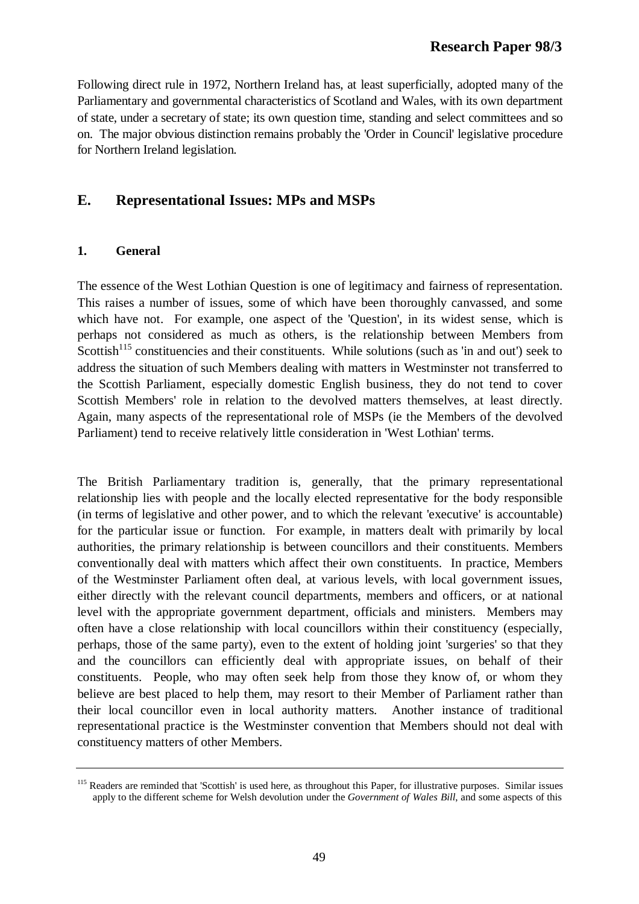Following direct rule in 1972, Northern Ireland has, at least superficially, adopted many of the Parliamentary and governmental characteristics of Scotland and Wales, with its own department of state, under a secretary of state; its own question time, standing and select committees and so on. The major obvious distinction remains probably the 'Order in Council' legislative procedure for Northern Ireland legislation.

# **E. Representational Issues: MPs and MSPs**

#### **1. General**

The essence of the West Lothian Question is one of legitimacy and fairness of representation. This raises a number of issues, some of which have been thoroughly canvassed, and some which have not. For example, one aspect of the 'Question', in its widest sense, which is perhaps not considered as much as others, is the relationship between Members from Scottish<sup>115</sup> constituencies and their constituents. While solutions (such as 'in and out') seek to address the situation of such Members dealing with matters in Westminster not transferred to the Scottish Parliament, especially domestic English business, they do not tend to cover Scottish Members' role in relation to the devolved matters themselves, at least directly. Again, many aspects of the representational role of MSPs (ie the Members of the devolved Parliament) tend to receive relatively little consideration in 'West Lothian' terms.

The British Parliamentary tradition is, generally, that the primary representational relationship lies with people and the locally elected representative for the body responsible (in terms of legislative and other power, and to which the relevant 'executive' is accountable) for the particular issue or function. For example, in matters dealt with primarily by local authorities, the primary relationship is between councillors and their constituents. Members conventionally deal with matters which affect their own constituents. In practice, Members of the Westminster Parliament often deal, at various levels, with local government issues, either directly with the relevant council departments, members and officers, or at national level with the appropriate government department, officials and ministers. Members may often have a close relationship with local councillors within their constituency (especially, perhaps, those of the same party), even to the extent of holding joint 'surgeries' so that they and the councillors can efficiently deal with appropriate issues, on behalf of their constituents. People, who may often seek help from those they know of, or whom they believe are best placed to help them, may resort to their Member of Parliament rather than their local councillor even in local authority matters. Another instance of traditional representational practice is the Westminster convention that Members should not deal with constituency matters of other Members.

<sup>&</sup>lt;sup>115</sup> Readers are reminded that 'Scottish' is used here, as throughout this Paper, for illustrative purposes. Similar issues apply to the different scheme for Welsh devolution under the *Government of Wales Bill*, and some aspects of this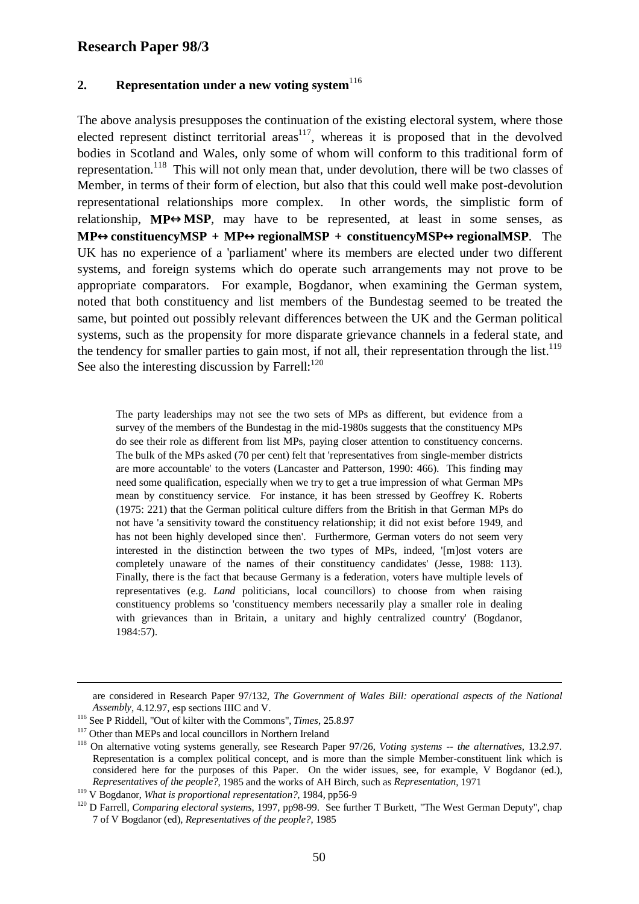#### **2. Representation under a new voting system**<sup>116</sup>

The above analysis presupposes the continuation of the existing electoral system, where those elected represent distinct territorial areas<sup>117</sup>, whereas it is proposed that in the devolved bodies in Scotland and Wales, only some of whom will conform to this traditional form of representation.<sup>118</sup> This will not only mean that, under devolution, there will be two classes of Member, in terms of their form of election, but also that this could well make post-devolution representational relationships more complex. In other words, the simplistic form of relationship,  $MP \leftrightarrow MSP$ , may have to be represented, at least in some senses, as  $MP \leftrightarrow$ **constituencyMSP** + MP $\leftrightarrow$ **regionalMSP** + **constituencyMSP** $\leftrightarrow$ **regionalMSP**. The UK has no experience of a 'parliament' where its members are elected under two different systems, and foreign systems which do operate such arrangements may not prove to be appropriate comparators. For example, Bogdanor, when examining the German system, noted that both constituency and list members of the Bundestag seemed to be treated the same, but pointed out possibly relevant differences between the UK and the German political systems, such as the propensity for more disparate grievance channels in a federal state, and the tendency for smaller parties to gain most, if not all, their representation through the list.<sup>119</sup> See also the interesting discussion by Farrell: $120$ 

The party leaderships may not see the two sets of MPs as different, but evidence from a survey of the members of the Bundestag in the mid-1980s suggests that the constituency MPs do see their role as different from list MPs, paying closer attention to constituency concerns. The bulk of the MPs asked (70 per cent) felt that 'representatives from single-member districts are more accountable' to the voters (Lancaster and Patterson, 1990: 466). This finding may need some qualification, especially when we try to get a true impression of what German MPs mean by constituency service. For instance, it has been stressed by Geoffrey K. Roberts (1975: 221) that the German political culture differs from the British in that German MPs do not have 'a sensitivity toward the constituency relationship; it did not exist before 1949, and has not been highly developed since then'. Furthermore, German voters do not seem very interested in the distinction between the two types of MPs, indeed, '[m]ost voters are completely unaware of the names of their constituency candidates' (Jesse, 1988: 113). Finally, there is the fact that because Germany is a federation, voters have multiple levels of representatives (e.g. *Land* politicians, local councillors) to choose from when raising constituency problems so 'constituency members necessarily play a smaller role in dealing with grievances than in Britain, a unitary and highly centralized country' (Bogdanor, 1984:57).

 $\overline{a}$ 

are considered in Research Paper 97/132*, The Government of Wales Bill: operational aspects of the National Assembly*, 4.12.97, esp sections IIIC and V.

<sup>116</sup> See P Riddell, "Out of kilter with the Commons", *Times*, 25.8.97

<sup>&</sup>lt;sup>117</sup> Other than MEPs and local councillors in Northern Ireland

<sup>118</sup> On alternative voting systems generally, see Research Paper 97/26, *Voting systems -- the alternatives*, 13.2.97. Representation is a complex political concept, and is more than the simple Member-constituent link which is considered here for the purposes of this Paper. On the wider issues, see, for example, V Bogdanor (ed.), *Representatives of the people?*, 1985 and the works of AH Birch, such as *Representation*, 1971

<sup>119</sup> V Bogdanor, *What is proportional representation?*, 1984, pp56-9

<sup>&</sup>lt;sup>120</sup> D Farrell, *Comparing electoral systems*, 1997, pp98-99. See further T Burkett, "The West German Deputy", chap 7 of V Bogdanor (ed), *Representatives of the people?*, 1985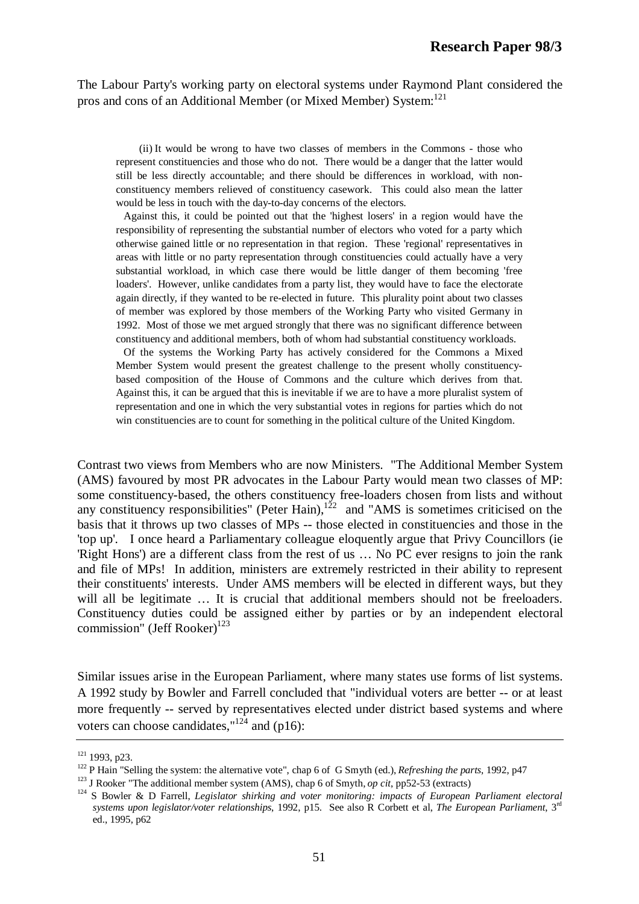#### The Labour Party's working party on electoral systems under Raymond Plant considered the pros and cons of an Additional Member (or Mixed Member) System:<sup>121</sup>

(ii) It would be wrong to have two classes of members in the Commons - those who represent constituencies and those who do not. There would be a danger that the latter would still be less directly accountable; and there should be differences in workload, with nonconstituency members relieved of constituency casework. This could also mean the latter would be less in touch with the day-to-day concerns of the electors.

Against this, it could be pointed out that the 'highest losers' in a region would have the responsibility of representing the substantial number of electors who voted for a party which otherwise gained little or no representation in that region. These 'regional' representatives in areas with little or no party representation through constituencies could actually have a very substantial workload, in which case there would be little danger of them becoming 'free loaders'. However, unlike candidates from a party list, they would have to face the electorate again directly, if they wanted to be re-elected in future. This plurality point about two classes of member was explored by those members of the Working Party who visited Germany in 1992. Most of those we met argued strongly that there was no significant difference between constituency and additional members, both of whom had substantial constituency workloads.

Of the systems the Working Party has actively considered for the Commons a Mixed Member System would present the greatest challenge to the present wholly constituencybased composition of the House of Commons and the culture which derives from that. Against this, it can be argued that this is inevitable if we are to have a more pluralist system of representation and one in which the very substantial votes in regions for parties which do not win constituencies are to count for something in the political culture of the United Kingdom.

Contrast two views from Members who are now Ministers. "The Additional Member System (AMS) favoured by most PR advocates in the Labour Party would mean two classes of MP: some constituency-based, the others constituency free-loaders chosen from lists and without any constituency responsibilities" (Peter Hain), $1^{22}$  and "AMS is sometimes criticised on the basis that it throws up two classes of MPs -- those elected in constituencies and those in the 'top up'. I once heard a Parliamentary colleague eloquently argue that Privy Councillors (ie 'Right Hons') are a different class from the rest of us … No PC ever resigns to join the rank and file of MPs! In addition, ministers are extremely restricted in their ability to represent their constituents' interests. Under AMS members will be elected in different ways, but they will all be legitimate ... It is crucial that additional members should not be freeloaders. Constituency duties could be assigned either by parties or by an independent electoral commission" (Jeff Rooker)<sup>123</sup>

Similar issues arise in the European Parliament, where many states use forms of list systems. A 1992 study by Bowler and Farrell concluded that "individual voters are better -- or at least more frequently -- served by representatives elected under district based systems and where voters can choose candidates," $124$  and (p16):

 $121$  1993, p23.

<sup>&</sup>lt;sup>122</sup> P Hain "Selling the system: the alternative vote", chap 6 of G Smyth (ed.), *Refreshing the parts*, 1992, p47

<sup>&</sup>lt;sup>123</sup> J Rooker "The additional member system (AMS), chap 6 of Smyth, *op cit*, pp52-53 (extracts)

<sup>124</sup> S Bowler & D Farrell, *Legislator shirking and voter monitoring: impacts of European Parliament electoral systems upon legislator/voter relationships*, 1992, p15. See also R Corbett et al, *The European Parliament*, 3rd ed., 1995, p62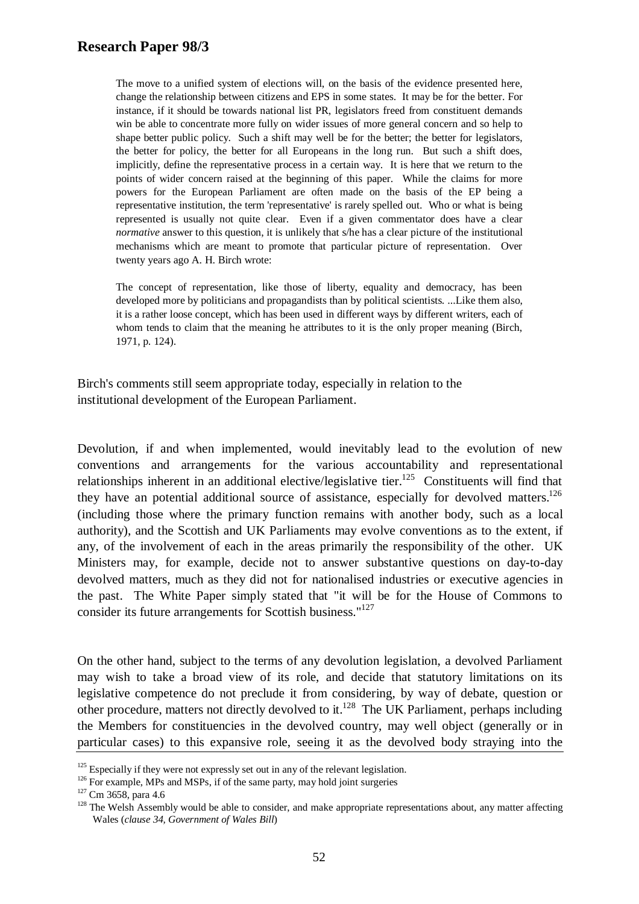The move to a unified system of elections will, on the basis of the evidence presented here, change the relationship between citizens and EPS in some states. It may be for the better. For instance, if it should be towards national list PR, legislators freed from constituent demands win be able to concentrate more fully on wider issues of more general concern and so help to shape better public policy. Such a shift may well be for the better; the better for legislators, the better for policy, the better for all Europeans in the long run. But such a shift does, implicitly, define the representative process in a certain way. It is here that we return to the points of wider concern raised at the beginning of this paper. While the claims for more powers for the European Parliament are often made on the basis of the EP being a representative institution, the term 'representative' is rarely spelled out. Who or what is being represented is usually not quite clear. Even if a given commentator does have a clear *normative* answer to this question, it is unlikely that s/he has a clear picture of the institutional mechanisms which are meant to promote that particular picture of representation. Over twenty years ago A. H. Birch wrote:

The concept of representation, like those of liberty, equality and democracy, has been developed more by politicians and propagandists than by political scientists. ...Like them also, it is a rather loose concept, which has been used in different ways by different writers, each of whom tends to claim that the meaning he attributes to it is the only proper meaning (Birch, 1971, p. 124).

Birch's comments still seem appropriate today, especially in relation to the institutional development of the European Parliament.

Devolution, if and when implemented, would inevitably lead to the evolution of new conventions and arrangements for the various accountability and representational relationships inherent in an additional elective/legislative tier.<sup>125</sup> Constituents will find that they have an potential additional source of assistance, especially for devolved matters.<sup>126</sup> (including those where the primary function remains with another body, such as a local authority), and the Scottish and UK Parliaments may evolve conventions as to the extent, if any, of the involvement of each in the areas primarily the responsibility of the other. UK Ministers may, for example, decide not to answer substantive questions on day-to-day devolved matters, much as they did not for nationalised industries or executive agencies in the past. The White Paper simply stated that "it will be for the House of Commons to consider its future arrangements for Scottish business."127

On the other hand, subject to the terms of any devolution legislation, a devolved Parliament may wish to take a broad view of its role, and decide that statutory limitations on its legislative competence do not preclude it from considering, by way of debate, question or other procedure, matters not directly devolved to it.128 The UK Parliament, perhaps including the Members for constituencies in the devolved country, may well object (generally or in particular cases) to this expansive role, seeing it as the devolved body straying into the

 $125$  Especially if they were not expressly set out in any of the relevant legislation.

 $126$  For example, MPs and MSPs, if of the same party, may hold joint surgeries

<sup>&</sup>lt;sup>127</sup> Cm 3658, para 4.6

<sup>&</sup>lt;sup>128</sup> The Welsh Assembly would be able to consider, and make appropriate representations about, any matter affecting Wales (*clause 34, Government of Wales Bill*)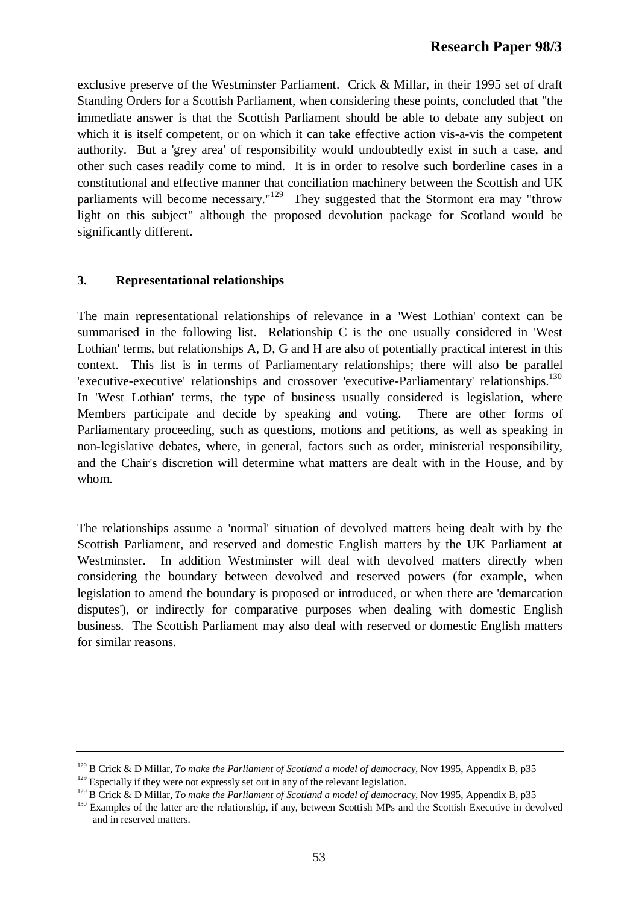exclusive preserve of the Westminster Parliament. Crick & Millar, in their 1995 set of draft Standing Orders for a Scottish Parliament, when considering these points, concluded that "the immediate answer is that the Scottish Parliament should be able to debate any subject on which it is itself competent, or on which it can take effective action vis-a-vis the competent authority. But a 'grey area' of responsibility would undoubtedly exist in such a case, and other such cases readily come to mind. It is in order to resolve such borderline cases in a constitutional and effective manner that conciliation machinery between the Scottish and UK parliaments will become necessary."129 They suggested that the Stormont era may "throw light on this subject" although the proposed devolution package for Scotland would be significantly different.

#### **3. Representational relationships**

The main representational relationships of relevance in a 'West Lothian' context can be summarised in the following list. Relationship C is the one usually considered in 'West Lothian' terms, but relationships A, D, G and H are also of potentially practical interest in this context. This list is in terms of Parliamentary relationships; there will also be parallel 'executive-executive' relationships and crossover 'executive-Parliamentary' relationships.<sup>130</sup> In 'West Lothian' terms, the type of business usually considered is legislation, where Members participate and decide by speaking and voting. There are other forms of Parliamentary proceeding, such as questions, motions and petitions, as well as speaking in non-legislative debates, where, in general, factors such as order, ministerial responsibility, and the Chair's discretion will determine what matters are dealt with in the House, and by whom.

The relationships assume a 'normal' situation of devolved matters being dealt with by the Scottish Parliament, and reserved and domestic English matters by the UK Parliament at Westminster. In addition Westminster will deal with devolved matters directly when considering the boundary between devolved and reserved powers (for example, when legislation to amend the boundary is proposed or introduced, or when there are 'demarcation disputes'), or indirectly for comparative purposes when dealing with domestic English business. The Scottish Parliament may also deal with reserved or domestic English matters for similar reasons.

<sup>129</sup> B Crick & D Millar, *To make the Parliament of Scotland a model of democracy*, Nov 1995, Appendix B, p35

<sup>&</sup>lt;sup>129</sup> Especially if they were not expressly set out in any of the relevant legislation.

<sup>&</sup>lt;sup>129</sup> B Crick & D Millar, *To make the Parliament of Scotland a model of democracy*, Nov 1995, Appendix B, p35

<sup>&</sup>lt;sup>130</sup> Examples of the latter are the relationship, if any, between Scottish MPs and the Scottish Executive in devolved and in reserved matters.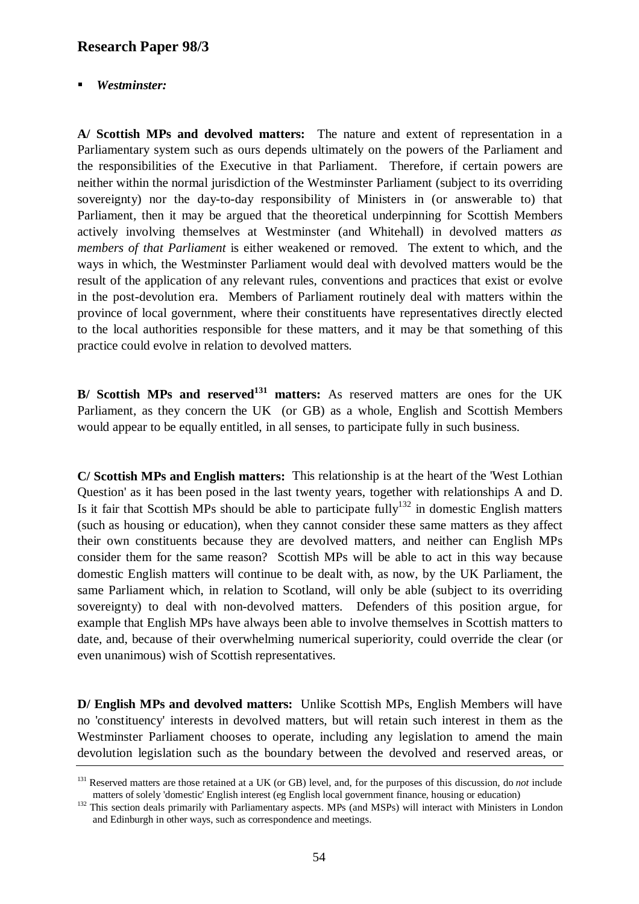## *Westminster:*

**A/ Scottish MPs and devolved matters:** The nature and extent of representation in a Parliamentary system such as ours depends ultimately on the powers of the Parliament and the responsibilities of the Executive in that Parliament. Therefore, if certain powers are neither within the normal jurisdiction of the Westminster Parliament (subject to its overriding sovereignty) nor the day-to-day responsibility of Ministers in (or answerable to) that Parliament, then it may be argued that the theoretical underpinning for Scottish Members actively involving themselves at Westminster (and Whitehall) in devolved matters *as members of that Parliament* is either weakened or removed. The extent to which, and the ways in which, the Westminster Parliament would deal with devolved matters would be the result of the application of any relevant rules, conventions and practices that exist or evolve in the post-devolution era. Members of Parliament routinely deal with matters within the province of local government, where their constituents have representatives directly elected to the local authorities responsible for these matters, and it may be that something of this practice could evolve in relation to devolved matters.

**B/ Scottish MPs and reserved131 matters:** As reserved matters are ones for the UK Parliament, as they concern the UK (or GB) as a whole, English and Scottish Members would appear to be equally entitled, in all senses, to participate fully in such business.

**C/ Scottish MPs and English matters:** This relationship is at the heart of the 'West Lothian Question' as it has been posed in the last twenty years, together with relationships A and D. Is it fair that Scottish MPs should be able to participate fully<sup>132</sup> in domestic English matters (such as housing or education), when they cannot consider these same matters as they affect their own constituents because they are devolved matters, and neither can English MPs consider them for the same reason? Scottish MPs will be able to act in this way because domestic English matters will continue to be dealt with, as now, by the UK Parliament, the same Parliament which, in relation to Scotland, will only be able (subject to its overriding sovereignty) to deal with non-devolved matters. Defenders of this position argue, for example that English MPs have always been able to involve themselves in Scottish matters to date, and, because of their overwhelming numerical superiority, could override the clear (or even unanimous) wish of Scottish representatives.

**D/ English MPs and devolved matters:** Unlike Scottish MPs, English Members will have no 'constituency' interests in devolved matters, but will retain such interest in them as the Westminster Parliament chooses to operate, including any legislation to amend the main devolution legislation such as the boundary between the devolved and reserved areas, or

<sup>&</sup>lt;sup>131</sup> Reserved matters are those retained at a UK (or GB) level, and, for the purposes of this discussion, do *not* include matters of solely 'domestic' English interest (eg English local government finance, housing or education)

<sup>&</sup>lt;sup>132</sup> This section deals primarily with Parliamentary aspects. MPs (and MSPs) will interact with Ministers in London and Edinburgh in other ways, such as correspondence and meetings.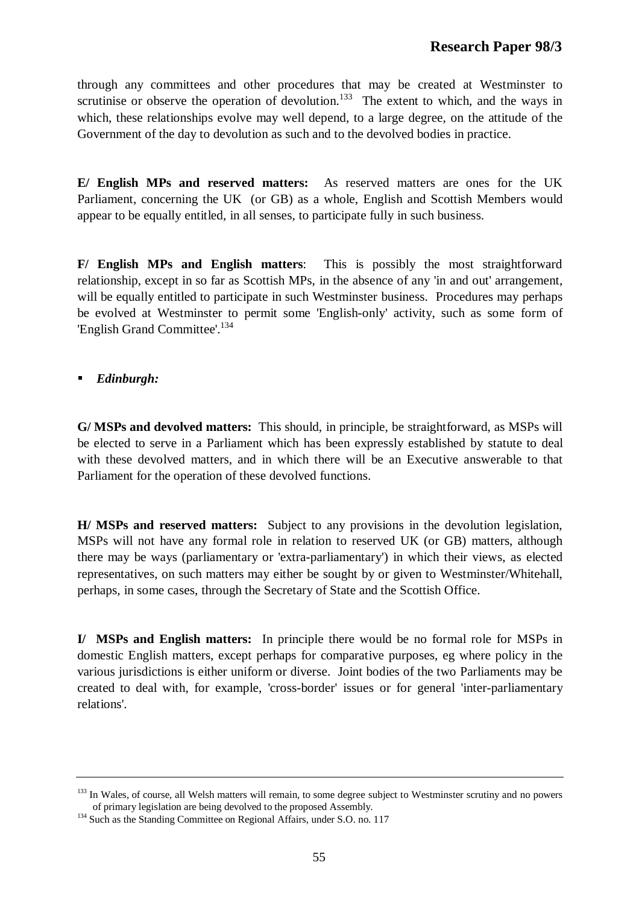through any committees and other procedures that may be created at Westminster to scrutinise or observe the operation of devolution.<sup>133</sup> The extent to which, and the ways in which, these relationships evolve may well depend, to a large degree, on the attitude of the Government of the day to devolution as such and to the devolved bodies in practice.

**E/ English MPs and reserved matters:** As reserved matters are ones for the UK Parliament, concerning the UK (or GB) as a whole, English and Scottish Members would appear to be equally entitled, in all senses, to participate fully in such business.

**F/ English MPs and English matters**: This is possibly the most straightforward relationship, except in so far as Scottish MPs, in the absence of any 'in and out' arrangement, will be equally entitled to participate in such Westminster business. Procedures may perhaps be evolved at Westminster to permit some 'English-only' activity, such as some form of 'English Grand Committee'.<sup>134</sup>

#### *Edinburgh:*

**G/ MSPs and devolved matters:** This should, in principle, be straightforward, as MSPs will be elected to serve in a Parliament which has been expressly established by statute to deal with these devolved matters, and in which there will be an Executive answerable to that Parliament for the operation of these devolved functions.

**H/ MSPs and reserved matters:** Subject to any provisions in the devolution legislation, MSPs will not have any formal role in relation to reserved UK (or GB) matters, although there may be ways (parliamentary or 'extra-parliamentary') in which their views, as elected representatives, on such matters may either be sought by or given to Westminster/Whitehall, perhaps, in some cases, through the Secretary of State and the Scottish Office.

**I/ MSPs and English matters:** In principle there would be no formal role for MSPs in domestic English matters, except perhaps for comparative purposes, eg where policy in the various jurisdictions is either uniform or diverse. Joint bodies of the two Parliaments may be created to deal with, for example, 'cross-border' issues or for general 'inter-parliamentary relations'.

<sup>&</sup>lt;sup>133</sup> In Wales, of course, all Welsh matters will remain, to some degree subject to Westminster scrutiny and no powers of primary legislation are being devolved to the proposed Assembly.

<sup>&</sup>lt;sup>134</sup> Such as the Standing Committee on Regional Affairs, under S.O. no. 117